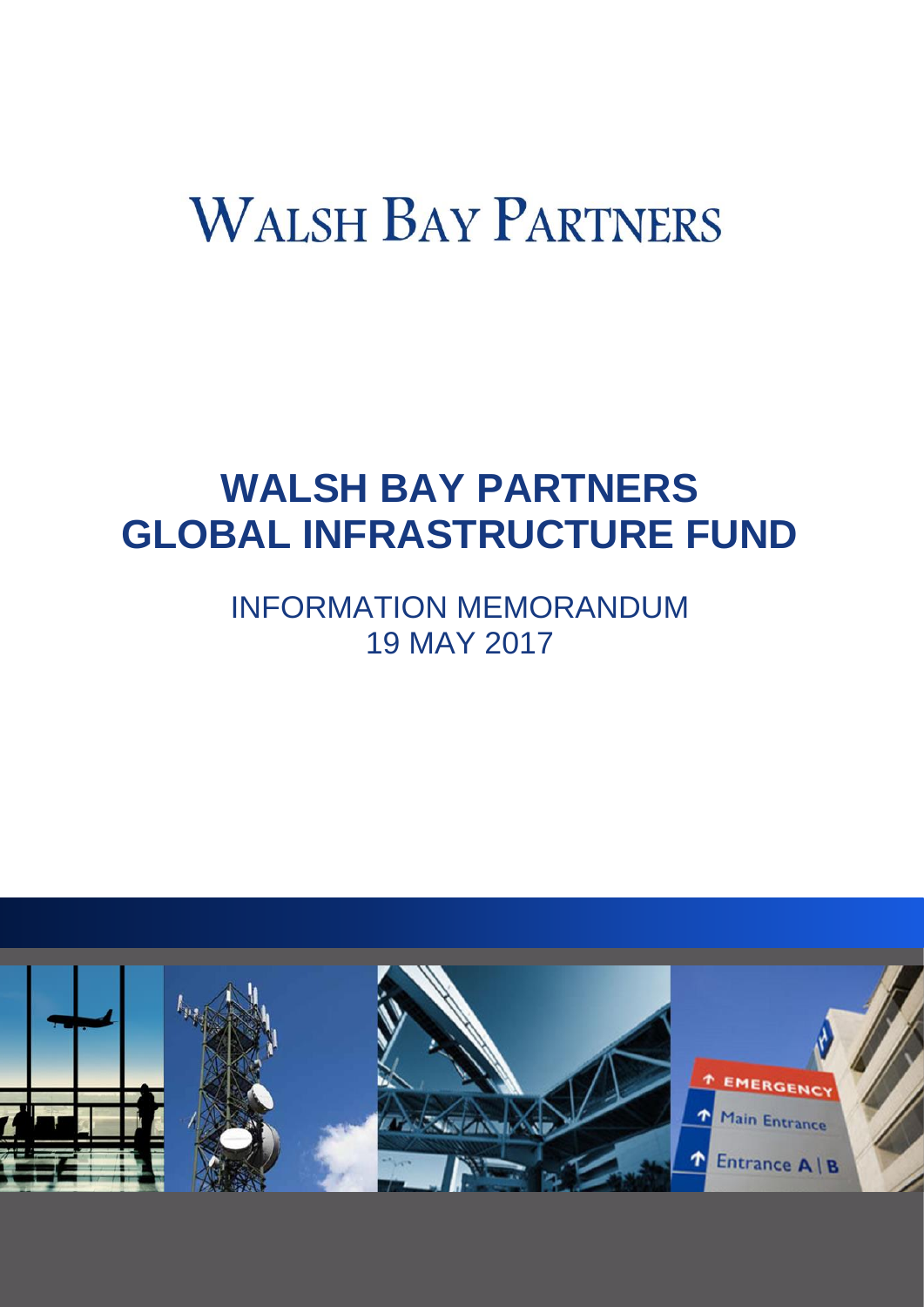# **WALSH BAY PARTNERS**

# **WALSH BAY PARTNERS GLOBAL INFRASTRUCTURE FUND**

INFORMATION MEMORANDUM 19 MAY 2017

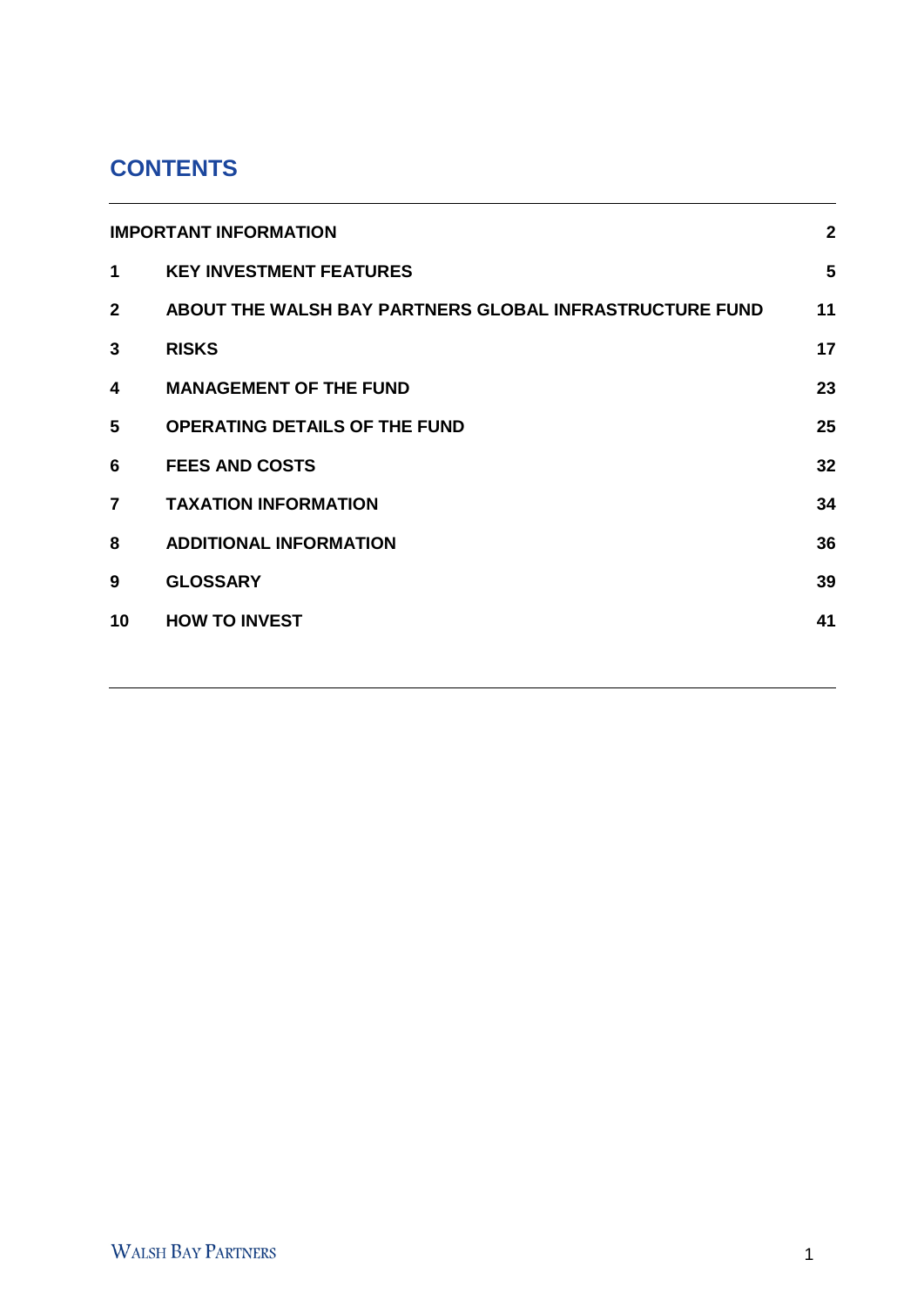# **CONTENTS**

| <b>IMPORTANT INFORMATION</b> |                                                         | $\overline{2}$ |
|------------------------------|---------------------------------------------------------|----------------|
| $\blacktriangleleft$         | <b>KEY INVESTMENT FEATURES</b>                          | 5              |
| $\mathbf{2}$                 | ABOUT THE WALSH BAY PARTNERS GLOBAL INFRASTRUCTURE FUND | 11             |
| 3                            | <b>RISKS</b>                                            | 17             |
| 4                            | <b>MANAGEMENT OF THE FUND</b>                           | 23             |
| 5                            | <b>OPERATING DETAILS OF THE FUND</b>                    | 25             |
| 6                            | <b>FEES AND COSTS</b>                                   | 32             |
| $\overline{7}$               | <b>TAXATION INFORMATION</b>                             | 34             |
| 8                            | <b>ADDITIONAL INFORMATION</b>                           | 36             |
| 9                            | <b>GLOSSARY</b>                                         | 39             |
| 10                           | <b>HOW TO INVEST</b>                                    | 41             |
|                              |                                                         |                |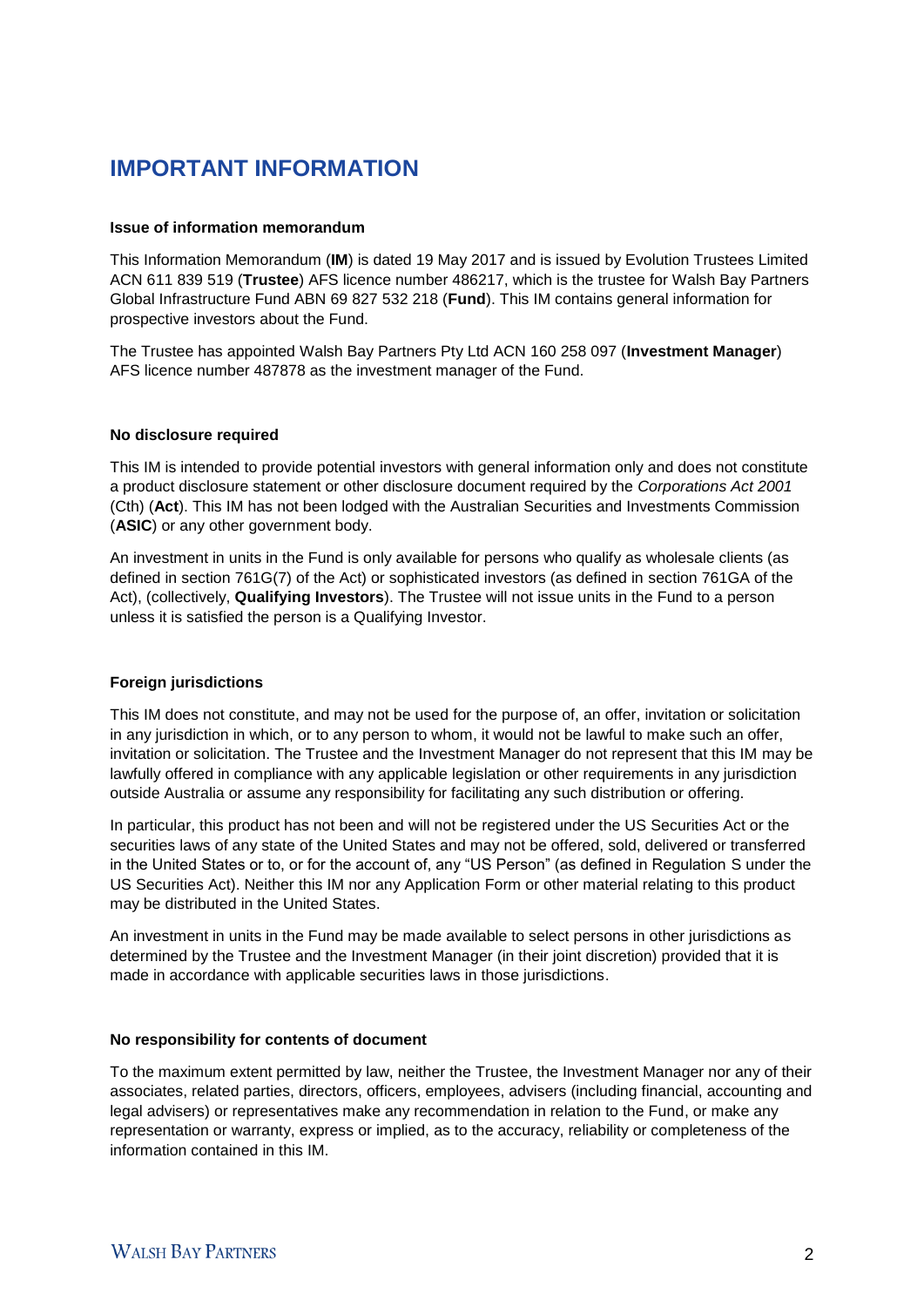# **IMPORTANT INFORMATION**

#### **Issue of information memorandum**

This Information Memorandum (**IM**) is dated 19 May 2017 and is issued by Evolution Trustees Limited ACN 611 839 519 (**Trustee**) AFS licence number 486217, which is the trustee for Walsh Bay Partners Global Infrastructure Fund ABN 69 827 532 218 (**Fund**). This IM contains general information for prospective investors about the Fund.

The Trustee has appointed Walsh Bay Partners Pty Ltd ACN 160 258 097 (**Investment Manager**) AFS licence number 487878 as the investment manager of the Fund.

#### **No disclosure required**

This IM is intended to provide potential investors with general information only and does not constitute a product disclosure statement or other disclosure document required by the *Corporations Act 2001* (Cth) (**Act**). This IM has not been lodged with the Australian Securities and Investments Commission (**ASIC**) or any other government body.

An investment in units in the Fund is only available for persons who qualify as wholesale clients (as defined in section 761G(7) of the Act) or sophisticated investors (as defined in section 761GA of the Act), (collectively, **Qualifying Investors**). The Trustee will not issue units in the Fund to a person unless it is satisfied the person is a Qualifying Investor.

#### **Foreign jurisdictions**

This IM does not constitute, and may not be used for the purpose of, an offer, invitation or solicitation in any jurisdiction in which, or to any person to whom, it would not be lawful to make such an offer, invitation or solicitation. The Trustee and the Investment Manager do not represent that this IM may be lawfully offered in compliance with any applicable legislation or other requirements in any jurisdiction outside Australia or assume any responsibility for facilitating any such distribution or offering.

In particular, this product has not been and will not be registered under the US Securities Act or the securities laws of any state of the United States and may not be offered, sold, delivered or transferred in the United States or to, or for the account of, any "US Person" (as defined in Regulation S under the US Securities Act). Neither this IM nor any Application Form or other material relating to this product may be distributed in the United States.

An investment in units in the Fund may be made available to select persons in other jurisdictions as determined by the Trustee and the Investment Manager (in their joint discretion) provided that it is made in accordance with applicable securities laws in those jurisdictions.

#### **No responsibility for contents of document**

To the maximum extent permitted by law, neither the Trustee, the Investment Manager nor any of their associates, related parties, directors, officers, employees, advisers (including financial, accounting and legal advisers) or representatives make any recommendation in relation to the Fund, or make any representation or warranty, express or implied, as to the accuracy, reliability or completeness of the information contained in this IM.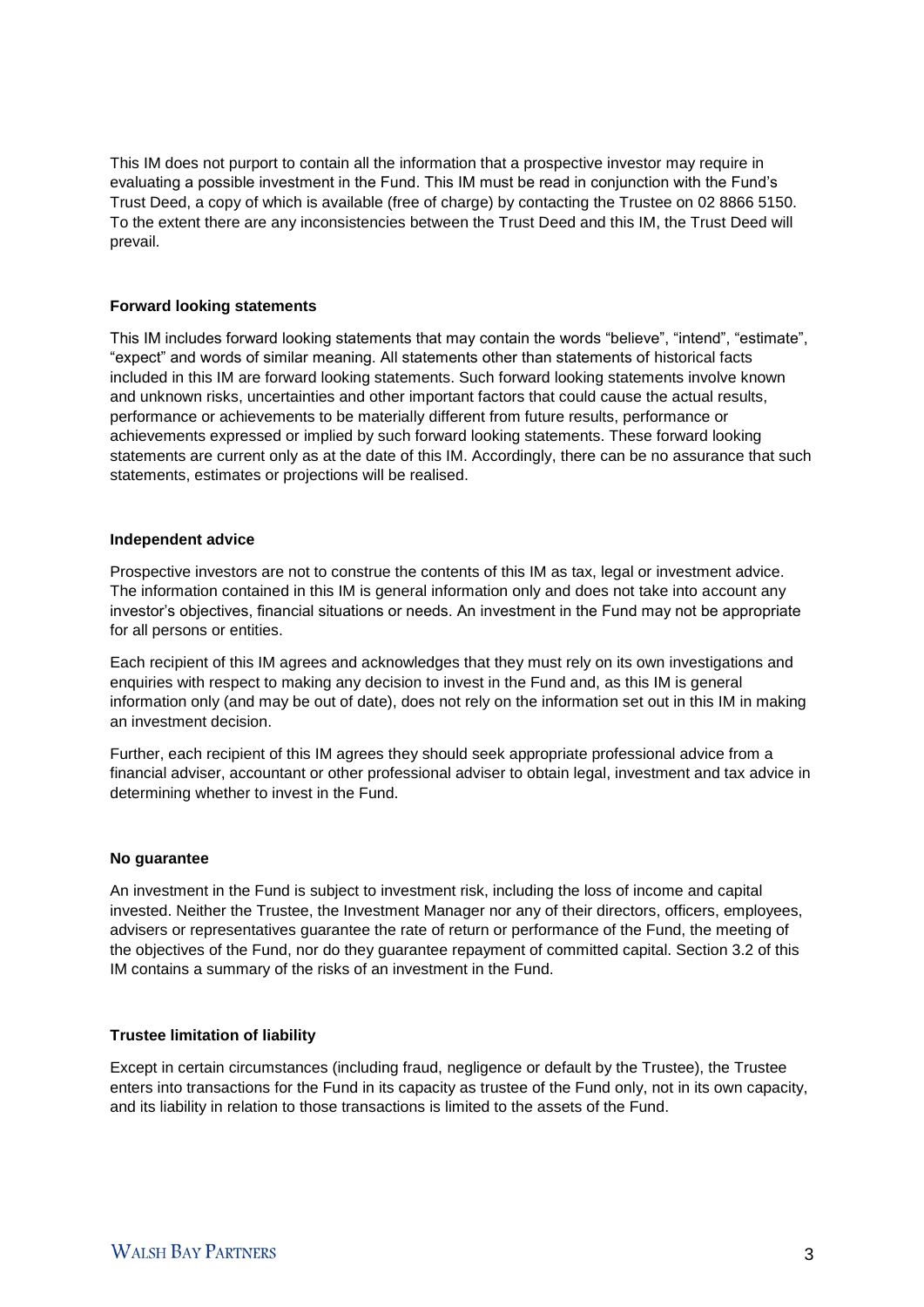This IM does not purport to contain all the information that a prospective investor may require in evaluating a possible investment in the Fund. This IM must be read in conjunction with the Fund's Trust Deed, a copy of which is available (free of charge) by contacting the Trustee on 02 8866 5150. To the extent there are any inconsistencies between the Trust Deed and this IM, the Trust Deed will prevail.

#### **Forward looking statements**

This IM includes forward looking statements that may contain the words "believe", "intend", "estimate", "expect" and words of similar meaning. All statements other than statements of historical facts included in this IM are forward looking statements. Such forward looking statements involve known and unknown risks, uncertainties and other important factors that could cause the actual results, performance or achievements to be materially different from future results, performance or achievements expressed or implied by such forward looking statements. These forward looking statements are current only as at the date of this IM. Accordingly, there can be no assurance that such statements, estimates or projections will be realised.

#### **Independent advice**

Prospective investors are not to construe the contents of this IM as tax, legal or investment advice. The information contained in this IM is general information only and does not take into account any investor's objectives, financial situations or needs. An investment in the Fund may not be appropriate for all persons or entities.

Each recipient of this IM agrees and acknowledges that they must rely on its own investigations and enquiries with respect to making any decision to invest in the Fund and, as this IM is general information only (and may be out of date), does not rely on the information set out in this IM in making an investment decision.

Further, each recipient of this IM agrees they should seek appropriate professional advice from a financial adviser, accountant or other professional adviser to obtain legal, investment and tax advice in determining whether to invest in the Fund.

#### **No guarantee**

An investment in the Fund is subject to investment risk, including the loss of income and capital invested. Neither the Trustee, the Investment Manager nor any of their directors, officers, employees, advisers or representatives guarantee the rate of return or performance of the Fund, the meeting of the objectives of the Fund, nor do they guarantee repayment of committed capital. Section 3.2 of this IM contains a summary of the risks of an investment in the Fund.

#### **Trustee limitation of liability**

Except in certain circumstances (including fraud, negligence or default by the Trustee), the Trustee enters into transactions for the Fund in its capacity as trustee of the Fund only, not in its own capacity, and its liability in relation to those transactions is limited to the assets of the Fund.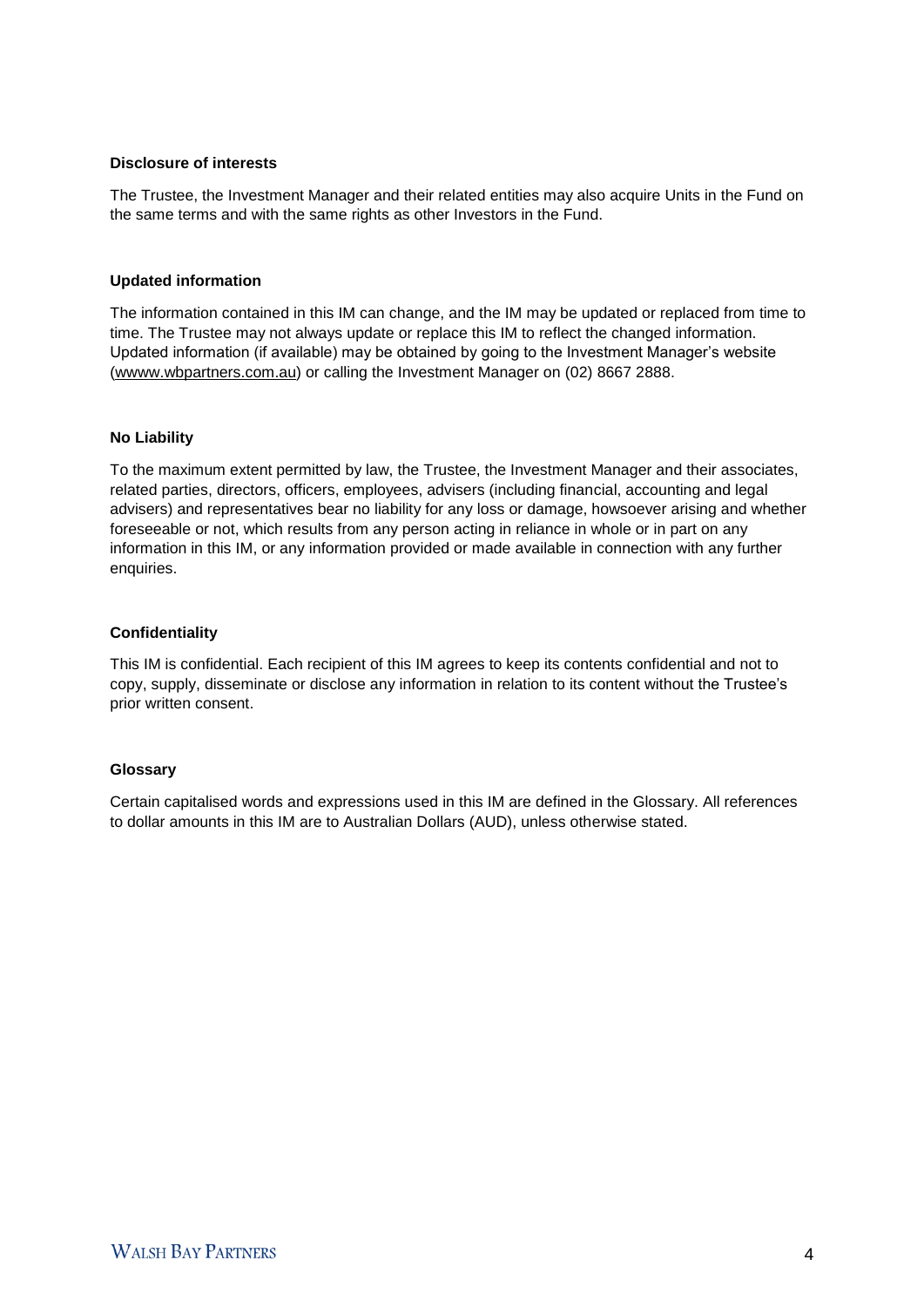#### **Disclosure of interests**

The Trustee, the Investment Manager and their related entities may also acquire Units in the Fund on the same terms and with the same rights as other Investors in the Fund.

#### **Updated information**

The information contained in this IM can change, and the IM may be updated or replaced from time to time. The Trustee may not always update or replace this IM to reflect the changed information. Updated information (if available) may be obtained by going to the Investment Manager's website (wwww.wbpartners.com.au) or calling the Investment Manager on (02) 8667 2888.

#### **No Liability**

To the maximum extent permitted by law, the Trustee, the Investment Manager and their associates, related parties, directors, officers, employees, advisers (including financial, accounting and legal advisers) and representatives bear no liability for any loss or damage, howsoever arising and whether foreseeable or not, which results from any person acting in reliance in whole or in part on any information in this IM, or any information provided or made available in connection with any further enquiries.

#### **Confidentiality**

This IM is confidential. Each recipient of this IM agrees to keep its contents confidential and not to copy, supply, disseminate or disclose any information in relation to its content without the Trustee's prior written consent.

#### **Glossary**

Certain capitalised words and expressions used in this IM are defined in the Glossary. All references to dollar amounts in this IM are to Australian Dollars (AUD), unless otherwise stated.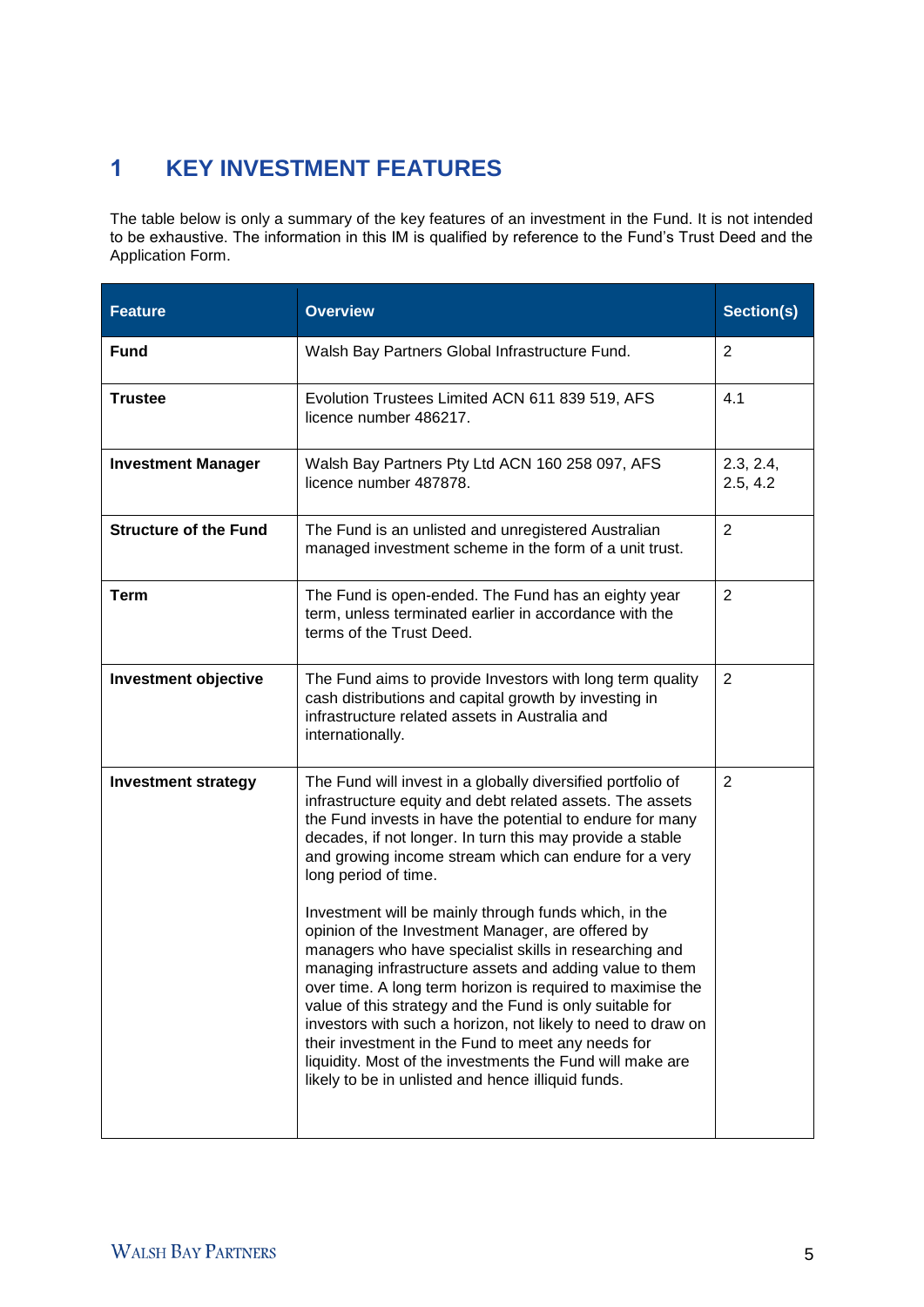# 1 **KEY INVESTMENT FEATURES**

The table below is only a summary of the key features of an investment in the Fund. It is not intended to be exhaustive. The information in this IM is qualified by reference to the Fund's Trust Deed and the Application Form.

| <b>Feature</b>               | <b>Overview</b>                                                                                                                                                                                                                                                                                                                                                                                                                                                                                                                                                                                    | Section(s)     |
|------------------------------|----------------------------------------------------------------------------------------------------------------------------------------------------------------------------------------------------------------------------------------------------------------------------------------------------------------------------------------------------------------------------------------------------------------------------------------------------------------------------------------------------------------------------------------------------------------------------------------------------|----------------|
| <b>Fund</b>                  | Walsh Bay Partners Global Infrastructure Fund.                                                                                                                                                                                                                                                                                                                                                                                                                                                                                                                                                     | $\overline{2}$ |
| <b>Trustee</b>               | Evolution Trustees Limited ACN 611 839 519, AFS<br>licence number 486217.                                                                                                                                                                                                                                                                                                                                                                                                                                                                                                                          | 4.1            |
| <b>Investment Manager</b>    | Walsh Bay Partners Pty Ltd ACN 160 258 097, AFS<br>licence number 487878.                                                                                                                                                                                                                                                                                                                                                                                                                                                                                                                          |                |
| <b>Structure of the Fund</b> | The Fund is an unlisted and unregistered Australian<br>managed investment scheme in the form of a unit trust.                                                                                                                                                                                                                                                                                                                                                                                                                                                                                      | $\overline{2}$ |
| <b>Term</b>                  | The Fund is open-ended. The Fund has an eighty year<br>term, unless terminated earlier in accordance with the<br>terms of the Trust Deed.                                                                                                                                                                                                                                                                                                                                                                                                                                                          | $\overline{2}$ |
| Investment objective         | 2<br>The Fund aims to provide Investors with long term quality<br>cash distributions and capital growth by investing in<br>infrastructure related assets in Australia and<br>internationally.                                                                                                                                                                                                                                                                                                                                                                                                      |                |
| <b>Investment strategy</b>   | The Fund will invest in a globally diversified portfolio of<br>infrastructure equity and debt related assets. The assets<br>the Fund invests in have the potential to endure for many<br>decades, if not longer. In turn this may provide a stable<br>and growing income stream which can endure for a very<br>long period of time.                                                                                                                                                                                                                                                                | $\overline{2}$ |
|                              | Investment will be mainly through funds which, in the<br>opinion of the Investment Manager, are offered by<br>managers who have specialist skills in researching and<br>managing infrastructure assets and adding value to them<br>over time. A long term horizon is required to maximise the<br>value of this strategy and the Fund is only suitable for<br>investors with such a horizon, not likely to need to draw on<br>their investment in the Fund to meet any needs for<br>liquidity. Most of the investments the Fund will make are<br>likely to be in unlisted and hence illiquid funds. |                |
|                              |                                                                                                                                                                                                                                                                                                                                                                                                                                                                                                                                                                                                    |                |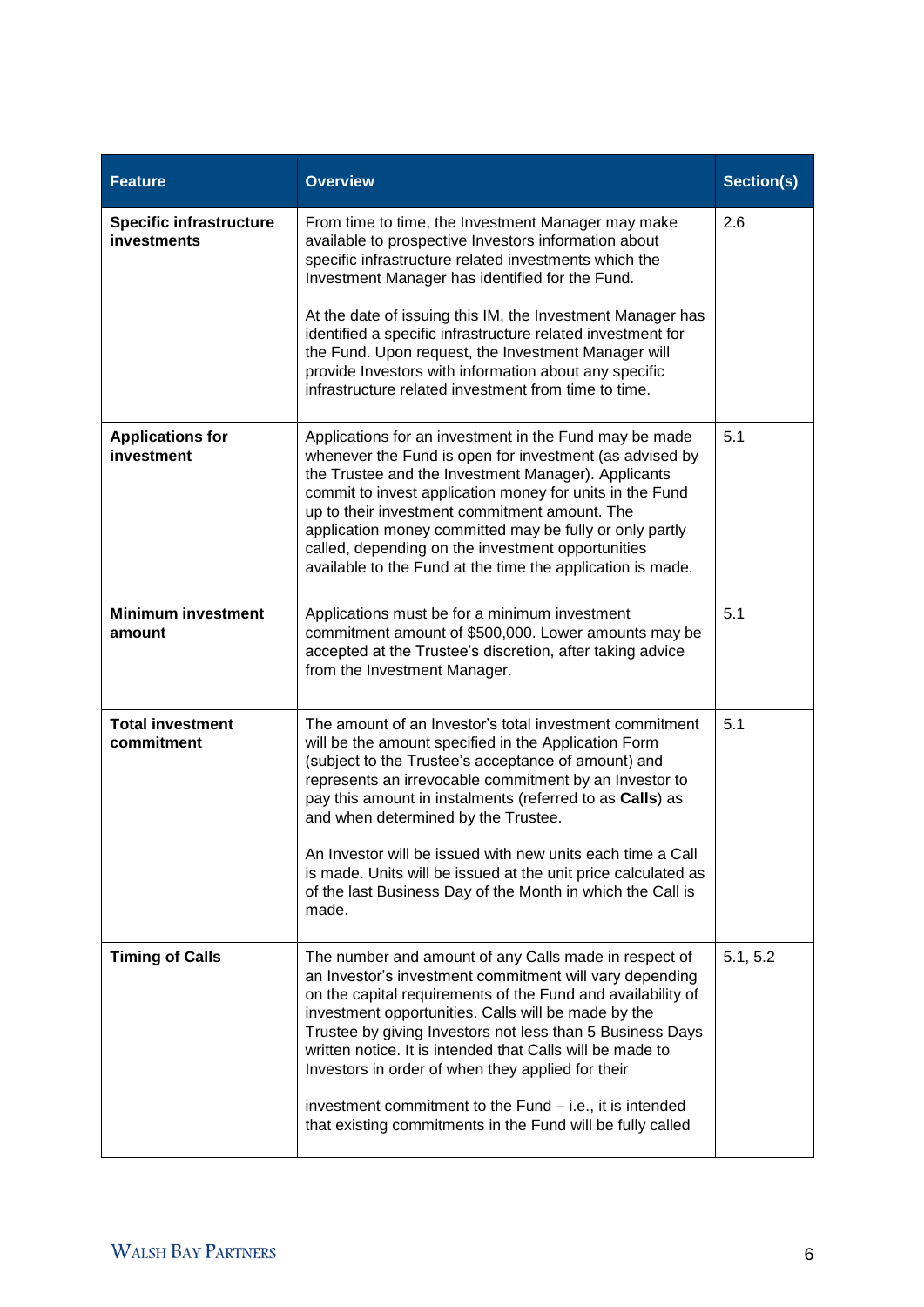| <b>Feature</b>                                       | <b>Overview</b>                                                                                                                                                                                                                                                                                                                                                                                                                                                                                                                                 | Section(s) |
|------------------------------------------------------|-------------------------------------------------------------------------------------------------------------------------------------------------------------------------------------------------------------------------------------------------------------------------------------------------------------------------------------------------------------------------------------------------------------------------------------------------------------------------------------------------------------------------------------------------|------------|
| <b>Specific infrastructure</b><br><b>investments</b> | From time to time, the Investment Manager may make<br>available to prospective Investors information about<br>specific infrastructure related investments which the<br>Investment Manager has identified for the Fund.                                                                                                                                                                                                                                                                                                                          | 2.6        |
|                                                      | At the date of issuing this IM, the Investment Manager has<br>identified a specific infrastructure related investment for<br>the Fund. Upon request, the Investment Manager will<br>provide Investors with information about any specific<br>infrastructure related investment from time to time.                                                                                                                                                                                                                                               |            |
| <b>Applications for</b><br>investment                | Applications for an investment in the Fund may be made<br>whenever the Fund is open for investment (as advised by<br>the Trustee and the Investment Manager). Applicants<br>commit to invest application money for units in the Fund<br>up to their investment commitment amount. The<br>application money committed may be fully or only partly<br>called, depending on the investment opportunities<br>available to the Fund at the time the application is made.                                                                             | 5.1        |
| <b>Minimum investment</b><br>amount                  | 5.1<br>Applications must be for a minimum investment<br>commitment amount of \$500,000. Lower amounts may be<br>accepted at the Trustee's discretion, after taking advice<br>from the Investment Manager.                                                                                                                                                                                                                                                                                                                                       |            |
| <b>Total investment</b><br>commitment                | The amount of an Investor's total investment commitment<br>will be the amount specified in the Application Form<br>(subject to the Trustee's acceptance of amount) and<br>represents an irrevocable commitment by an Investor to<br>pay this amount in instalments (referred to as Calls) as<br>and when determined by the Trustee.<br>An Investor will be issued with new units each time a Call<br>is made. Units will be issued at the unit price calculated as<br>of the last Business Day of the Month in which the Call is<br>made.       |            |
| <b>Timing of Calls</b>                               | The number and amount of any Calls made in respect of<br>an Investor's investment commitment will vary depending<br>on the capital requirements of the Fund and availability of<br>investment opportunities. Calls will be made by the<br>Trustee by giving Investors not less than 5 Business Days<br>written notice. It is intended that Calls will be made to<br>Investors in order of when they applied for their<br>investment commitment to the Fund – i.e., it is intended<br>that existing commitments in the Fund will be fully called | 5.1, 5.2   |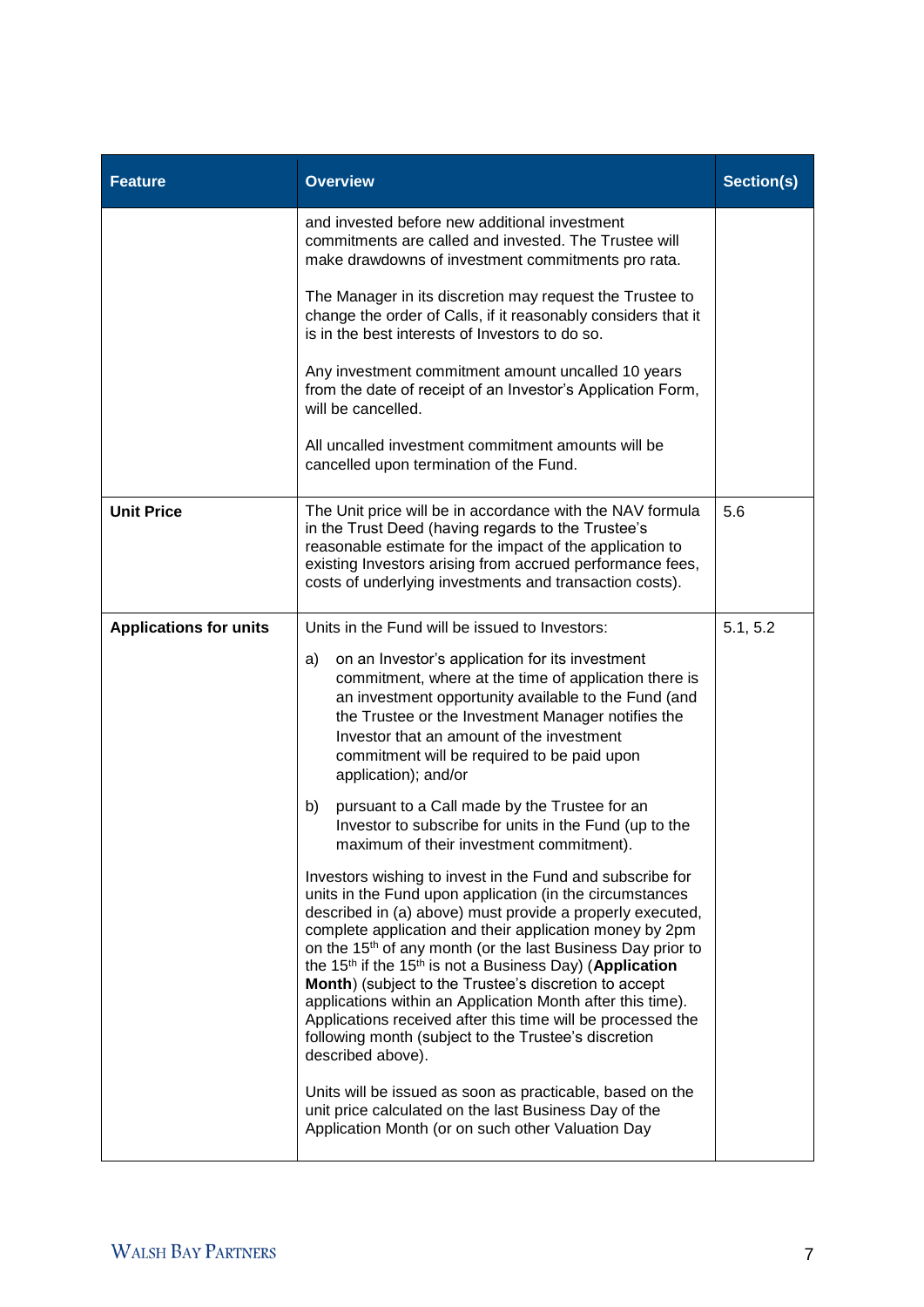| <b>Feature</b>                | <b>Overview</b>                                                                                                                                                                                                                                                                                                                                                                                                                                                                                                                                                                                                                                                                 | Section(s) |
|-------------------------------|---------------------------------------------------------------------------------------------------------------------------------------------------------------------------------------------------------------------------------------------------------------------------------------------------------------------------------------------------------------------------------------------------------------------------------------------------------------------------------------------------------------------------------------------------------------------------------------------------------------------------------------------------------------------------------|------------|
|                               | and invested before new additional investment<br>commitments are called and invested. The Trustee will<br>make drawdowns of investment commitments pro rata.                                                                                                                                                                                                                                                                                                                                                                                                                                                                                                                    |            |
|                               | The Manager in its discretion may request the Trustee to<br>change the order of Calls, if it reasonably considers that it<br>is in the best interests of Investors to do so.                                                                                                                                                                                                                                                                                                                                                                                                                                                                                                    |            |
|                               | Any investment commitment amount uncalled 10 years<br>from the date of receipt of an Investor's Application Form,<br>will be cancelled.                                                                                                                                                                                                                                                                                                                                                                                                                                                                                                                                         |            |
|                               | All uncalled investment commitment amounts will be<br>cancelled upon termination of the Fund.                                                                                                                                                                                                                                                                                                                                                                                                                                                                                                                                                                                   |            |
| <b>Unit Price</b>             | The Unit price will be in accordance with the NAV formula<br>in the Trust Deed (having regards to the Trustee's<br>reasonable estimate for the impact of the application to<br>existing Investors arising from accrued performance fees,<br>costs of underlying investments and transaction costs).                                                                                                                                                                                                                                                                                                                                                                             | 5.6        |
| <b>Applications for units</b> | Units in the Fund will be issued to Investors:<br>on an Investor's application for its investment<br>a)<br>commitment, where at the time of application there is<br>an investment opportunity available to the Fund (and<br>the Trustee or the Investment Manager notifies the<br>Investor that an amount of the investment<br>commitment will be required to be paid upon                                                                                                                                                                                                                                                                                                      | 5.1, 5.2   |
|                               | application); and/or<br>pursuant to a Call made by the Trustee for an<br>b)<br>Investor to subscribe for units in the Fund (up to the<br>maximum of their investment commitment).                                                                                                                                                                                                                                                                                                                                                                                                                                                                                               |            |
|                               | Investors wishing to invest in the Fund and subscribe for<br>units in the Fund upon application (in the circumstances<br>described in (a) above) must provide a properly executed,<br>complete application and their application money by 2pm<br>on the 15 <sup>th</sup> of any month (or the last Business Day prior to<br>the 15 <sup>th</sup> if the 15 <sup>th</sup> is not a Business Day) (Application<br>Month) (subject to the Trustee's discretion to accept<br>applications within an Application Month after this time).<br>Applications received after this time will be processed the<br>following month (subject to the Trustee's discretion<br>described above). |            |
|                               | Units will be issued as soon as practicable, based on the<br>unit price calculated on the last Business Day of the<br>Application Month (or on such other Valuation Day                                                                                                                                                                                                                                                                                                                                                                                                                                                                                                         |            |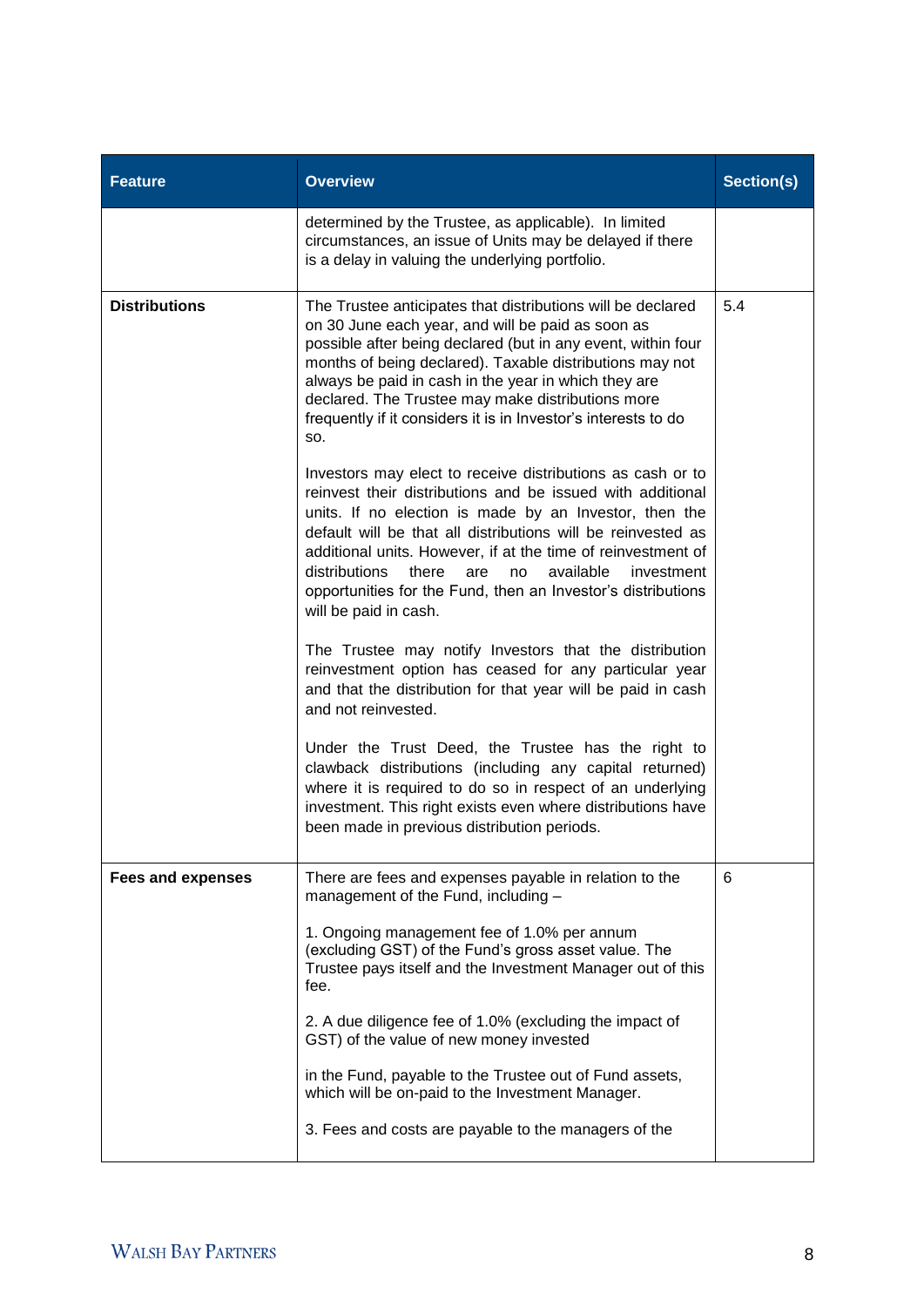| <b>Feature</b>                                       | <b>Overview</b>                                                                                                                                                                                                                                                                                                                                                                                                                                                               | Section(s) |
|------------------------------------------------------|-------------------------------------------------------------------------------------------------------------------------------------------------------------------------------------------------------------------------------------------------------------------------------------------------------------------------------------------------------------------------------------------------------------------------------------------------------------------------------|------------|
|                                                      | determined by the Trustee, as applicable). In limited<br>circumstances, an issue of Units may be delayed if there<br>is a delay in valuing the underlying portfolio.                                                                                                                                                                                                                                                                                                          |            |
| <b>Distributions</b>                                 | The Trustee anticipates that distributions will be declared<br>on 30 June each year, and will be paid as soon as<br>possible after being declared (but in any event, within four<br>months of being declared). Taxable distributions may not<br>always be paid in cash in the year in which they are<br>declared. The Trustee may make distributions more<br>frequently if it considers it is in Investor's interests to do<br>SO.                                            |            |
|                                                      | Investors may elect to receive distributions as cash or to<br>reinvest their distributions and be issued with additional<br>units. If no election is made by an Investor, then the<br>default will be that all distributions will be reinvested as<br>additional units. However, if at the time of reinvestment of<br>distributions<br>there<br>available<br>are<br>investment<br>no<br>opportunities for the Fund, then an Investor's distributions<br>will be paid in cash. |            |
|                                                      | The Trustee may notify Investors that the distribution<br>reinvestment option has ceased for any particular year<br>and that the distribution for that year will be paid in cash<br>and not reinvested.                                                                                                                                                                                                                                                                       |            |
|                                                      | Under the Trust Deed, the Trustee has the right to<br>clawback distributions (including any capital returned)<br>where it is required to do so in respect of an underlying<br>investment. This right exists even where distributions have<br>been made in previous distribution periods.                                                                                                                                                                                      |            |
| Fees and expenses                                    | There are fees and expenses payable in relation to the<br>management of the Fund, including -                                                                                                                                                                                                                                                                                                                                                                                 |            |
|                                                      | 1. Ongoing management fee of 1.0% per annum<br>(excluding GST) of the Fund's gross asset value. The<br>Trustee pays itself and the Investment Manager out of this<br>fee.                                                                                                                                                                                                                                                                                                     |            |
|                                                      | 2. A due diligence fee of 1.0% (excluding the impact of<br>GST) of the value of new money invested                                                                                                                                                                                                                                                                                                                                                                            |            |
|                                                      | in the Fund, payable to the Trustee out of Fund assets,<br>which will be on-paid to the Investment Manager.                                                                                                                                                                                                                                                                                                                                                                   |            |
| 3. Fees and costs are payable to the managers of the |                                                                                                                                                                                                                                                                                                                                                                                                                                                                               |            |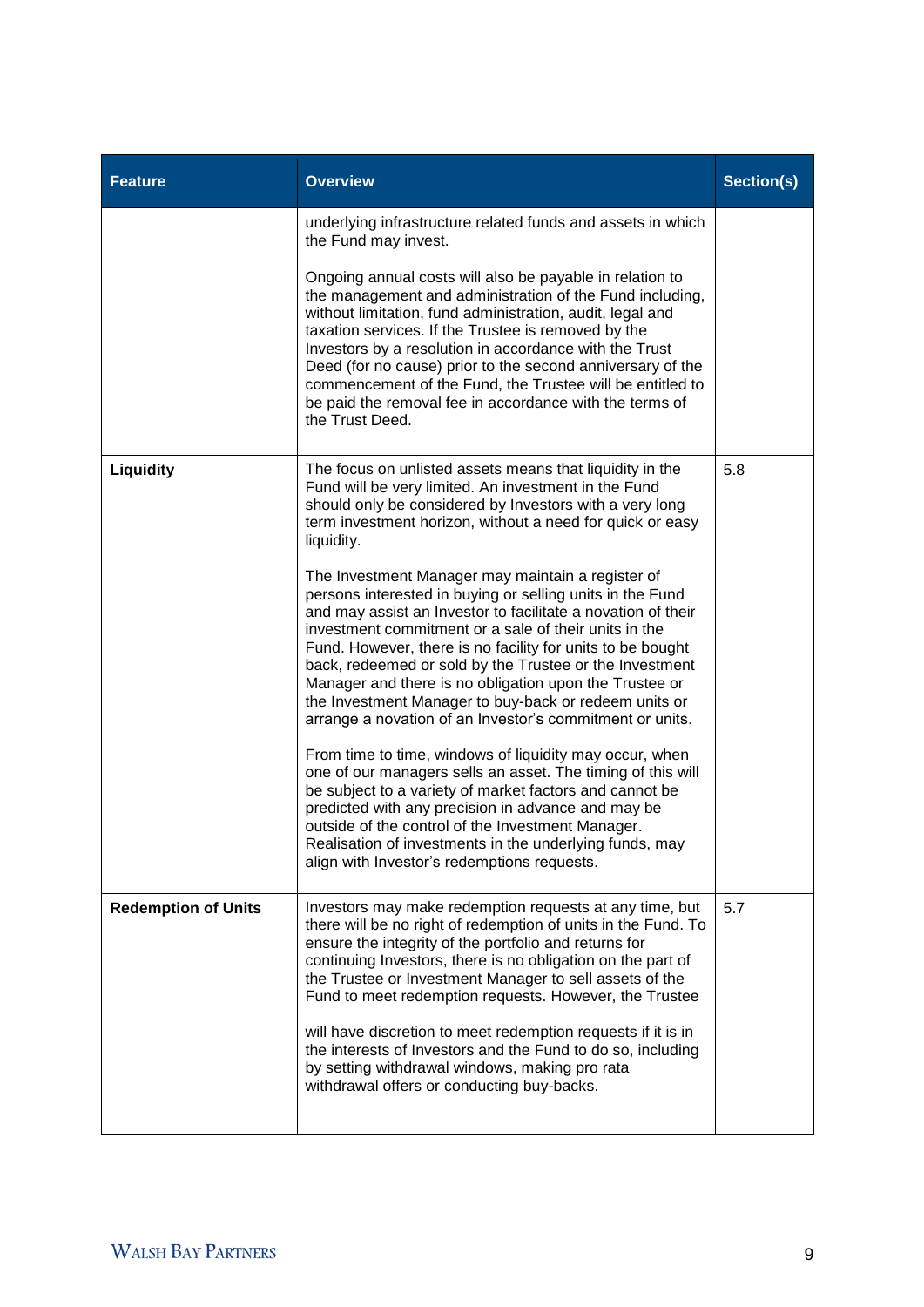| <b>Feature</b>             | <b>Overview</b>                                                                                                                                                                                                                                                                                                                                                                                                                                                                                                                                                                                                                                                                                                                                                                                                                                                                                                                                           | Section(s) |  |
|----------------------------|-----------------------------------------------------------------------------------------------------------------------------------------------------------------------------------------------------------------------------------------------------------------------------------------------------------------------------------------------------------------------------------------------------------------------------------------------------------------------------------------------------------------------------------------------------------------------------------------------------------------------------------------------------------------------------------------------------------------------------------------------------------------------------------------------------------------------------------------------------------------------------------------------------------------------------------------------------------|------------|--|
|                            | underlying infrastructure related funds and assets in which<br>the Fund may invest.                                                                                                                                                                                                                                                                                                                                                                                                                                                                                                                                                                                                                                                                                                                                                                                                                                                                       |            |  |
|                            | Ongoing annual costs will also be payable in relation to<br>the management and administration of the Fund including,<br>without limitation, fund administration, audit, legal and<br>taxation services. If the Trustee is removed by the<br>Investors by a resolution in accordance with the Trust<br>Deed (for no cause) prior to the second anniversary of the<br>commencement of the Fund, the Trustee will be entitled to<br>be paid the removal fee in accordance with the terms of<br>the Trust Deed.                                                                                                                                                                                                                                                                                                                                                                                                                                               |            |  |
| Liquidity                  | The focus on unlisted assets means that liquidity in the<br>Fund will be very limited. An investment in the Fund<br>should only be considered by Investors with a very long<br>term investment horizon, without a need for quick or easy<br>liquidity.                                                                                                                                                                                                                                                                                                                                                                                                                                                                                                                                                                                                                                                                                                    | 5.8        |  |
|                            | The Investment Manager may maintain a register of<br>persons interested in buying or selling units in the Fund<br>and may assist an Investor to facilitate a novation of their<br>investment commitment or a sale of their units in the<br>Fund. However, there is no facility for units to be bought<br>back, redeemed or sold by the Trustee or the Investment<br>Manager and there is no obligation upon the Trustee or<br>the Investment Manager to buy-back or redeem units or<br>arrange a novation of an Investor's commitment or units.<br>From time to time, windows of liquidity may occur, when<br>one of our managers sells an asset. The timing of this will<br>be subject to a variety of market factors and cannot be<br>predicted with any precision in advance and may be<br>outside of the control of the Investment Manager.<br>Realisation of investments in the underlying funds, may<br>align with Investor's redemptions requests. |            |  |
| <b>Redemption of Units</b> | Investors may make redemption requests at any time, but<br>there will be no right of redemption of units in the Fund. To<br>ensure the integrity of the portfolio and returns for<br>continuing Investors, there is no obligation on the part of<br>the Trustee or Investment Manager to sell assets of the<br>Fund to meet redemption requests. However, the Trustee<br>will have discretion to meet redemption requests if it is in<br>the interests of Investors and the Fund to do so, including<br>by setting withdrawal windows, making pro rata<br>withdrawal offers or conducting buy-backs.                                                                                                                                                                                                                                                                                                                                                      |            |  |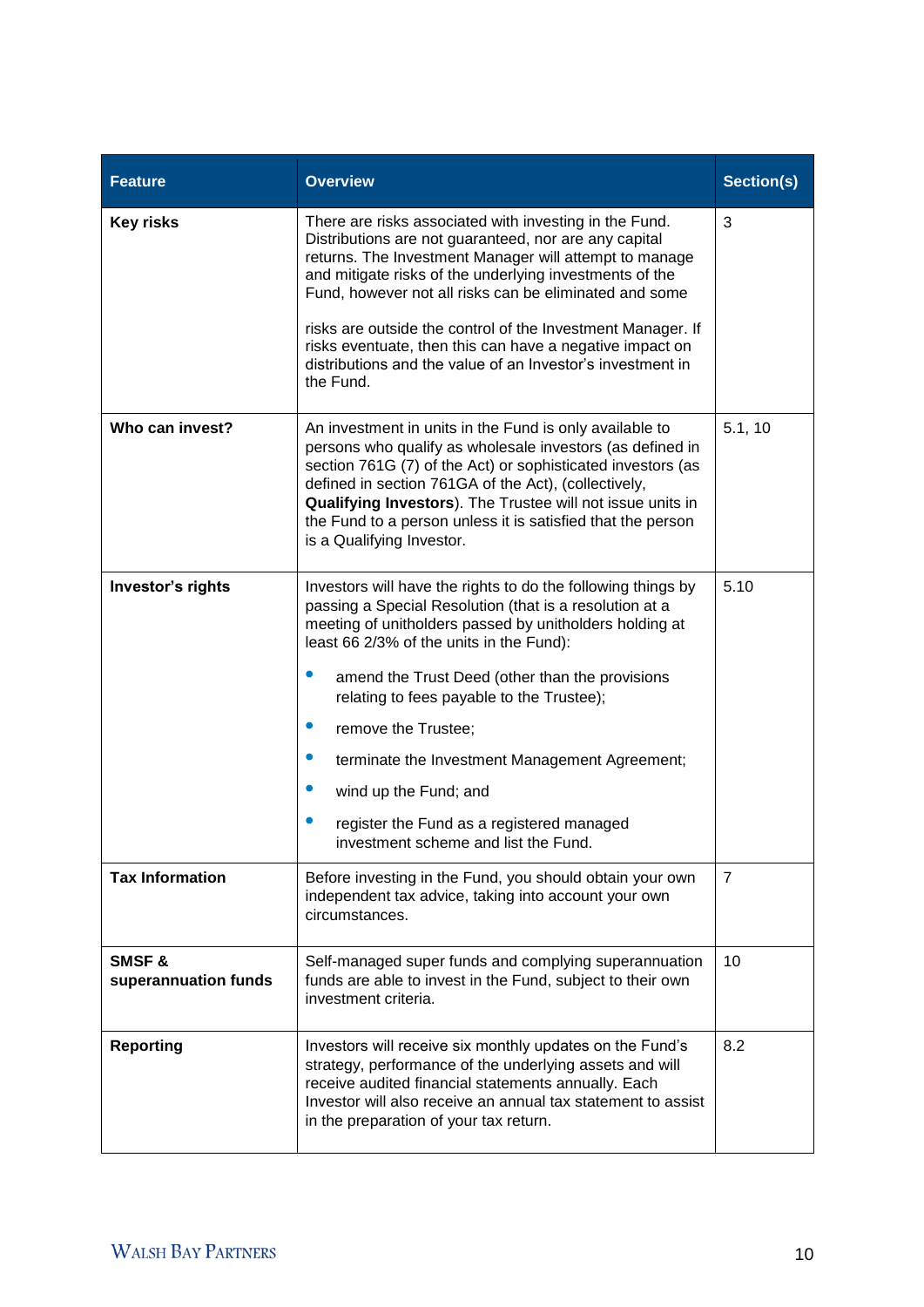| <b>Feature</b>                | <b>Overview</b>                                                                                                                                                                                                                                                                                                                                                                                                                                                                                                                                              | Section(s) |
|-------------------------------|--------------------------------------------------------------------------------------------------------------------------------------------------------------------------------------------------------------------------------------------------------------------------------------------------------------------------------------------------------------------------------------------------------------------------------------------------------------------------------------------------------------------------------------------------------------|------------|
| <b>Key risks</b>              | There are risks associated with investing in the Fund.<br>Distributions are not guaranteed, nor are any capital<br>returns. The Investment Manager will attempt to manage<br>and mitigate risks of the underlying investments of the<br>Fund, however not all risks can be eliminated and some<br>risks are outside the control of the Investment Manager. If<br>risks eventuate, then this can have a negative impact on<br>distributions and the value of an Investor's investment in<br>the Fund.                                                         | 3          |
| Who can invest?               | 5.1, 10<br>An investment in units in the Fund is only available to<br>persons who qualify as wholesale investors (as defined in<br>section 761G (7) of the Act) or sophisticated investors (as<br>defined in section 761GA of the Act), (collectively,<br>Qualifying Investors). The Trustee will not issue units in<br>the Fund to a person unless it is satisfied that the person<br>is a Qualifying Investor.                                                                                                                                             |            |
| Investor's rights             | Investors will have the rights to do the following things by<br>passing a Special Resolution (that is a resolution at a<br>meeting of unitholders passed by unitholders holding at<br>least 66 2/3% of the units in the Fund):<br>$\bullet$<br>amend the Trust Deed (other than the provisions<br>relating to fees payable to the Trustee);<br>$\bullet$<br>remove the Trustee;<br>$\bullet$<br>terminate the Investment Management Agreement;<br>wind up the Fund; and<br>register the Fund as a registered managed<br>investment scheme and list the Fund. |            |
| <b>Tax Information</b>        | Before investing in the Fund, you should obtain your own<br>independent tax advice, taking into account your own<br>circumstances.                                                                                                                                                                                                                                                                                                                                                                                                                           |            |
| SMSF&<br>superannuation funds | 10<br>Self-managed super funds and complying superannuation<br>funds are able to invest in the Fund, subject to their own<br>investment criteria.                                                                                                                                                                                                                                                                                                                                                                                                            |            |
| <b>Reporting</b>              | 8.2<br>Investors will receive six monthly updates on the Fund's<br>strategy, performance of the underlying assets and will<br>receive audited financial statements annually. Each<br>Investor will also receive an annual tax statement to assist<br>in the preparation of your tax return.                                                                                                                                                                                                                                                                  |            |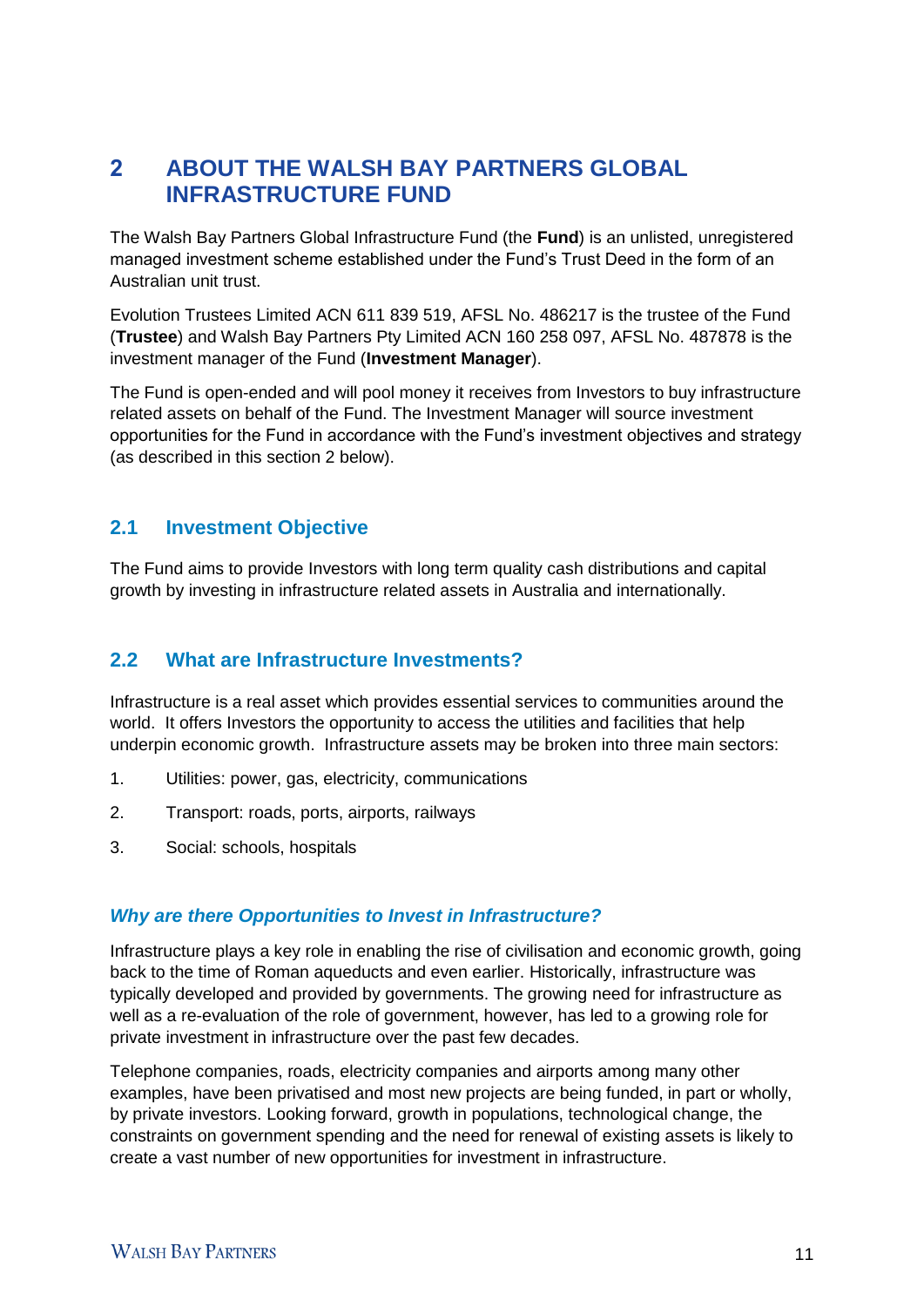# 2 **ABOUT THE WALSH BAY PARTNERS GLOBAL INFRASTRUCTURE FUND**

The Walsh Bay Partners Global Infrastructure Fund (the **Fund**) is an unlisted, unregistered managed investment scheme established under the Fund's Trust Deed in the form of an Australian unit trust.

Evolution Trustees Limited ACN 611 839 519, AFSL No. 486217 is the trustee of the Fund (**Trustee**) and Walsh Bay Partners Pty Limited ACN 160 258 097, AFSL No. 487878 is the investment manager of the Fund (**Investment Manager**).

The Fund is open-ended and will pool money it receives from Investors to buy infrastructure related assets on behalf of the Fund. The Investment Manager will source investment opportunities for the Fund in accordance with the Fund's investment objectives and strategy (as described in this section 2 below).

## **2.1 Investment Objective**

The Fund aims to provide Investors with long term quality cash distributions and capital growth by investing in infrastructure related assets in Australia and internationally.

## **2.2 What are Infrastructure Investments?**

Infrastructure is a real asset which provides essential services to communities around the world. It offers Investors the opportunity to access the utilities and facilities that help underpin economic growth. Infrastructure assets may be broken into three main sectors:

- 1. Utilities: power, gas, electricity, communications
- 2. Transport: roads, ports, airports, railways
- 3. Social: schools, hospitals

## *Why are there Opportunities to Invest in Infrastructure?*

Infrastructure plays a key role in enabling the rise of civilisation and economic growth, going back to the time of Roman aqueducts and even earlier. Historically, infrastructure was typically developed and provided by governments. The growing need for infrastructure as well as a re-evaluation of the role of government, however, has led to a growing role for private investment in infrastructure over the past few decades.

Telephone companies, roads, electricity companies and airports among many other examples, have been privatised and most new projects are being funded, in part or wholly, by private investors. Looking forward, growth in populations, technological change, the constraints on government spending and the need for renewal of existing assets is likely to create a vast number of new opportunities for investment in infrastructure.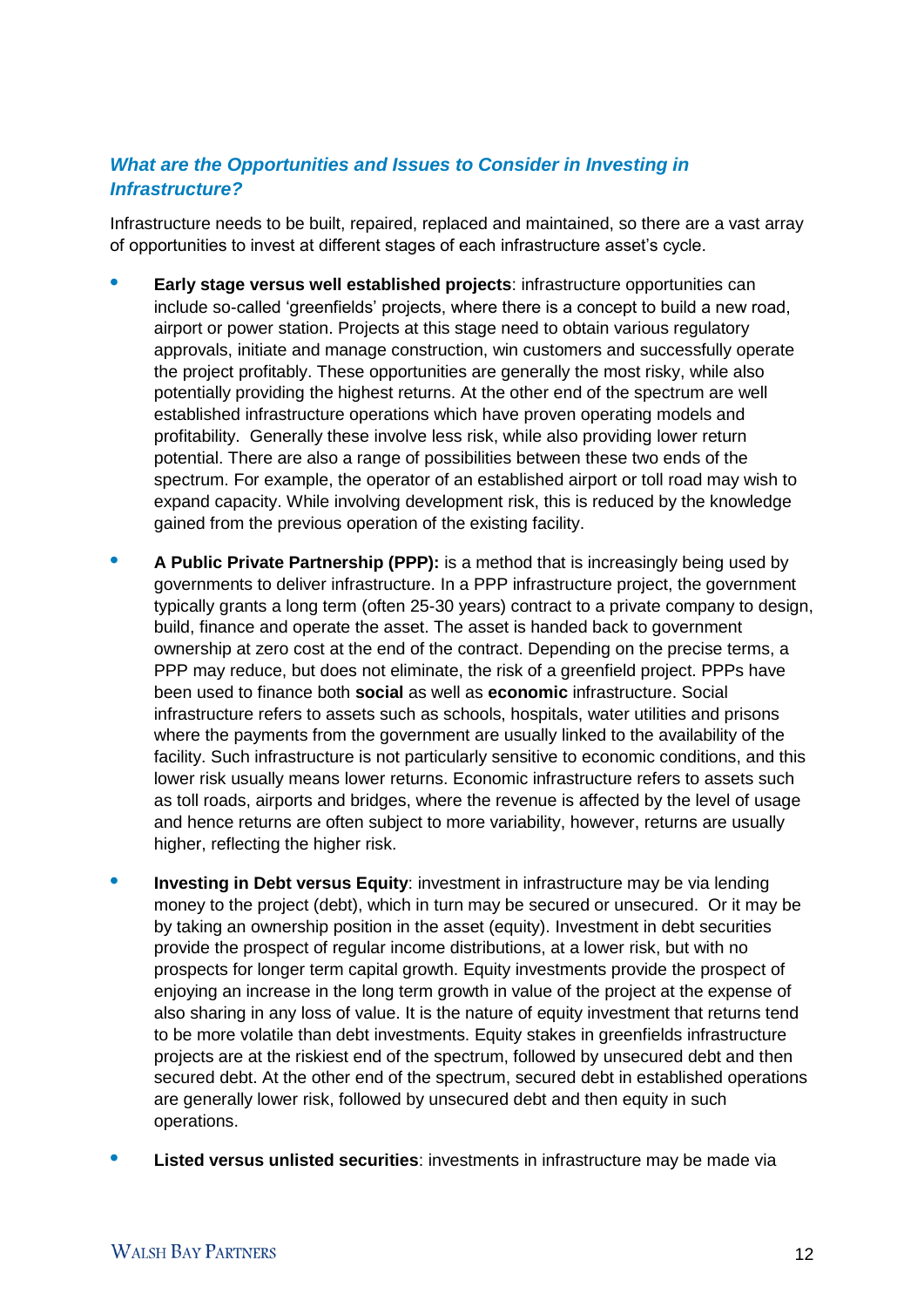## *What are the Opportunities and Issues to Consider in Investing in Infrastructure?*

Infrastructure needs to be built, repaired, replaced and maintained, so there are a vast array of opportunities to invest at different stages of each infrastructure asset's cycle.

- **• Early stage versus well established projects**: infrastructure opportunities can include so-called 'greenfields' projects, where there is a concept to build a new road, airport or power station. Projects at this stage need to obtain various regulatory approvals, initiate and manage construction, win customers and successfully operate the project profitably. These opportunities are generally the most risky, while also potentially providing the highest returns. At the other end of the spectrum are well established infrastructure operations which have proven operating models and profitability. Generally these involve less risk, while also providing lower return potential. There are also a range of possibilities between these two ends of the spectrum. For example, the operator of an established airport or toll road may wish to expand capacity. While involving development risk, this is reduced by the knowledge gained from the previous operation of the existing facility.
- **A Public Private Partnership (PPP):** is a method that is increasingly being used by governments to deliver infrastructure. In a PPP infrastructure project, the government typically grants a long term (often 25-30 years) contract to a private company to design, build, finance and operate the asset. The asset is handed back to government ownership at zero cost at the end of the contract. Depending on the precise terms, a PPP may reduce, but does not eliminate, the risk of a greenfield project. PPPs have been used to finance both **social** as well as **economic** infrastructure. Social infrastructure refers to assets such as schools, hospitals, water utilities and prisons where the payments from the government are usually linked to the availability of the facility. Such infrastructure is not particularly sensitive to economic conditions, and this lower risk usually means lower returns. Economic infrastructure refers to assets such as toll roads, airports and bridges, where the revenue is affected by the level of usage and hence returns are often subject to more variability, however, returns are usually higher, reflecting the higher risk.
- **Investing in Debt versus Equity:** investment in infrastructure may be via lending money to the project (debt), which in turn may be secured or unsecured. Or it may be by taking an ownership position in the asset (equity). Investment in debt securities provide the prospect of regular income distributions, at a lower risk, but with no prospects for longer term capital growth. Equity investments provide the prospect of enjoying an increase in the long term growth in value of the project at the expense of also sharing in any loss of value. It is the nature of equity investment that returns tend to be more volatile than debt investments. Equity stakes in greenfields infrastructure projects are at the riskiest end of the spectrum, followed by unsecured debt and then secured debt. At the other end of the spectrum, secured debt in established operations are generally lower risk, followed by unsecured debt and then equity in such operations.
- **• Listed versus unlisted securities**: investments in infrastructure may be made via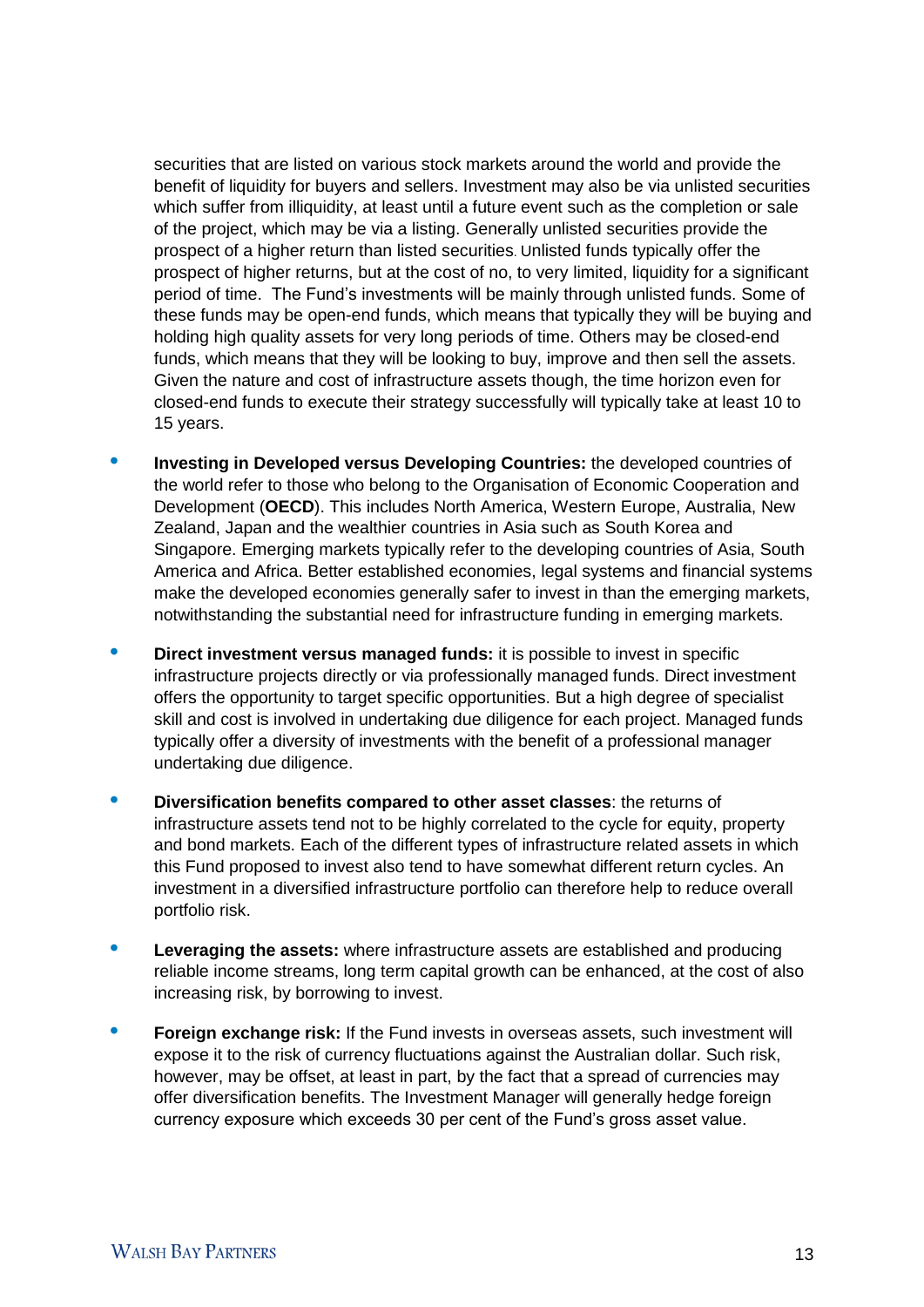securities that are listed on various stock markets around the world and provide the benefit of liquidity for buyers and sellers. Investment may also be via unlisted securities which suffer from illiquidity, at least until a future event such as the completion or sale of the project, which may be via a listing. Generally unlisted securities provide the prospect of a higher return than listed securities. Unlisted funds typically offer the prospect of higher returns, but at the cost of no, to very limited, liquidity for a significant period of time. The Fund's investments will be mainly through unlisted funds. Some of these funds may be open-end funds, which means that typically they will be buying and holding high quality assets for very long periods of time. Others may be closed-end funds, which means that they will be looking to buy, improve and then sell the assets. Given the nature and cost of infrastructure assets though, the time horizon even for closed-end funds to execute their strategy successfully will typically take at least 10 to 15 years.

- **• Investing in Developed versus Developing Countries:** the developed countries of the world refer to those who belong to the Organisation of Economic Cooperation and Development (**OECD**). This includes North America, Western Europe, Australia, New Zealand, Japan and the wealthier countries in Asia such as South Korea and Singapore. Emerging markets typically refer to the developing countries of Asia, South America and Africa. Better established economies, legal systems and financial systems make the developed economies generally safer to invest in than the emerging markets, notwithstanding the substantial need for infrastructure funding in emerging markets.
- **• Direct investment versus managed funds:** it is possible to invest in specific infrastructure projects directly or via professionally managed funds. Direct investment offers the opportunity to target specific opportunities. But a high degree of specialist skill and cost is involved in undertaking due diligence for each project. Managed funds typically offer a diversity of investments with the benefit of a professional manager undertaking due diligence.
- **• Diversification benefits compared to other asset classes**: the returns of infrastructure assets tend not to be highly correlated to the cycle for equity, property and bond markets. Each of the different types of infrastructure related assets in which this Fund proposed to invest also tend to have somewhat different return cycles. An investment in a diversified infrastructure portfolio can therefore help to reduce overall portfolio risk.
- **• Leveraging the assets:** where infrastructure assets are established and producing reliable income streams, long term capital growth can be enhanced, at the cost of also increasing risk, by borrowing to invest.
- **Foreign exchange risk:** If the Fund invests in overseas assets, such investment will expose it to the risk of currency fluctuations against the Australian dollar. Such risk, however, may be offset, at least in part, by the fact that a spread of currencies may offer diversification benefits. The Investment Manager will generally hedge foreign currency exposure which exceeds 30 per cent of the Fund's gross asset value.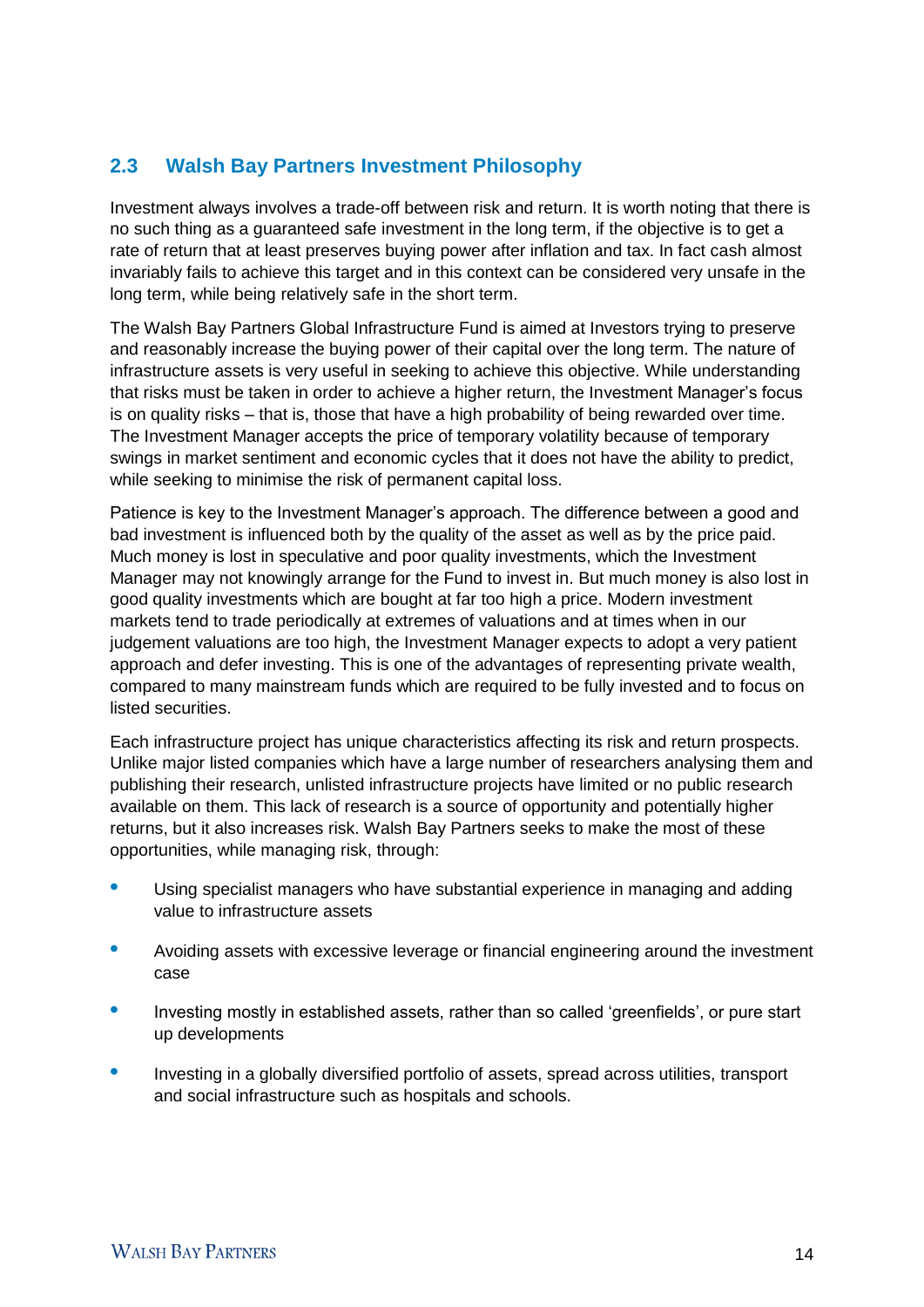# **2.3 Walsh Bay Partners Investment Philosophy**

Investment always involves a trade-off between risk and return. It is worth noting that there is no such thing as a guaranteed safe investment in the long term, if the objective is to get a rate of return that at least preserves buying power after inflation and tax. In fact cash almost invariably fails to achieve this target and in this context can be considered very unsafe in the long term, while being relatively safe in the short term.

The Walsh Bay Partners Global Infrastructure Fund is aimed at Investors trying to preserve and reasonably increase the buying power of their capital over the long term. The nature of infrastructure assets is very useful in seeking to achieve this objective. While understanding that risks must be taken in order to achieve a higher return, the Investment Manager's focus is on quality risks – that is, those that have a high probability of being rewarded over time. The Investment Manager accepts the price of temporary volatility because of temporary swings in market sentiment and economic cycles that it does not have the ability to predict, while seeking to minimise the risk of permanent capital loss.

Patience is key to the Investment Manager's approach. The difference between a good and bad investment is influenced both by the quality of the asset as well as by the price paid. Much money is lost in speculative and poor quality investments, which the Investment Manager may not knowingly arrange for the Fund to invest in. But much money is also lost in good quality investments which are bought at far too high a price. Modern investment markets tend to trade periodically at extremes of valuations and at times when in our judgement valuations are too high, the Investment Manager expects to adopt a very patient approach and defer investing. This is one of the advantages of representing private wealth, compared to many mainstream funds which are required to be fully invested and to focus on listed securities.

Each infrastructure project has unique characteristics affecting its risk and return prospects. Unlike major listed companies which have a large number of researchers analysing them and publishing their research, unlisted infrastructure projects have limited or no public research available on them. This lack of research is a source of opportunity and potentially higher returns, but it also increases risk. Walsh Bay Partners seeks to make the most of these opportunities, while managing risk, through:

- **•** Using specialist managers who have substantial experience in managing and adding value to infrastructure assets
- Avoiding assets with excessive leverage or financial engineering around the investment case
- Investing mostly in established assets, rather than so called 'greenfields', or pure start up developments
- **•** Investing in a globally diversified portfolio of assets, spread across utilities, transport and social infrastructure such as hospitals and schools.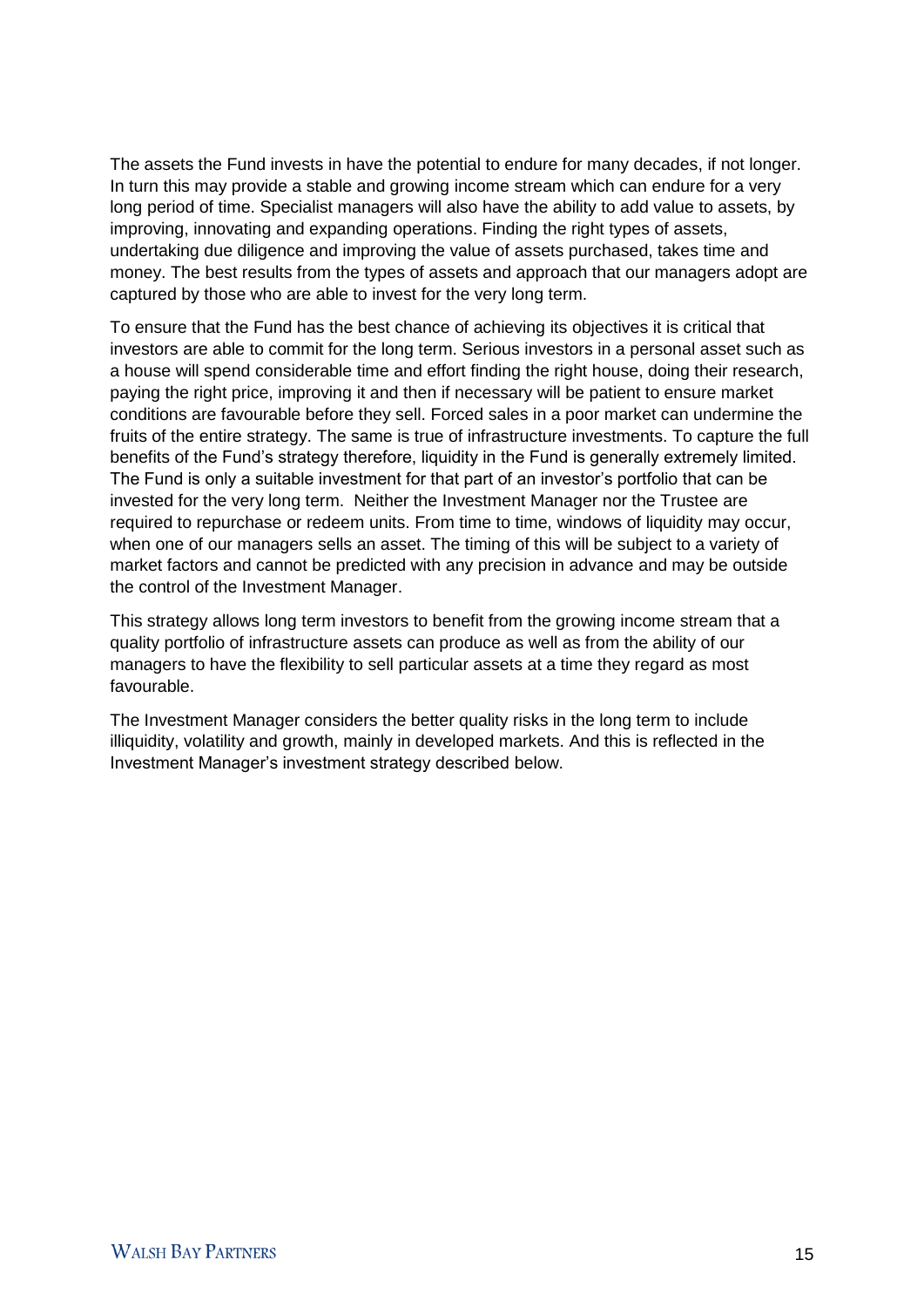The assets the Fund invests in have the potential to endure for many decades, if not longer. In turn this may provide a stable and growing income stream which can endure for a very long period of time. Specialist managers will also have the ability to add value to assets, by improving, innovating and expanding operations. Finding the right types of assets, undertaking due diligence and improving the value of assets purchased, takes time and money. The best results from the types of assets and approach that our managers adopt are captured by those who are able to invest for the very long term.

To ensure that the Fund has the best chance of achieving its objectives it is critical that investors are able to commit for the long term. Serious investors in a personal asset such as a house will spend considerable time and effort finding the right house, doing their research, paying the right price, improving it and then if necessary will be patient to ensure market conditions are favourable before they sell. Forced sales in a poor market can undermine the fruits of the entire strategy. The same is true of infrastructure investments. To capture the full benefits of the Fund's strategy therefore, liquidity in the Fund is generally extremely limited. The Fund is only a suitable investment for that part of an investor's portfolio that can be invested for the very long term. Neither the Investment Manager nor the Trustee are required to repurchase or redeem units. From time to time, windows of liquidity may occur, when one of our managers sells an asset. The timing of this will be subject to a variety of market factors and cannot be predicted with any precision in advance and may be outside the control of the Investment Manager.

This strategy allows long term investors to benefit from the growing income stream that a quality portfolio of infrastructure assets can produce as well as from the ability of our managers to have the flexibility to sell particular assets at a time they regard as most favourable.

The Investment Manager considers the better quality risks in the long term to include illiquidity, volatility and growth, mainly in developed markets. And this is reflected in the Investment Manager's investment strategy described below.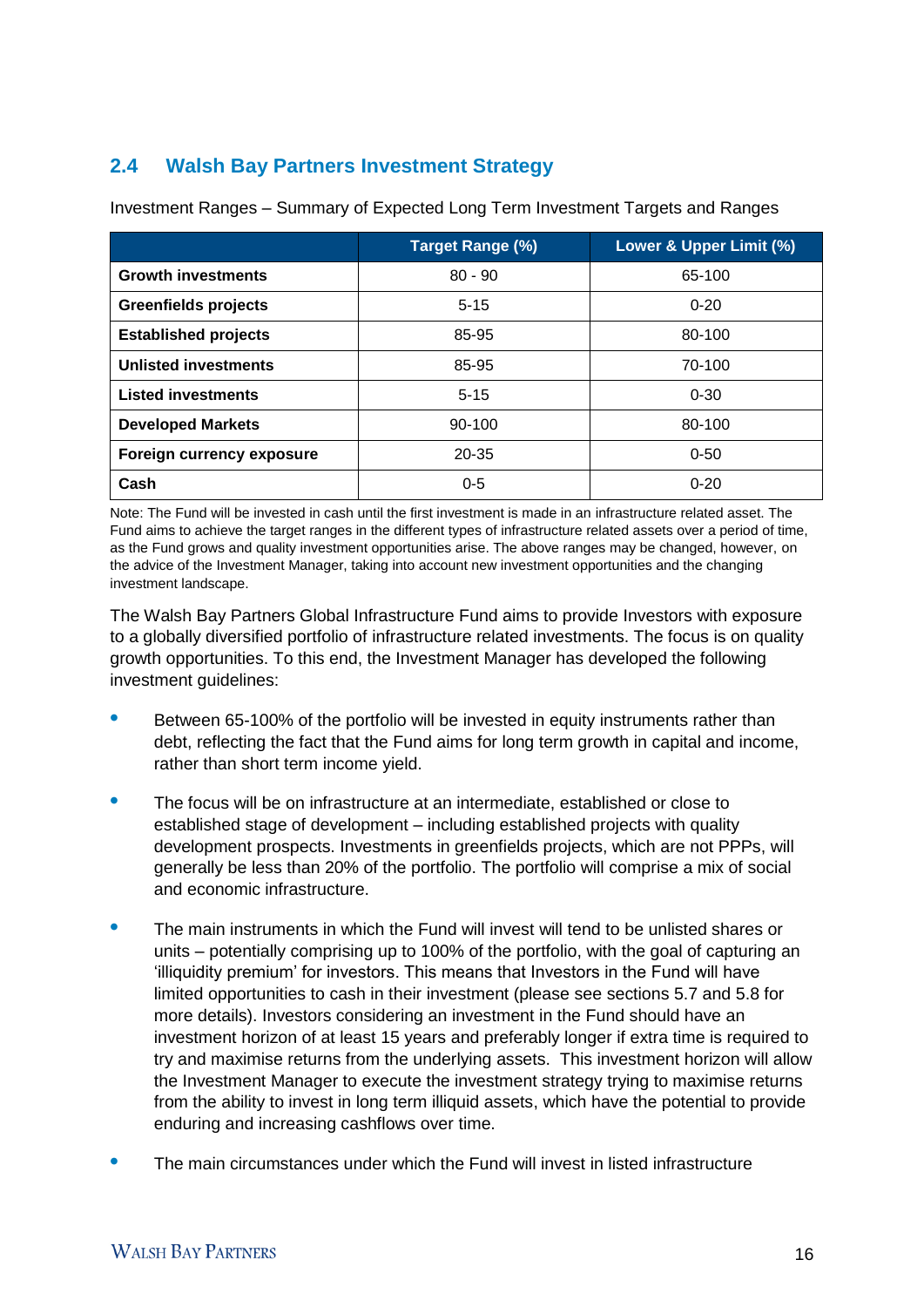# **2.4 Walsh Bay Partners Investment Strategy**

|                             | Target Range (%) | Lower & Upper Limit (%) |
|-----------------------------|------------------|-------------------------|
| <b>Growth investments</b>   | $80 - 90$        | 65-100                  |
| <b>Greenfields projects</b> | $5 - 15$         | $0 - 20$                |
| <b>Established projects</b> | 85-95            | 80-100                  |
| <b>Unlisted investments</b> | 85-95            | 70-100                  |
| <b>Listed investments</b>   | $5 - 15$         | $0 - 30$                |
| <b>Developed Markets</b>    | 90-100           | 80-100                  |
| Foreign currency exposure   | $20 - 35$        | $0 - 50$                |
| Cash                        | $0 - 5$          | $0 - 20$                |

Investment Ranges – Summary of Expected Long Term Investment Targets and Ranges

Note: The Fund will be invested in cash until the first investment is made in an infrastructure related asset. The Fund aims to achieve the target ranges in the different types of infrastructure related assets over a period of time, as the Fund grows and quality investment opportunities arise. The above ranges may be changed, however, on the advice of the Investment Manager, taking into account new investment opportunities and the changing investment landscape.

The Walsh Bay Partners Global Infrastructure Fund aims to provide Investors with exposure to a globally diversified portfolio of infrastructure related investments. The focus is on quality growth opportunities. To this end, the Investment Manager has developed the following investment guidelines:

- **•** Between 65-100% of the portfolio will be invested in equity instruments rather than debt, reflecting the fact that the Fund aims for long term growth in capital and income, rather than short term income yield.
- **•** The focus will be on infrastructure at an intermediate, established or close to established stage of development – including established projects with quality development prospects. Investments in greenfields projects, which are not PPPs, will generally be less than 20% of the portfolio. The portfolio will comprise a mix of social and economic infrastructure.
- **•** The main instruments in which the Fund will invest will tend to be unlisted shares or units – potentially comprising up to 100% of the portfolio, with the goal of capturing an 'illiquidity premium' for investors. This means that Investors in the Fund will have limited opportunities to cash in their investment (please see sections 5.7 and 5.8 for more details). Investors considering an investment in the Fund should have an investment horizon of at least 15 years and preferably longer if extra time is required to try and maximise returns from the underlying assets. This investment horizon will allow the Investment Manager to execute the investment strategy trying to maximise returns from the ability to invest in long term illiquid assets, which have the potential to provide enduring and increasing cashflows over time.
- **•** The main circumstances under which the Fund will invest in listed infrastructure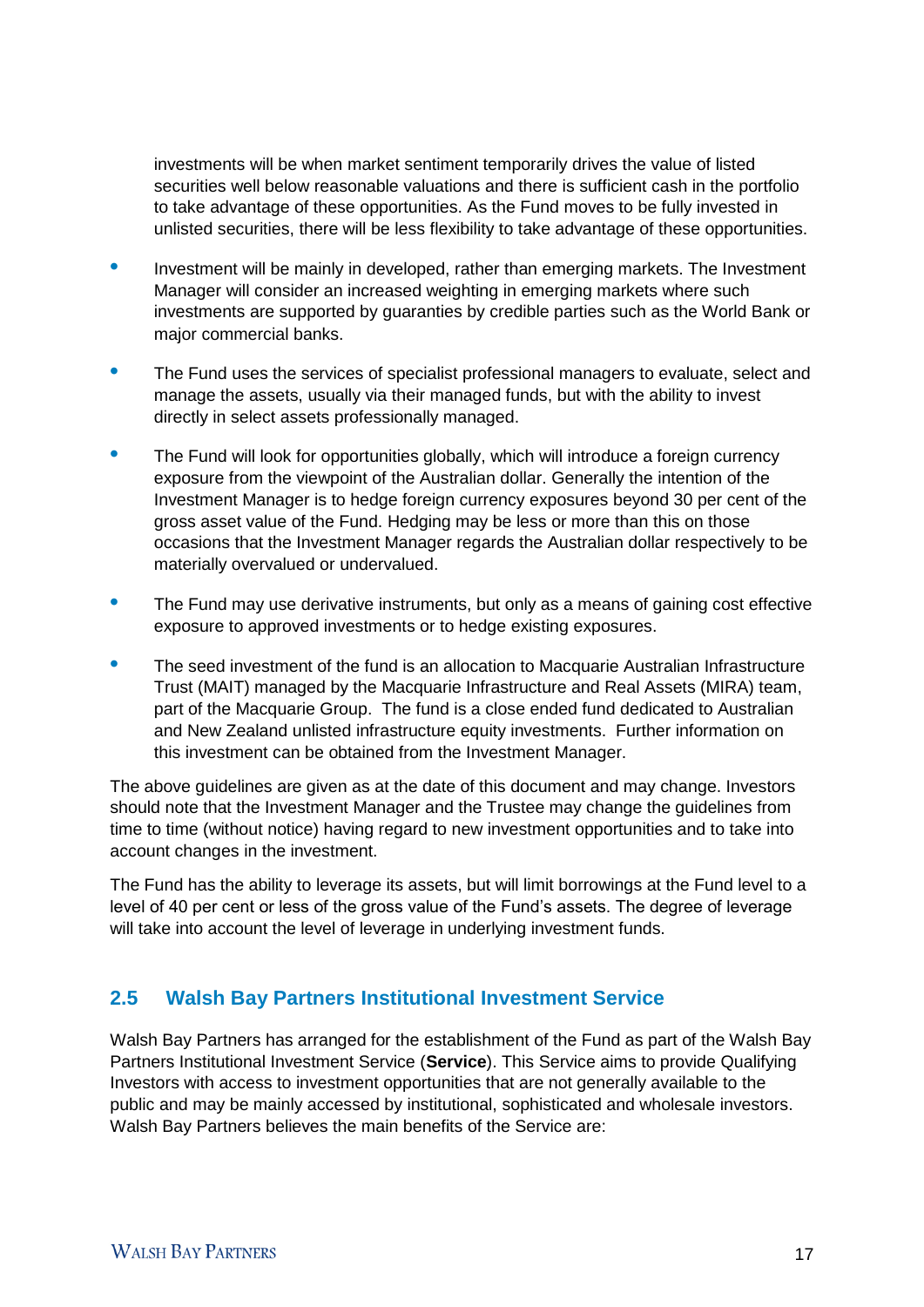investments will be when market sentiment temporarily drives the value of listed securities well below reasonable valuations and there is sufficient cash in the portfolio to take advantage of these opportunities. As the Fund moves to be fully invested in unlisted securities, there will be less flexibility to take advantage of these opportunities.

- **•** Investment will be mainly in developed, rather than emerging markets. The Investment Manager will consider an increased weighting in emerging markets where such investments are supported by guaranties by credible parties such as the World Bank or major commercial banks.
- **•** The Fund uses the services of specialist professional managers to evaluate, select and manage the assets, usually via their managed funds, but with the ability to invest directly in select assets professionally managed.
- The Fund will look for opportunities globally, which will introduce a foreign currency exposure from the viewpoint of the Australian dollar. Generally the intention of the Investment Manager is to hedge foreign currency exposures beyond 30 per cent of the gross asset value of the Fund. Hedging may be less or more than this on those occasions that the Investment Manager regards the Australian dollar respectively to be materially overvalued or undervalued.
- **•** The Fund may use derivative instruments, but only as a means of gaining cost effective exposure to approved investments or to hedge existing exposures.
- The seed investment of the fund is an allocation to Macquarie Australian Infrastructure Trust (MAIT) managed by the Macquarie Infrastructure and Real Assets (MIRA) team, part of the Macquarie Group. The fund is a close ended fund dedicated to Australian and New Zealand unlisted infrastructure equity investments. Further information on this investment can be obtained from the Investment Manager.

The above guidelines are given as at the date of this document and may change. Investors should note that the Investment Manager and the Trustee may change the guidelines from time to time (without notice) having regard to new investment opportunities and to take into account changes in the investment.

The Fund has the ability to leverage its assets, but will limit borrowings at the Fund level to a level of 40 per cent or less of the gross value of the Fund's assets. The degree of leverage will take into account the level of leverage in underlying investment funds.

# **2.5 Walsh Bay Partners Institutional Investment Service**

Walsh Bay Partners has arranged for the establishment of the Fund as part of the Walsh Bay Partners Institutional Investment Service (**Service**). This Service aims to provide Qualifying Investors with access to investment opportunities that are not generally available to the public and may be mainly accessed by institutional, sophisticated and wholesale investors. Walsh Bay Partners believes the main benefits of the Service are: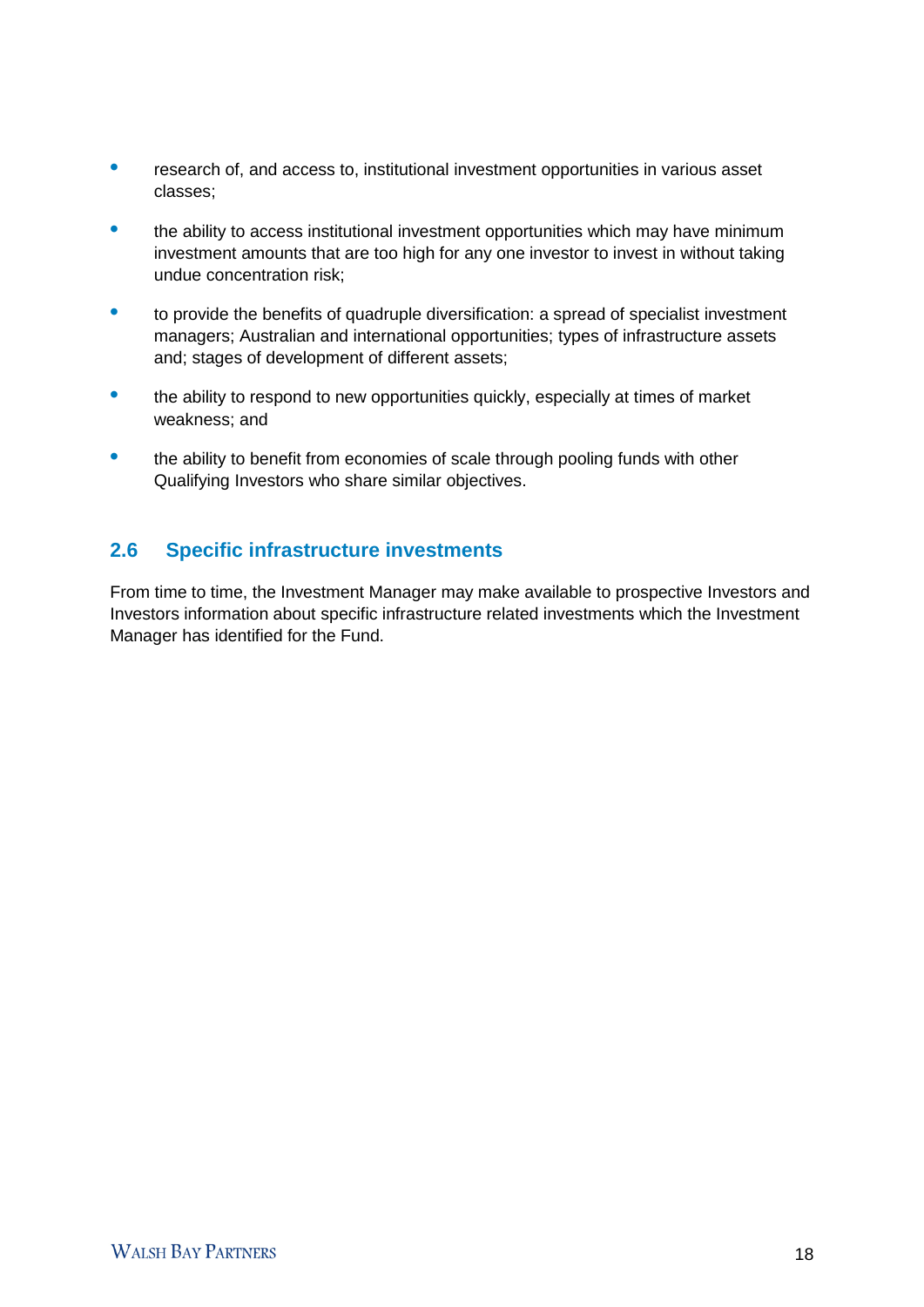- **•** research of, and access to, institutional investment opportunities in various asset classes;
- the ability to access institutional investment opportunities which may have minimum investment amounts that are too high for any one investor to invest in without taking undue concentration risk;
- **•** to provide the benefits of quadruple diversification: a spread of specialist investment managers; Australian and international opportunities; types of infrastructure assets and; stages of development of different assets;
- the ability to respond to new opportunities quickly, especially at times of market weakness; and
- the ability to benefit from economies of scale through pooling funds with other Qualifying Investors who share similar objectives.

# **2.6 Specific infrastructure investments**

From time to time, the Investment Manager may make available to prospective Investors and Investors information about specific infrastructure related investments which the Investment Manager has identified for the Fund.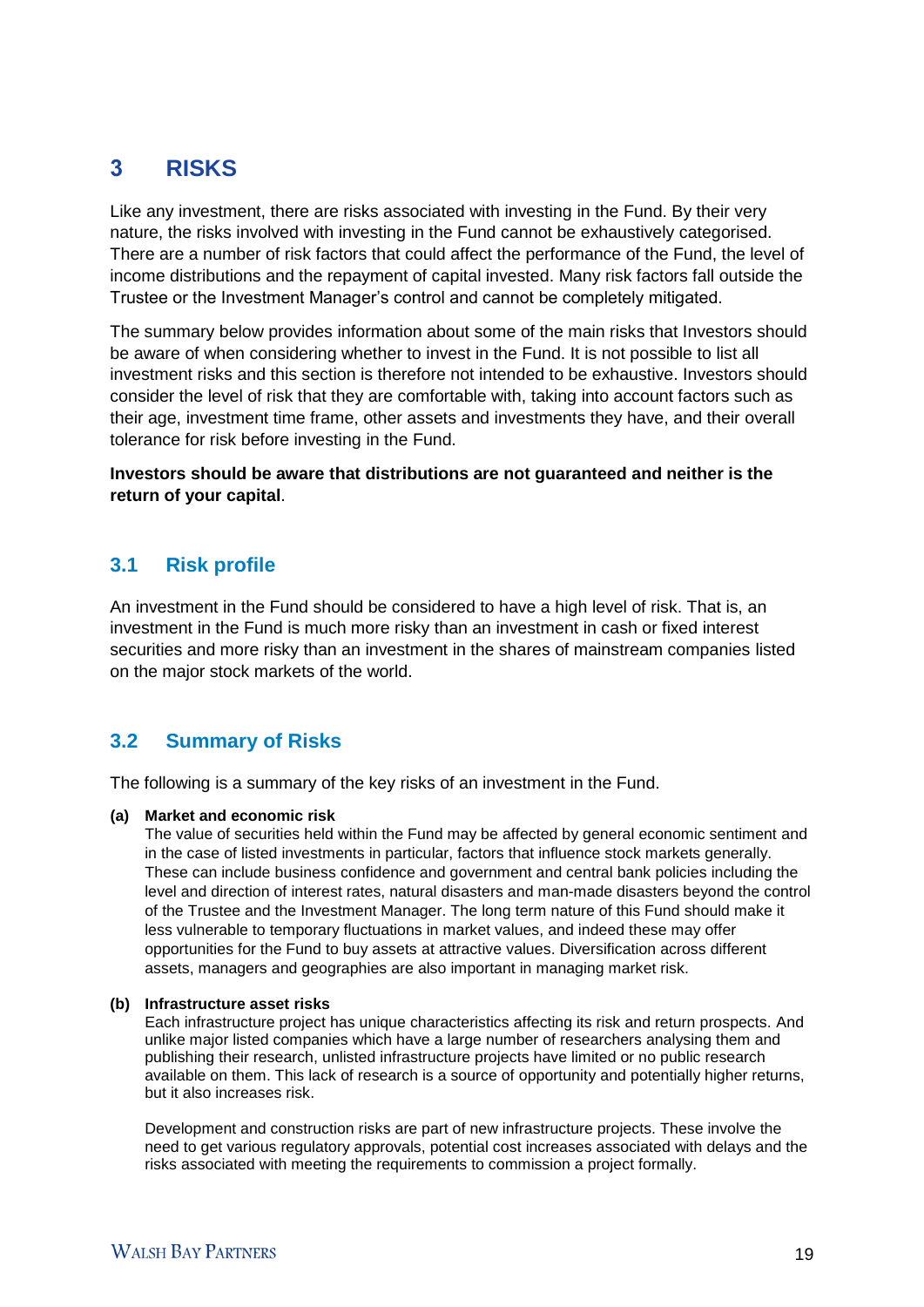# 3 **RISKS**

Like any investment, there are risks associated with investing in the Fund. By their very nature, the risks involved with investing in the Fund cannot be exhaustively categorised. There are a number of risk factors that could affect the performance of the Fund, the level of income distributions and the repayment of capital invested. Many risk factors fall outside the Trustee or the Investment Manager's control and cannot be completely mitigated.

The summary below provides information about some of the main risks that Investors should be aware of when considering whether to invest in the Fund. It is not possible to list all investment risks and this section is therefore not intended to be exhaustive. Investors should consider the level of risk that they are comfortable with, taking into account factors such as their age, investment time frame, other assets and investments they have, and their overall tolerance for risk before investing in the Fund.

**Investors should be aware that distributions are not guaranteed and neither is the return of your capital**.

# **3.1 Risk profile**

An investment in the Fund should be considered to have a high level of risk. That is, an investment in the Fund is much more risky than an investment in cash or fixed interest securities and more risky than an investment in the shares of mainstream companies listed on the major stock markets of the world.

## **3.2 Summary of Risks**

The following is a summary of the key risks of an investment in the Fund.

#### **(a) Market and economic risk**

The value of securities held within the Fund may be affected by general economic sentiment and in the case of listed investments in particular, factors that influence stock markets generally. These can include business confidence and government and central bank policies including the level and direction of interest rates, natural disasters and man-made disasters beyond the control of the Trustee and the Investment Manager. The long term nature of this Fund should make it less vulnerable to temporary fluctuations in market values, and indeed these may offer opportunities for the Fund to buy assets at attractive values. Diversification across different assets, managers and geographies are also important in managing market risk.

#### **(b) Infrastructure asset risks**

Each infrastructure project has unique characteristics affecting its risk and return prospects. And unlike major listed companies which have a large number of researchers analysing them and publishing their research, unlisted infrastructure projects have limited or no public research available on them. This lack of research is a source of opportunity and potentially higher returns, but it also increases risk.

Development and construction risks are part of new infrastructure projects. These involve the need to get various regulatory approvals, potential cost increases associated with delays and the risks associated with meeting the requirements to commission a project formally.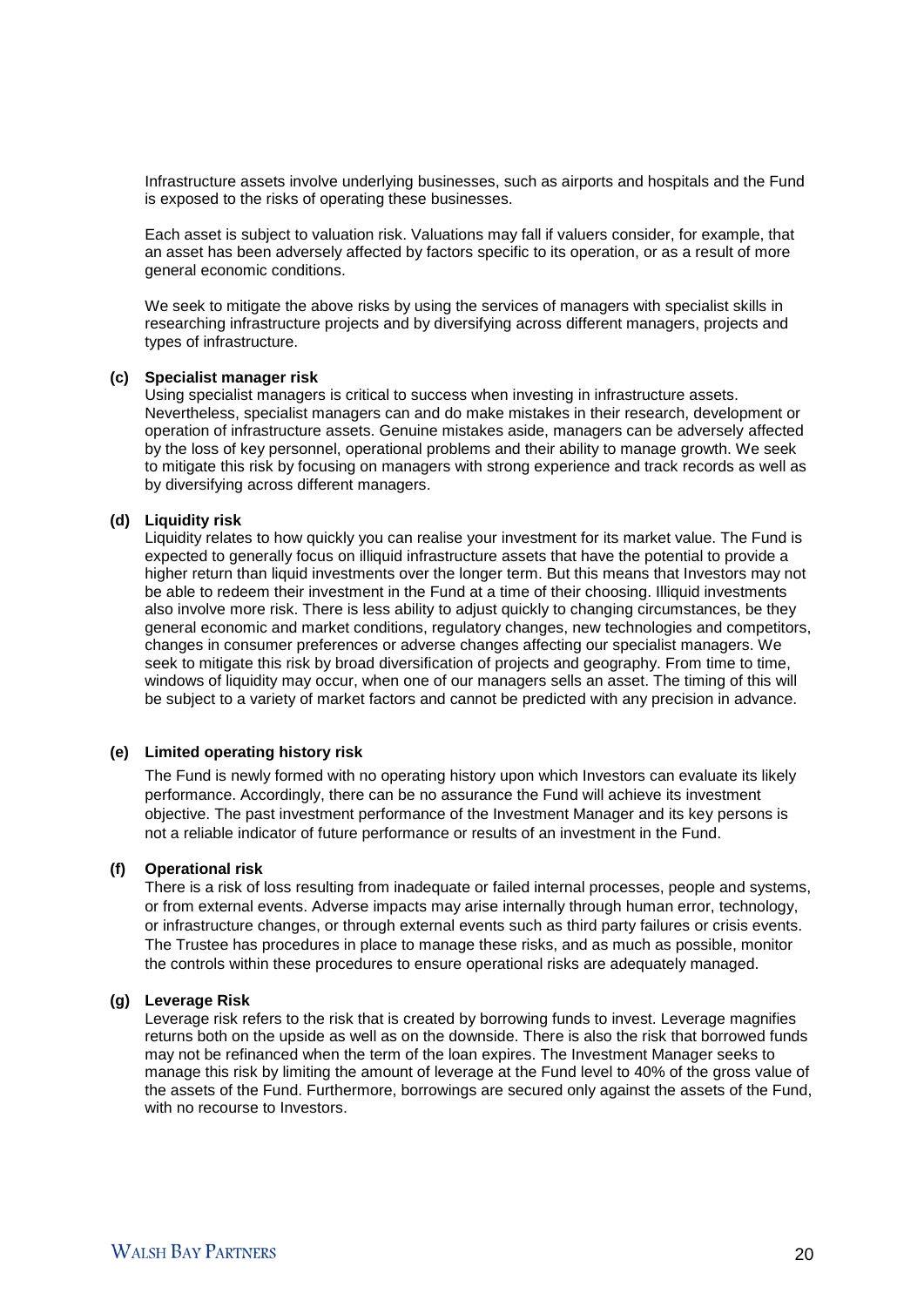Infrastructure assets involve underlying businesses, such as airports and hospitals and the Fund is exposed to the risks of operating these businesses.

Each asset is subject to valuation risk. Valuations may fall if valuers consider, for example, that an asset has been adversely affected by factors specific to its operation, or as a result of more general economic conditions.

We seek to mitigate the above risks by using the services of managers with specialist skills in researching infrastructure projects and by diversifying across different managers, projects and types of infrastructure.

#### **(c) Specialist manager risk**

Using specialist managers is critical to success when investing in infrastructure assets. Nevertheless, specialist managers can and do make mistakes in their research, development or operation of infrastructure assets. Genuine mistakes aside, managers can be adversely affected by the loss of key personnel, operational problems and their ability to manage growth. We seek to mitigate this risk by focusing on managers with strong experience and track records as well as by diversifying across different managers.

#### **(d) Liquidity risk**

Liquidity relates to how quickly you can realise your investment for its market value. The Fund is expected to generally focus on illiquid infrastructure assets that have the potential to provide a higher return than liquid investments over the longer term. But this means that Investors may not be able to redeem their investment in the Fund at a time of their choosing. Illiquid investments also involve more risk. There is less ability to adjust quickly to changing circumstances, be they general economic and market conditions, regulatory changes, new technologies and competitors, changes in consumer preferences or adverse changes affecting our specialist managers. We seek to mitigate this risk by broad diversification of projects and geography. From time to time, windows of liquidity may occur, when one of our managers sells an asset. The timing of this will be subject to a variety of market factors and cannot be predicted with any precision in advance.

#### **(e) Limited operating history risk**

The Fund is newly formed with no operating history upon which Investors can evaluate its likely performance. Accordingly, there can be no assurance the Fund will achieve its investment objective. The past investment performance of the Investment Manager and its key persons is not a reliable indicator of future performance or results of an investment in the Fund.

#### **(f) Operational risk**

There is a risk of loss resulting from inadequate or failed internal processes, people and systems, or from external events. Adverse impacts may arise internally through human error, technology, or infrastructure changes, or through external events such as third party failures or crisis events. The Trustee has procedures in place to manage these risks, and as much as possible, monitor the controls within these procedures to ensure operational risks are adequately managed.

#### **(g) Leverage Risk**

Leverage risk refers to the risk that is created by borrowing funds to invest. Leverage magnifies returns both on the upside as well as on the downside. There is also the risk that borrowed funds may not be refinanced when the term of the loan expires. The Investment Manager seeks to manage this risk by limiting the amount of leverage at the Fund level to 40% of the gross value of the assets of the Fund. Furthermore, borrowings are secured only against the assets of the Fund, with no recourse to Investors.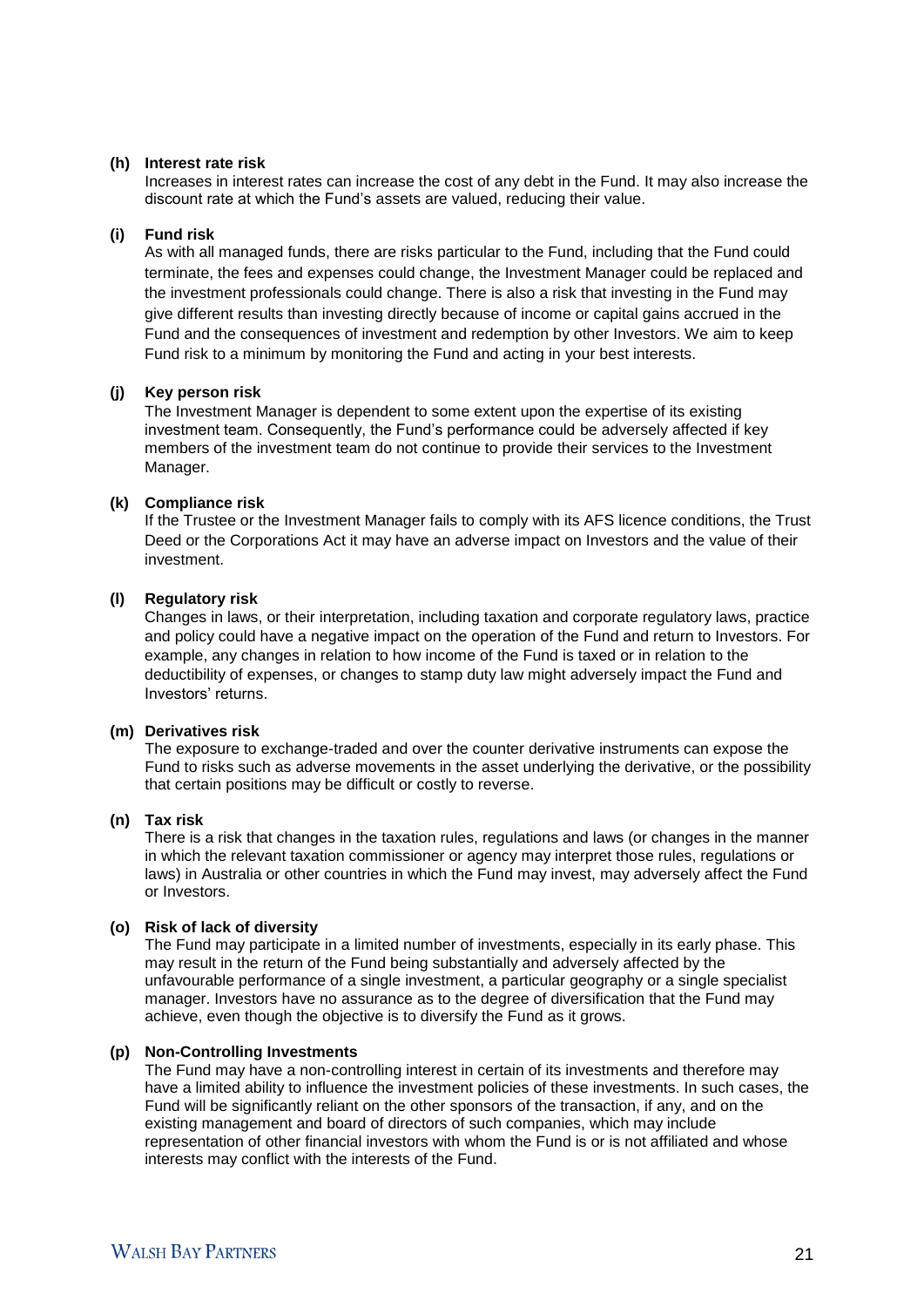#### **(h) Interest rate risk**

Increases in interest rates can increase the cost of any debt in the Fund. It may also increase the discount rate at which the Fund's assets are valued, reducing their value.

#### **(i) Fund risk**

As with all managed funds, there are risks particular to the Fund, including that the Fund could terminate, the fees and expenses could change, the Investment Manager could be replaced and the investment professionals could change. There is also a risk that investing in the Fund may give different results than investing directly because of income or capital gains accrued in the Fund and the consequences of investment and redemption by other Investors. We aim to keep Fund risk to a minimum by monitoring the Fund and acting in your best interests.

#### **(j) Key person risk**

The Investment Manager is dependent to some extent upon the expertise of its existing investment team. Consequently, the Fund's performance could be adversely affected if key members of the investment team do not continue to provide their services to the Investment Manager.

#### **(k) Compliance risk**

If the Trustee or the Investment Manager fails to comply with its AFS licence conditions, the Trust Deed or the Corporations Act it may have an adverse impact on Investors and the value of their investment.

#### **(l) Regulatory risk**

Changes in laws, or their interpretation, including taxation and corporate regulatory laws, practice and policy could have a negative impact on the operation of the Fund and return to Investors. For example, any changes in relation to how income of the Fund is taxed or in relation to the deductibility of expenses, or changes to stamp duty law might adversely impact the Fund and Investors' returns.

#### **(m) Derivatives risk**

The exposure to exchange-traded and over the counter derivative instruments can expose the Fund to risks such as adverse movements in the asset underlying the derivative, or the possibility that certain positions may be difficult or costly to reverse.

#### **(n) Tax risk**

There is a risk that changes in the taxation rules, regulations and laws (or changes in the manner in which the relevant taxation commissioner or agency may interpret those rules, regulations or laws) in Australia or other countries in which the Fund may invest, may adversely affect the Fund or Investors.

#### **(o) Risk of lack of diversity**

The Fund may participate in a limited number of investments, especially in its early phase. This may result in the return of the Fund being substantially and adversely affected by the unfavourable performance of a single investment, a particular geography or a single specialist manager. Investors have no assurance as to the degree of diversification that the Fund may achieve, even though the objective is to diversify the Fund as it grows.

#### **(p) Non-Controlling Investments**

The Fund may have a non-controlling interest in certain of its investments and therefore may have a limited ability to influence the investment policies of these investments. In such cases, the Fund will be significantly reliant on the other sponsors of the transaction, if any, and on the existing management and board of directors of such companies, which may include representation of other financial investors with whom the Fund is or is not affiliated and whose interests may conflict with the interests of the Fund.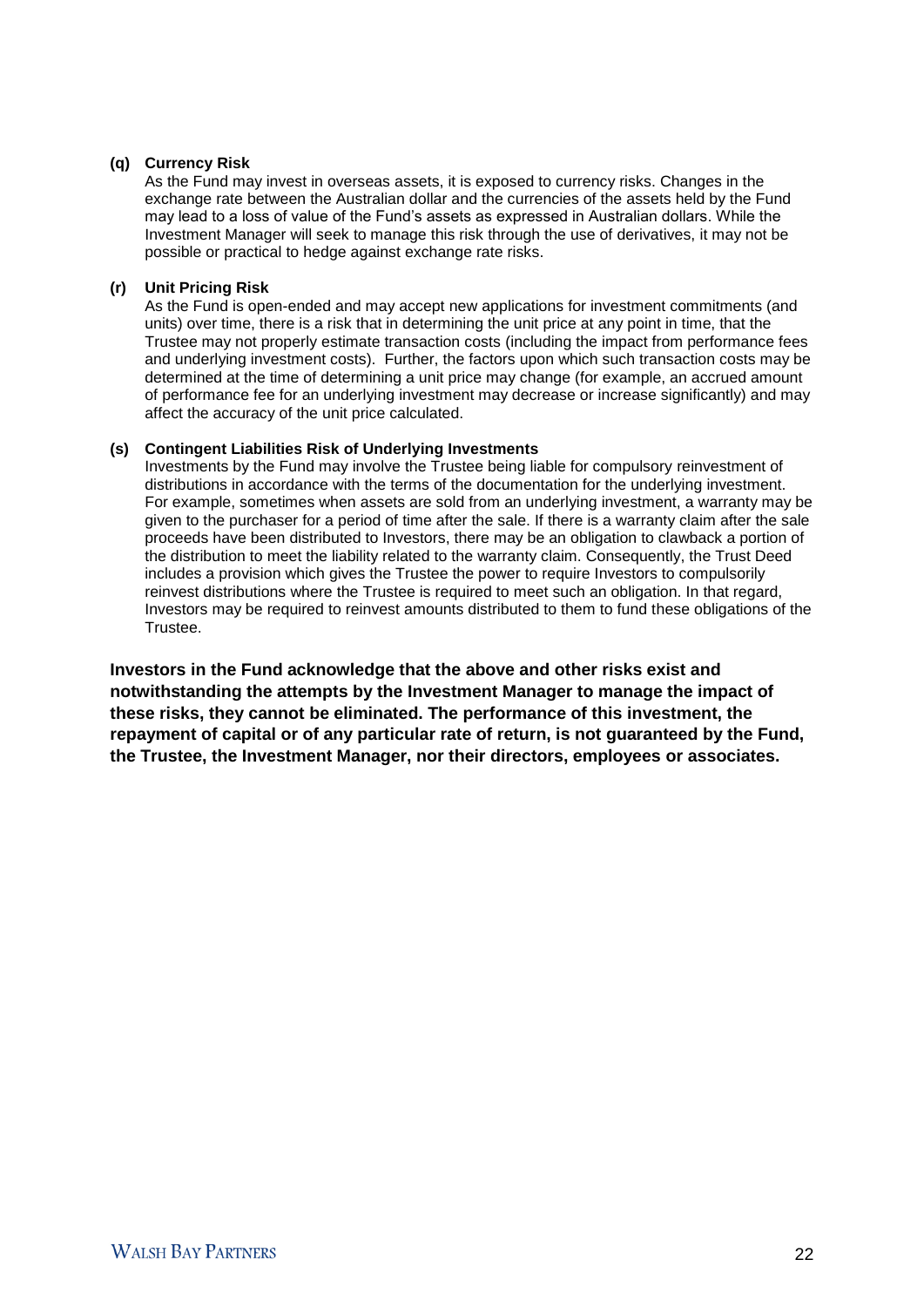#### **(q) Currency Risk**

As the Fund may invest in overseas assets, it is exposed to currency risks. Changes in the exchange rate between the Australian dollar and the currencies of the assets held by the Fund may lead to a loss of value of the Fund's assets as expressed in Australian dollars. While the Investment Manager will seek to manage this risk through the use of derivatives, it may not be possible or practical to hedge against exchange rate risks.

#### **(r) Unit Pricing Risk**

As the Fund is open-ended and may accept new applications for investment commitments (and units) over time, there is a risk that in determining the unit price at any point in time, that the Trustee may not properly estimate transaction costs (including the impact from performance fees and underlying investment costs). Further, the factors upon which such transaction costs may be determined at the time of determining a unit price may change (for example, an accrued amount of performance fee for an underlying investment may decrease or increase significantly) and may affect the accuracy of the unit price calculated.

#### **(s) Contingent Liabilities Risk of Underlying Investments**

Investments by the Fund may involve the Trustee being liable for compulsory reinvestment of distributions in accordance with the terms of the documentation for the underlying investment. For example, sometimes when assets are sold from an underlying investment, a warranty may be given to the purchaser for a period of time after the sale. If there is a warranty claim after the sale proceeds have been distributed to Investors, there may be an obligation to clawback a portion of the distribution to meet the liability related to the warranty claim. Consequently, the Trust Deed includes a provision which gives the Trustee the power to require Investors to compulsorily reinvest distributions where the Trustee is required to meet such an obligation. In that regard, Investors may be required to reinvest amounts distributed to them to fund these obligations of the Trustee.

**Investors in the Fund acknowledge that the above and other risks exist and notwithstanding the attempts by the Investment Manager to manage the impact of these risks, they cannot be eliminated. The performance of this investment, the repayment of capital or of any particular rate of return, is not guaranteed by the Fund, the Trustee, the Investment Manager, nor their directors, employees or associates.**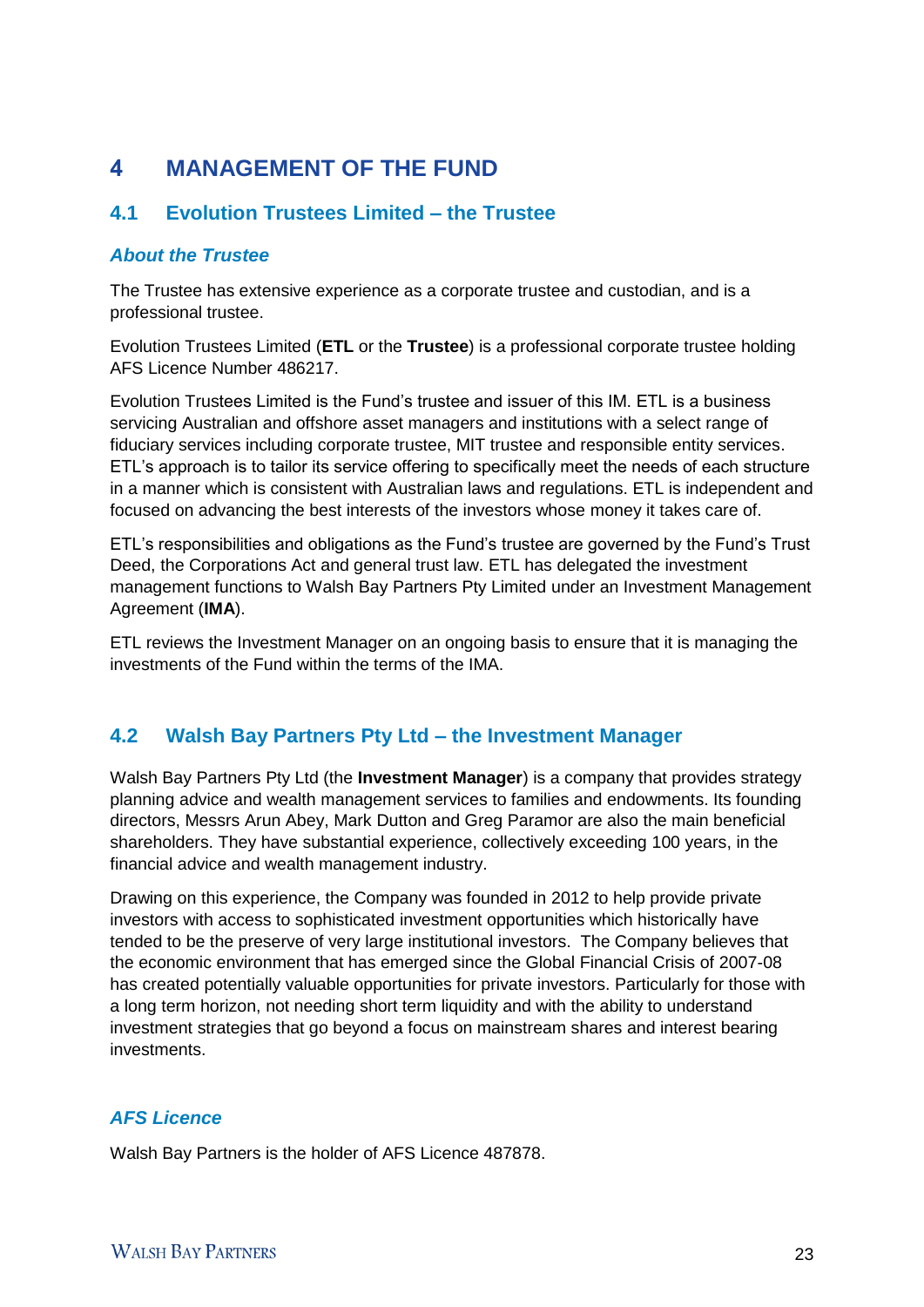# 4 **MANAGEMENT OF THE FUND**

## **4.1 Evolution Trustees Limited – the Trustee**

## *About the Trustee*

The Trustee has extensive experience as a corporate trustee and custodian, and is a professional trustee.

Evolution Trustees Limited (**ETL** or the **Trustee**) is a professional corporate trustee holding AFS Licence Number 486217.

Evolution Trustees Limited is the Fund's trustee and issuer of this IM. ETL is a business servicing Australian and offshore asset managers and institutions with a select range of fiduciary services including corporate trustee, MIT trustee and responsible entity services. ETL's approach is to tailor its service offering to specifically meet the needs of each structure in a manner which is consistent with Australian laws and regulations. ETL is independent and focused on advancing the best interests of the investors whose money it takes care of.

ETL's responsibilities and obligations as the Fund's trustee are governed by the Fund's Trust Deed, the Corporations Act and general trust law. ETL has delegated the investment management functions to Walsh Bay Partners Pty Limited under an Investment Management Agreement (**IMA**).

ETL reviews the Investment Manager on an ongoing basis to ensure that it is managing the investments of the Fund within the terms of the IMA.

## **4.2 Walsh Bay Partners Pty Ltd – the Investment Manager**

Walsh Bay Partners Pty Ltd (the **Investment Manager**) is a company that provides strategy planning advice and wealth management services to families and endowments. Its founding directors, Messrs Arun Abey, Mark Dutton and Greg Paramor are also the main beneficial shareholders. They have substantial experience, collectively exceeding 100 years, in the financial advice and wealth management industry.

Drawing on this experience, the Company was founded in 2012 to help provide private investors with access to sophisticated investment opportunities which historically have tended to be the preserve of very large institutional investors. The Company believes that the economic environment that has emerged since the Global Financial Crisis of 2007-08 has created potentially valuable opportunities for private investors. Particularly for those with a long term horizon, not needing short term liquidity and with the ability to understand investment strategies that go beyond a focus on mainstream shares and interest bearing investments.

## *AFS Licence*

Walsh Bay Partners is the holder of AFS Licence 487878.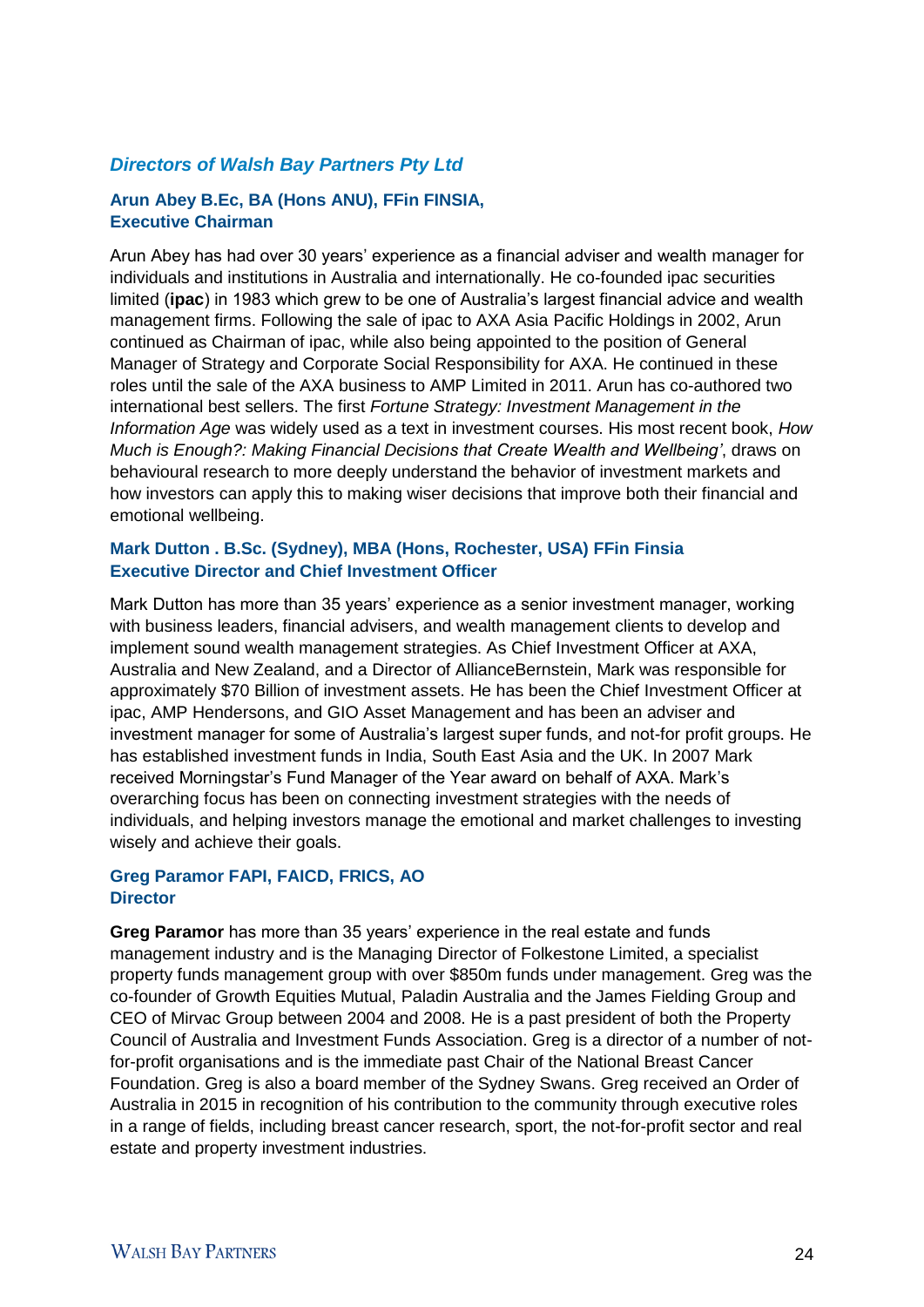### *Directors of Walsh Bay Partners Pty Ltd*

#### **Arun Abey B.Ec, BA (Hons ANU), FFin FINSIA, Executive Chairman**

Arun Abey has had over 30 years' experience as a financial adviser and wealth manager for individuals and institutions in Australia and internationally. He co-founded ipac securities limited (**ipac**) in 1983 which grew to be one of Australia's largest financial advice and wealth management firms. Following the sale of ipac to AXA Asia Pacific Holdings in 2002, Arun continued as Chairman of ipac, while also being appointed to the position of General Manager of Strategy and Corporate Social Responsibility for AXA. He continued in these roles until the sale of the AXA business to AMP Limited in 2011. Arun has co-authored two international best sellers. The first *Fortune Strategy: Investment Management in the Information Age* was widely used as a text in investment courses. His most recent book, *How Much is Enough?: Making Financial Decisions that Create Wealth and Wellbeing'*, draws on behavioural research to more deeply understand the behavior of investment markets and how investors can apply this to making wiser decisions that improve both their financial and emotional wellbeing.

#### **Mark Dutton . B.Sc. (Sydney), MBA (Hons, Rochester, USA) FFin Finsia Executive Director and Chief Investment Officer**

Mark Dutton has more than 35 years' experience as a senior investment manager, working with business leaders, financial advisers, and wealth management clients to develop and implement sound wealth management strategies. As Chief Investment Officer at AXA, Australia and New Zealand, and a Director of AllianceBernstein, Mark was responsible for approximately \$70 Billion of investment assets. He has been the Chief Investment Officer at ipac, AMP Hendersons, and GIO Asset Management and has been an adviser and investment manager for some of Australia's largest super funds, and not-for profit groups. He has established investment funds in India, South East Asia and the UK. In 2007 Mark received Morningstar's Fund Manager of the Year award on behalf of AXA. Mark's overarching focus has been on connecting investment strategies with the needs of individuals, and helping investors manage the emotional and market challenges to investing wisely and achieve their goals.

#### **Greg Paramor FAPI, FAICD, FRICS, AO Director**

**Greg Paramor** has more than 35 years' experience in the real estate and funds management industry and is the Managing Director of Folkestone Limited, a specialist property funds management group with over \$850m funds under management. Greg was the co-founder of Growth Equities Mutual, Paladin Australia and the James Fielding Group and CEO of Mirvac Group between 2004 and 2008. He is a past president of both the Property Council of Australia and Investment Funds Association. Greg is a director of a number of notfor-profit organisations and is the immediate past Chair of the National Breast Cancer Foundation. Greg is also a board member of the Sydney Swans. Greg received an Order of Australia in 2015 in recognition of his contribution to the community through executive roles in a range of fields, including breast cancer research, sport, the not-for-profit sector and real estate and property investment industries.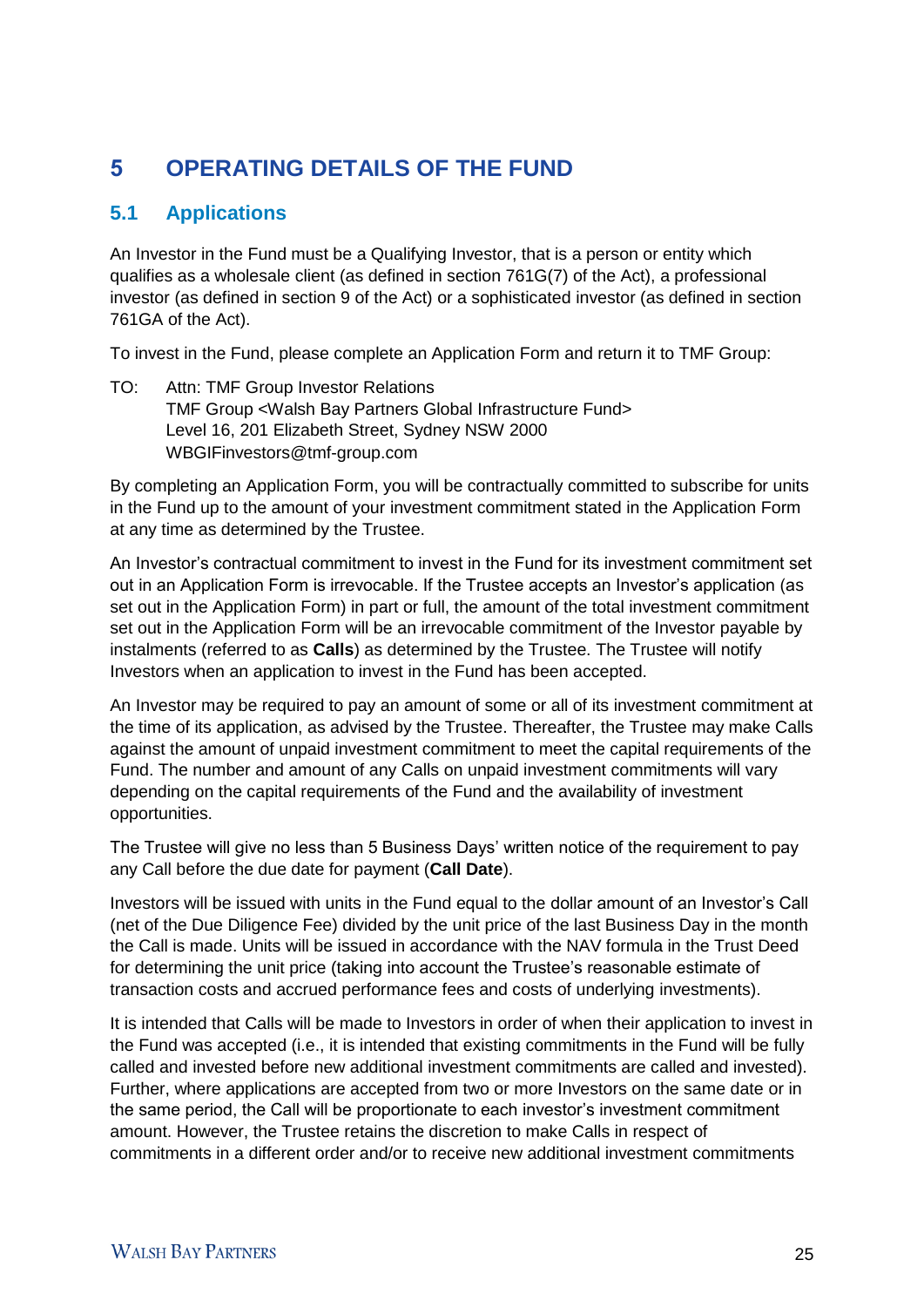# 5 **OPERATING DETAILS OF THE FUND**

# **5.1 Applications**

An Investor in the Fund must be a Qualifying Investor, that is a person or entity which qualifies as a wholesale client (as defined in section 761G(7) of the Act), a professional investor (as defined in section 9 of the Act) or a sophisticated investor (as defined in section 761GA of the Act).

To invest in the Fund, please complete an Application Form and return it to TMF Group:

TO: Attn: TMF Group Investor Relations TMF Group <Walsh Bay Partners Global Infrastructure Fund> Level 16, 201 Elizabeth Street, Sydney NSW 2000 WBGIFinvestors@tmf-group.com

By completing an Application Form, you will be contractually committed to subscribe for units in the Fund up to the amount of your investment commitment stated in the Application Form at any time as determined by the Trustee.

An Investor's contractual commitment to invest in the Fund for its investment commitment set out in an Application Form is irrevocable. If the Trustee accepts an Investor's application (as set out in the Application Form) in part or full, the amount of the total investment commitment set out in the Application Form will be an irrevocable commitment of the Investor payable by instalments (referred to as **Calls**) as determined by the Trustee. The Trustee will notify Investors when an application to invest in the Fund has been accepted.

An Investor may be required to pay an amount of some or all of its investment commitment at the time of its application, as advised by the Trustee. Thereafter, the Trustee may make Calls against the amount of unpaid investment commitment to meet the capital requirements of the Fund. The number and amount of any Calls on unpaid investment commitments will vary depending on the capital requirements of the Fund and the availability of investment opportunities.

The Trustee will give no less than 5 Business Days' written notice of the requirement to pay any Call before the due date for payment (**Call Date**).

Investors will be issued with units in the Fund equal to the dollar amount of an Investor's Call (net of the Due Diligence Fee) divided by the unit price of the last Business Day in the month the Call is made. Units will be issued in accordance with the NAV formula in the Trust Deed for determining the unit price (taking into account the Trustee's reasonable estimate of transaction costs and accrued performance fees and costs of underlying investments).

It is intended that Calls will be made to Investors in order of when their application to invest in the Fund was accepted (i.e., it is intended that existing commitments in the Fund will be fully called and invested before new additional investment commitments are called and invested). Further, where applications are accepted from two or more Investors on the same date or in the same period, the Call will be proportionate to each investor's investment commitment amount. However, the Trustee retains the discretion to make Calls in respect of commitments in a different order and/or to receive new additional investment commitments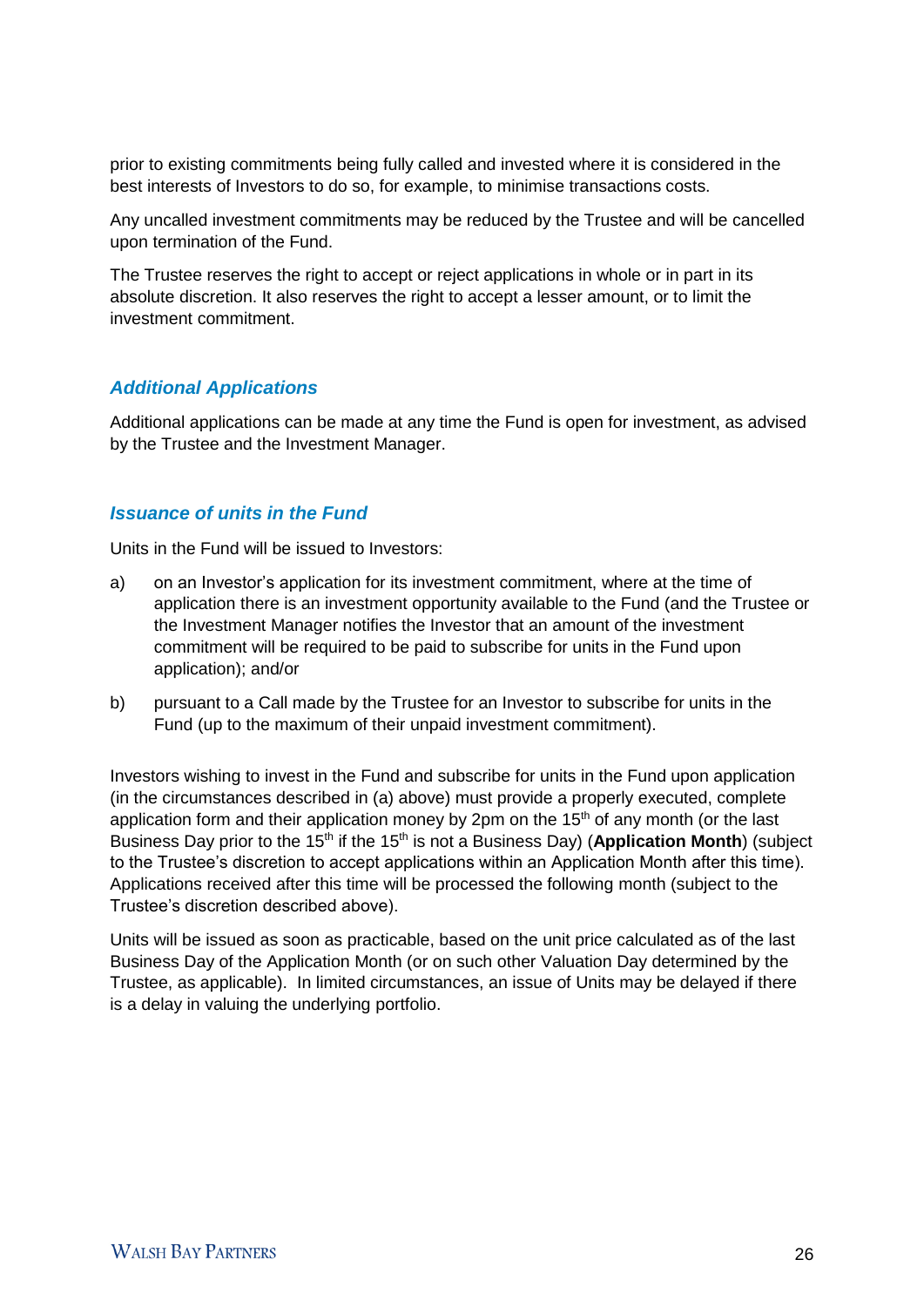prior to existing commitments being fully called and invested where it is considered in the best interests of Investors to do so, for example, to minimise transactions costs.

Any uncalled investment commitments may be reduced by the Trustee and will be cancelled upon termination of the Fund.

The Trustee reserves the right to accept or reject applications in whole or in part in its absolute discretion. It also reserves the right to accept a lesser amount, or to limit the investment commitment.

## *Additional Applications*

Additional applications can be made at any time the Fund is open for investment, as advised by the Trustee and the Investment Manager.

### *Issuance of units in the Fund*

Units in the Fund will be issued to Investors:

- a) on an Investor's application for its investment commitment, where at the time of application there is an investment opportunity available to the Fund (and the Trustee or the Investment Manager notifies the Investor that an amount of the investment commitment will be required to be paid to subscribe for units in the Fund upon application); and/or
- b) pursuant to a Call made by the Trustee for an Investor to subscribe for units in the Fund (up to the maximum of their unpaid investment commitment).

Investors wishing to invest in the Fund and subscribe for units in the Fund upon application (in the circumstances described in (a) above) must provide a properly executed, complete application form and their application money by 2pm on the  $15<sup>th</sup>$  of any month (or the last Business Day prior to the 15<sup>th</sup> if the 15<sup>th</sup> is not a Business Day) (**Application Month**) (subject to the Trustee's discretion to accept applications within an Application Month after this time). Applications received after this time will be processed the following month (subject to the Trustee's discretion described above).

Units will be issued as soon as practicable, based on the unit price calculated as of the last Business Day of the Application Month (or on such other Valuation Day determined by the Trustee, as applicable). In limited circumstances, an issue of Units may be delayed if there is a delay in valuing the underlying portfolio.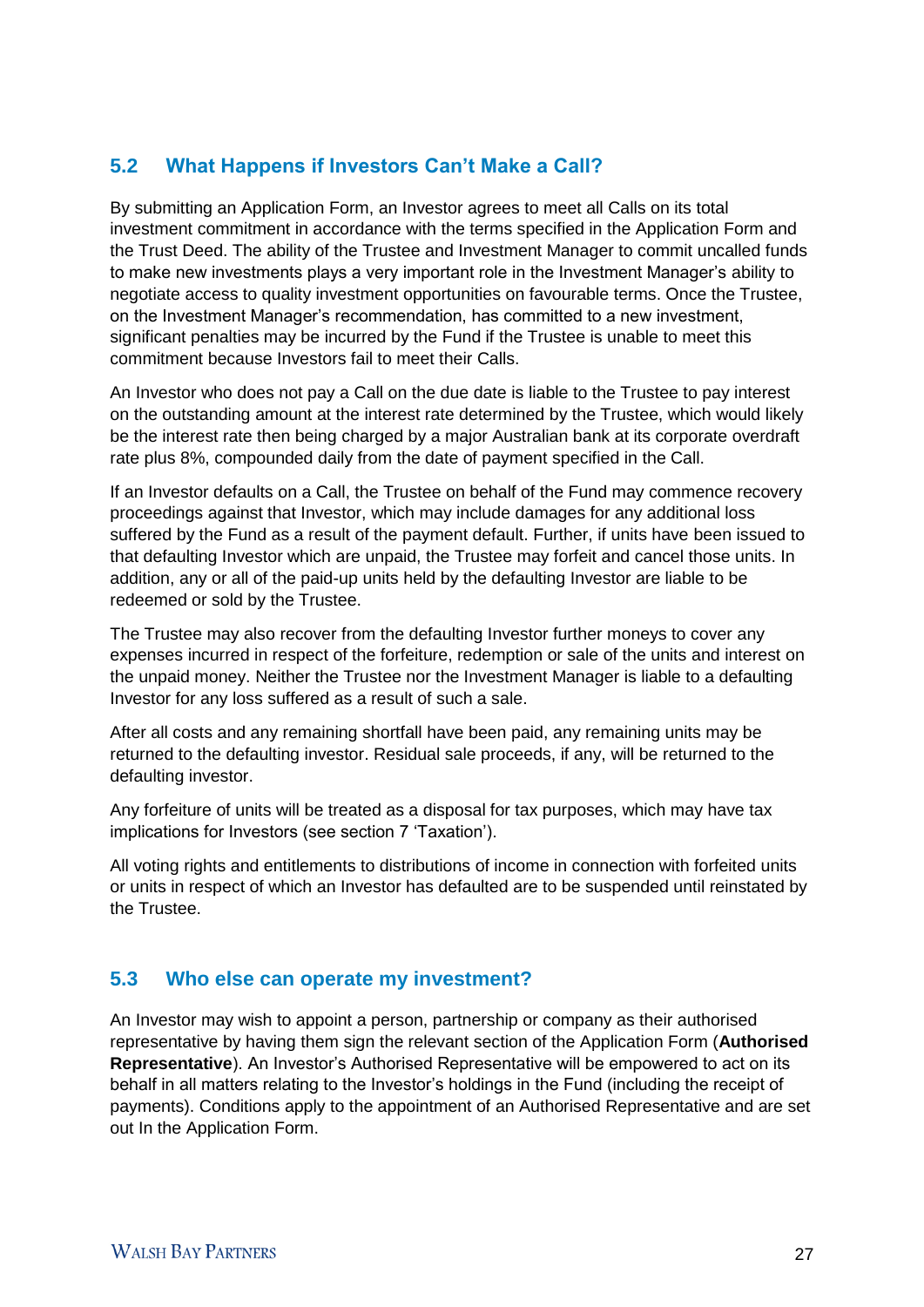# **5.2 What Happens if Investors Can't Make a Call?**

By submitting an Application Form, an Investor agrees to meet all Calls on its total investment commitment in accordance with the terms specified in the Application Form and the Trust Deed. The ability of the Trustee and Investment Manager to commit uncalled funds to make new investments plays a very important role in the Investment Manager's ability to negotiate access to quality investment opportunities on favourable terms. Once the Trustee, on the Investment Manager's recommendation, has committed to a new investment, significant penalties may be incurred by the Fund if the Trustee is unable to meet this commitment because Investors fail to meet their Calls.

An Investor who does not pay a Call on the due date is liable to the Trustee to pay interest on the outstanding amount at the interest rate determined by the Trustee, which would likely be the interest rate then being charged by a major Australian bank at its corporate overdraft rate plus 8%, compounded daily from the date of payment specified in the Call.

If an Investor defaults on a Call, the Trustee on behalf of the Fund may commence recovery proceedings against that Investor, which may include damages for any additional loss suffered by the Fund as a result of the payment default. Further, if units have been issued to that defaulting Investor which are unpaid, the Trustee may forfeit and cancel those units. In addition, any or all of the paid-up units held by the defaulting Investor are liable to be redeemed or sold by the Trustee.

The Trustee may also recover from the defaulting Investor further moneys to cover any expenses incurred in respect of the forfeiture, redemption or sale of the units and interest on the unpaid money. Neither the Trustee nor the Investment Manager is liable to a defaulting Investor for any loss suffered as a result of such a sale.

After all costs and any remaining shortfall have been paid, any remaining units may be returned to the defaulting investor. Residual sale proceeds, if any, will be returned to the defaulting investor.

Any forfeiture of units will be treated as a disposal for tax purposes, which may have tax implications for Investors (see section 7 'Taxation').

All voting rights and entitlements to distributions of income in connection with forfeited units or units in respect of which an Investor has defaulted are to be suspended until reinstated by the Trustee.

## **5.3 Who else can operate my investment?**

An Investor may wish to appoint a person, partnership or company as their authorised representative by having them sign the relevant section of the Application Form (**Authorised Representative**). An Investor's Authorised Representative will be empowered to act on its behalf in all matters relating to the Investor's holdings in the Fund (including the receipt of payments). Conditions apply to the appointment of an Authorised Representative and are set out In the Application Form.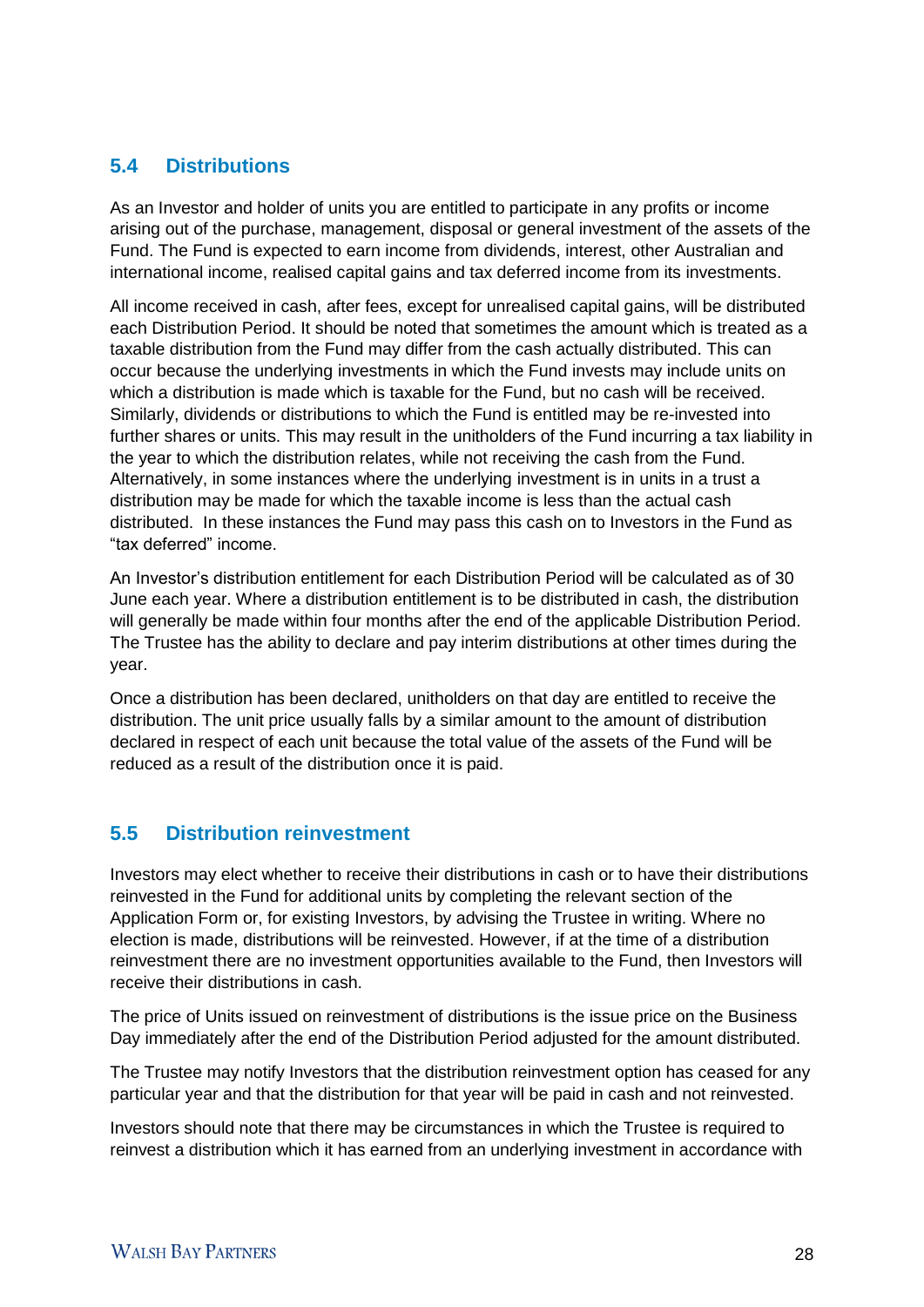# **5.4 Distributions**

As an Investor and holder of units you are entitled to participate in any profits or income arising out of the purchase, management, disposal or general investment of the assets of the Fund. The Fund is expected to earn income from dividends, interest, other Australian and international income, realised capital gains and tax deferred income from its investments.

All income received in cash, after fees, except for unrealised capital gains, will be distributed each Distribution Period. It should be noted that sometimes the amount which is treated as a taxable distribution from the Fund may differ from the cash actually distributed. This can occur because the underlying investments in which the Fund invests may include units on which a distribution is made which is taxable for the Fund, but no cash will be received. Similarly, dividends or distributions to which the Fund is entitled may be re-invested into further shares or units. This may result in the unitholders of the Fund incurring a tax liability in the year to which the distribution relates, while not receiving the cash from the Fund. Alternatively, in some instances where the underlying investment is in units in a trust a distribution may be made for which the taxable income is less than the actual cash distributed. In these instances the Fund may pass this cash on to Investors in the Fund as "tax deferred" income.

An Investor's distribution entitlement for each Distribution Period will be calculated as of 30 June each year. Where a distribution entitlement is to be distributed in cash, the distribution will generally be made within four months after the end of the applicable Distribution Period. The Trustee has the ability to declare and pay interim distributions at other times during the year.

Once a distribution has been declared, unitholders on that day are entitled to receive the distribution. The unit price usually falls by a similar amount to the amount of distribution declared in respect of each unit because the total value of the assets of the Fund will be reduced as a result of the distribution once it is paid.

# **5.5 Distribution reinvestment**

Investors may elect whether to receive their distributions in cash or to have their distributions reinvested in the Fund for additional units by completing the relevant section of the Application Form or, for existing Investors, by advising the Trustee in writing. Where no election is made, distributions will be reinvested. However, if at the time of a distribution reinvestment there are no investment opportunities available to the Fund, then Investors will receive their distributions in cash.

The price of Units issued on reinvestment of distributions is the issue price on the Business Day immediately after the end of the Distribution Period adjusted for the amount distributed.

The Trustee may notify Investors that the distribution reinvestment option has ceased for any particular year and that the distribution for that year will be paid in cash and not reinvested.

Investors should note that there may be circumstances in which the Trustee is required to reinvest a distribution which it has earned from an underlying investment in accordance with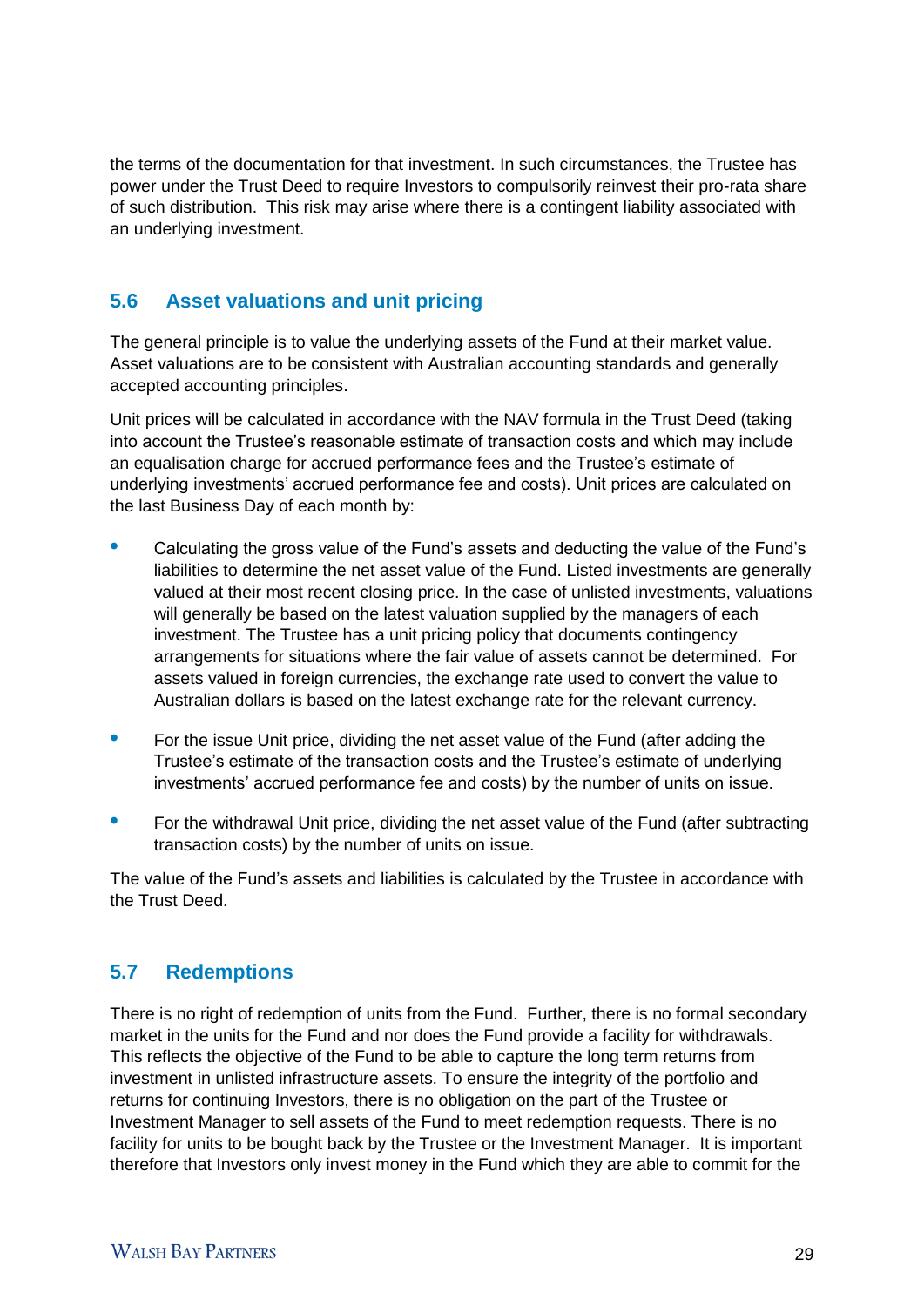the terms of the documentation for that investment. In such circumstances, the Trustee has power under the Trust Deed to require Investors to compulsorily reinvest their pro-rata share of such distribution. This risk may arise where there is a contingent liability associated with an underlying investment.

# **5.6 Asset valuations and unit pricing**

The general principle is to value the underlying assets of the Fund at their market value. Asset valuations are to be consistent with Australian accounting standards and generally accepted accounting principles.

Unit prices will be calculated in accordance with the NAV formula in the Trust Deed (taking into account the Trustee's reasonable estimate of transaction costs and which may include an equalisation charge for accrued performance fees and the Trustee's estimate of underlying investments' accrued performance fee and costs). Unit prices are calculated on the last Business Day of each month by:

- **•** Calculating the gross value of the Fund's assets and deducting the value of the Fund's liabilities to determine the net asset value of the Fund. Listed investments are generally valued at their most recent closing price. In the case of unlisted investments, valuations will generally be based on the latest valuation supplied by the managers of each investment. The Trustee has a unit pricing policy that documents contingency arrangements for situations where the fair value of assets cannot be determined. For assets valued in foreign currencies, the exchange rate used to convert the value to Australian dollars is based on the latest exchange rate for the relevant currency.
- **•** For the issue Unit price, dividing the net asset value of the Fund (after adding the Trustee's estimate of the transaction costs and the Trustee's estimate of underlying investments' accrued performance fee and costs) by the number of units on issue.
- For the withdrawal Unit price, dividing the net asset value of the Fund (after subtracting transaction costs) by the number of units on issue.

The value of the Fund's assets and liabilities is calculated by the Trustee in accordance with the Trust Deed.

# **5.7 Redemptions**

There is no right of redemption of units from the Fund. Further, there is no formal secondary market in the units for the Fund and nor does the Fund provide a facility for withdrawals. This reflects the objective of the Fund to be able to capture the long term returns from investment in unlisted infrastructure assets. To ensure the integrity of the portfolio and returns for continuing Investors, there is no obligation on the part of the Trustee or Investment Manager to sell assets of the Fund to meet redemption requests. There is no facility for units to be bought back by the Trustee or the Investment Manager. It is important therefore that Investors only invest money in the Fund which they are able to commit for the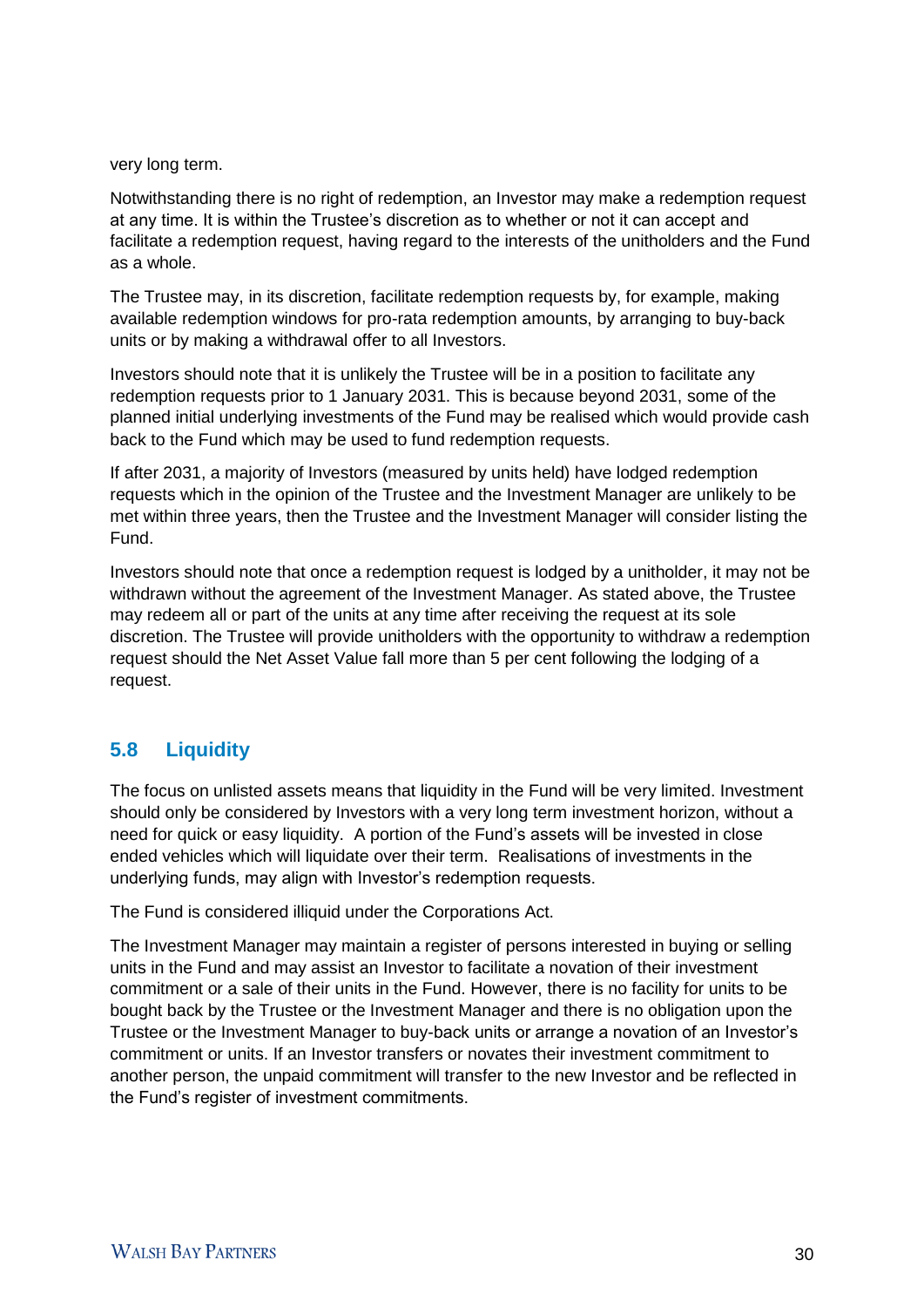very long term.

Notwithstanding there is no right of redemption, an Investor may make a redemption request at any time. It is within the Trustee's discretion as to whether or not it can accept and facilitate a redemption request, having regard to the interests of the unitholders and the Fund as a whole.

The Trustee may, in its discretion, facilitate redemption requests by, for example, making available redemption windows for pro-rata redemption amounts, by arranging to buy-back units or by making a withdrawal offer to all Investors.

Investors should note that it is unlikely the Trustee will be in a position to facilitate any redemption requests prior to 1 January 2031. This is because beyond 2031, some of the planned initial underlying investments of the Fund may be realised which would provide cash back to the Fund which may be used to fund redemption requests.

If after 2031, a majority of Investors (measured by units held) have lodged redemption requests which in the opinion of the Trustee and the Investment Manager are unlikely to be met within three years, then the Trustee and the Investment Manager will consider listing the Fund.

Investors should note that once a redemption request is lodged by a unitholder, it may not be withdrawn without the agreement of the Investment Manager. As stated above, the Trustee may redeem all or part of the units at any time after receiving the request at its sole discretion. The Trustee will provide unitholders with the opportunity to withdraw a redemption request should the Net Asset Value fall more than 5 per cent following the lodging of a request.

# **5.8 Liquidity**

The focus on unlisted assets means that liquidity in the Fund will be very limited. Investment should only be considered by Investors with a very long term investment horizon, without a need for quick or easy liquidity. A portion of the Fund's assets will be invested in close ended vehicles which will liquidate over their term. Realisations of investments in the underlying funds, may align with Investor's redemption requests.

The Fund is considered illiquid under the Corporations Act.

The Investment Manager may maintain a register of persons interested in buying or selling units in the Fund and may assist an Investor to facilitate a novation of their investment commitment or a sale of their units in the Fund. However, there is no facility for units to be bought back by the Trustee or the Investment Manager and there is no obligation upon the Trustee or the Investment Manager to buy-back units or arrange a novation of an Investor's commitment or units. If an Investor transfers or novates their investment commitment to another person, the unpaid commitment will transfer to the new Investor and be reflected in the Fund's register of investment commitments.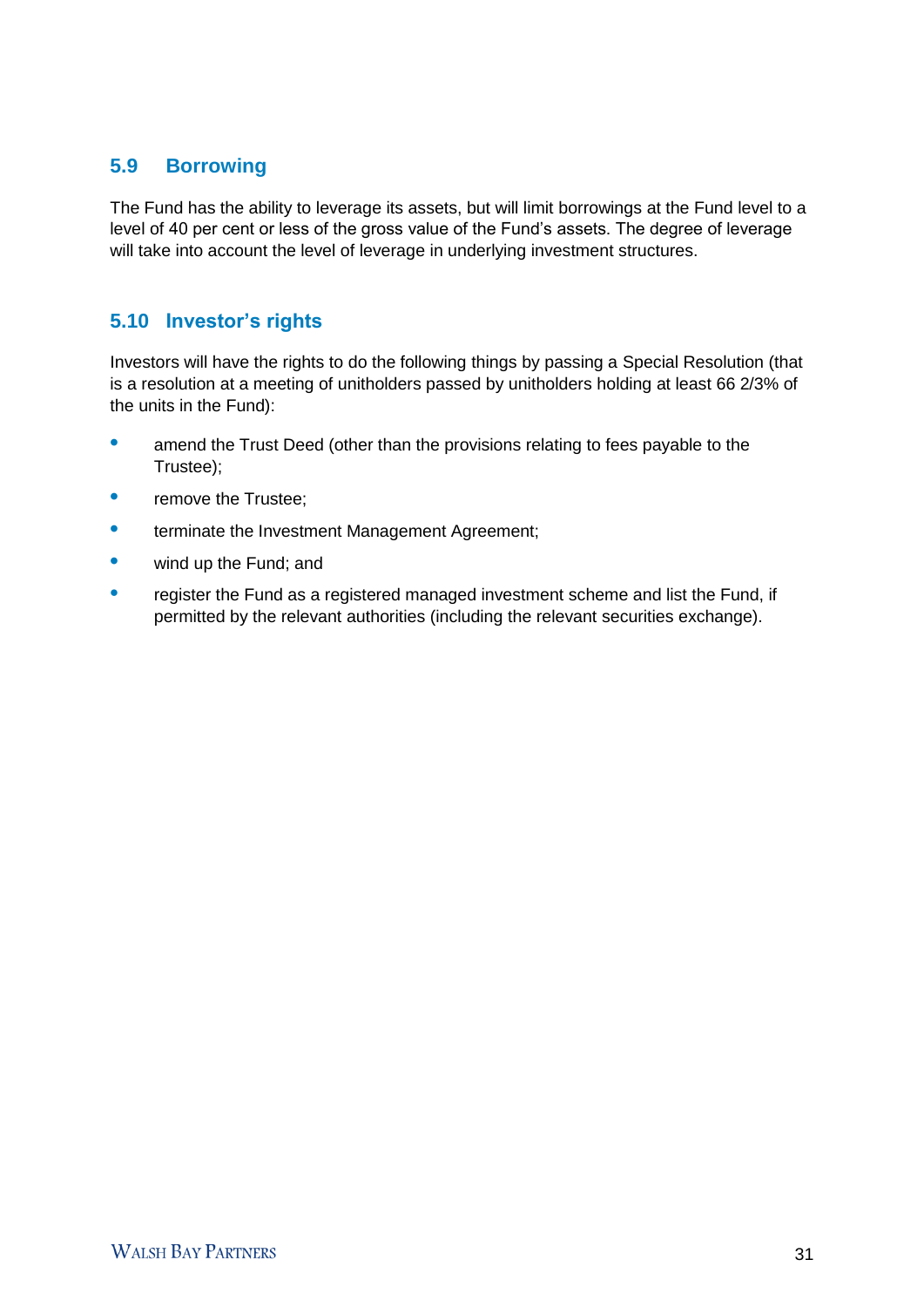# **5.9 Borrowing**

The Fund has the ability to leverage its assets, but will limit borrowings at the Fund level to a level of 40 per cent or less of the gross value of the Fund's assets. The degree of leverage will take into account the level of leverage in underlying investment structures.

## **5.10 Investor's rights**

Investors will have the rights to do the following things by passing a Special Resolution (that is a resolution at a meeting of unitholders passed by unitholders holding at least 66 2/3% of the units in the Fund):

- **•** amend the Trust Deed (other than the provisions relating to fees payable to the Trustee);
- **•** remove the Trustee;
- terminate the Investment Management Agreement;
- **•** wind up the Fund; and
- **•** register the Fund as a registered managed investment scheme and list the Fund, if permitted by the relevant authorities (including the relevant securities exchange).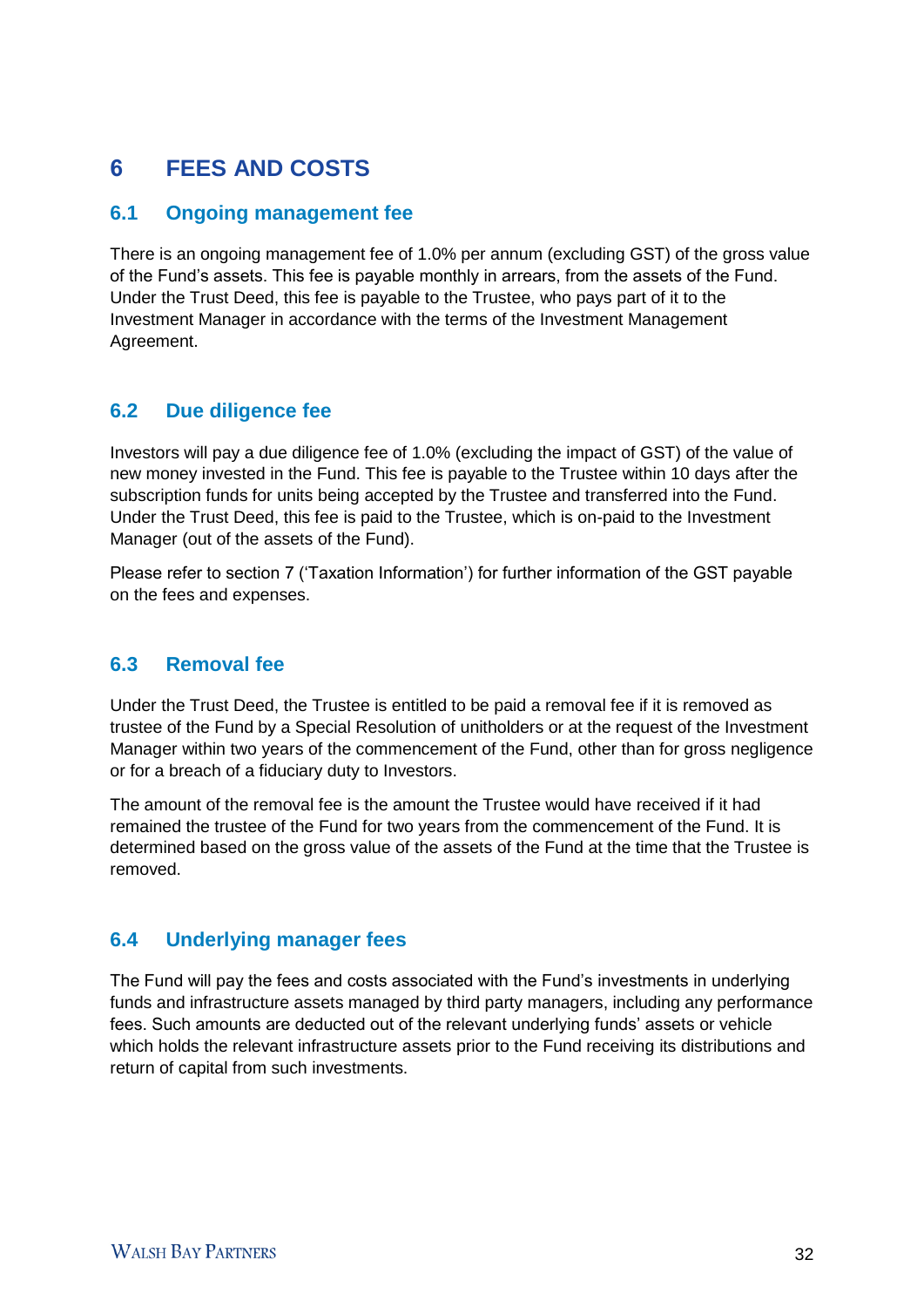# 6 **FEES AND COSTS**

## **6.1 Ongoing management fee**

There is an ongoing management fee of 1.0% per annum (excluding GST) of the gross value of the Fund's assets. This fee is payable monthly in arrears, from the assets of the Fund. Under the Trust Deed, this fee is payable to the Trustee, who pays part of it to the Investment Manager in accordance with the terms of the Investment Management Agreement.

## **6.2 Due diligence fee**

Investors will pay a due diligence fee of 1.0% (excluding the impact of GST) of the value of new money invested in the Fund. This fee is payable to the Trustee within 10 days after the subscription funds for units being accepted by the Trustee and transferred into the Fund. Under the Trust Deed, this fee is paid to the Trustee, which is on-paid to the Investment Manager (out of the assets of the Fund).

Please refer to section 7 ('Taxation Information') for further information of the GST payable on the fees and expenses.

## **6.3 Removal fee**

Under the Trust Deed, the Trustee is entitled to be paid a removal fee if it is removed as trustee of the Fund by a Special Resolution of unitholders or at the request of the Investment Manager within two years of the commencement of the Fund, other than for gross negligence or for a breach of a fiduciary duty to Investors.

The amount of the removal fee is the amount the Trustee would have received if it had remained the trustee of the Fund for two years from the commencement of the Fund. It is determined based on the gross value of the assets of the Fund at the time that the Trustee is removed.

## **6.4 Underlying manager fees**

The Fund will pay the fees and costs associated with the Fund's investments in underlying funds and infrastructure assets managed by third party managers, including any performance fees. Such amounts are deducted out of the relevant underlying funds' assets or vehicle which holds the relevant infrastructure assets prior to the Fund receiving its distributions and return of capital from such investments.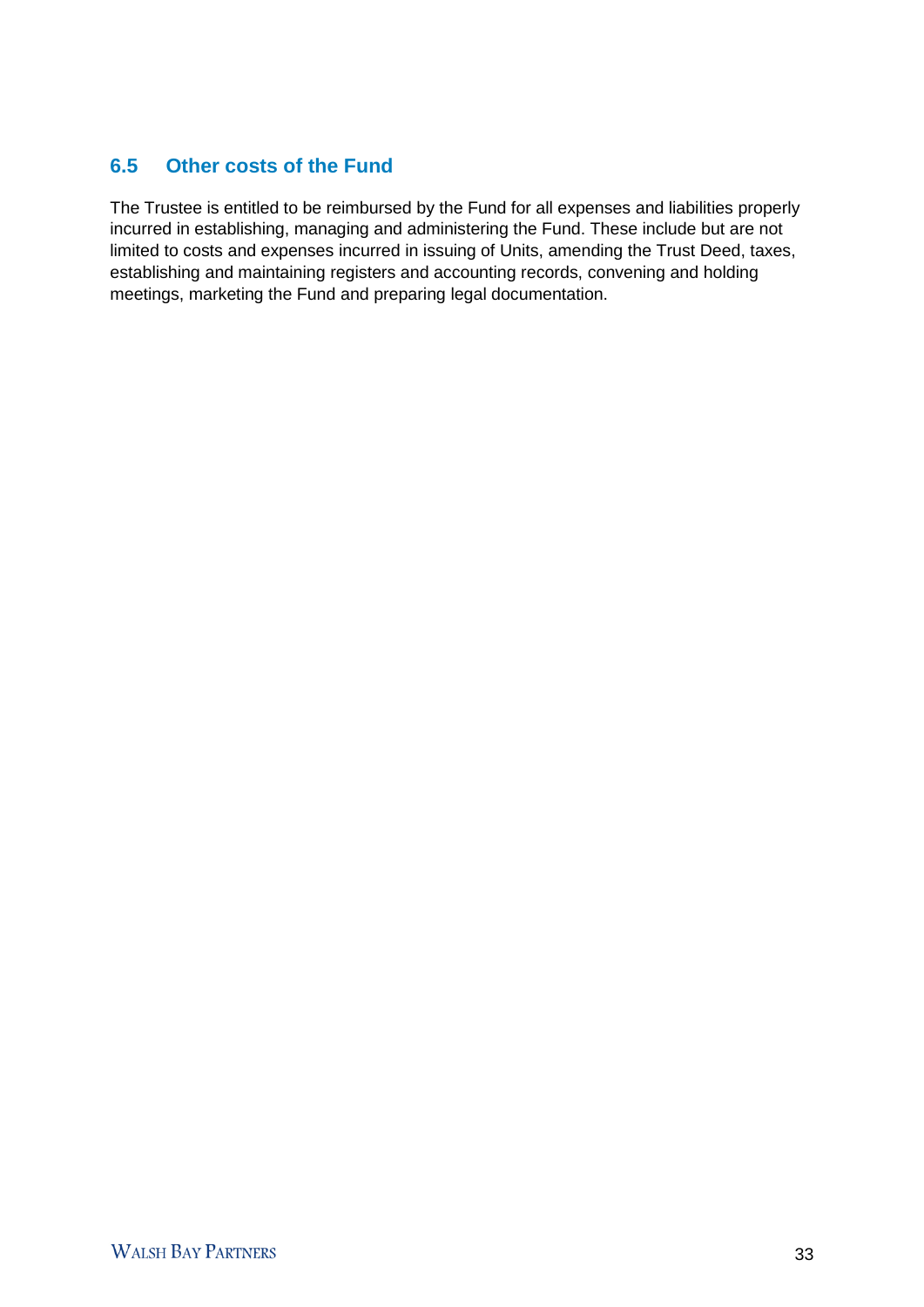# **6.5 Other costs of the Fund**

The Trustee is entitled to be reimbursed by the Fund for all expenses and liabilities properly incurred in establishing, managing and administering the Fund. These include but are not limited to costs and expenses incurred in issuing of Units, amending the Trust Deed, taxes, establishing and maintaining registers and accounting records, convening and holding meetings, marketing the Fund and preparing legal documentation.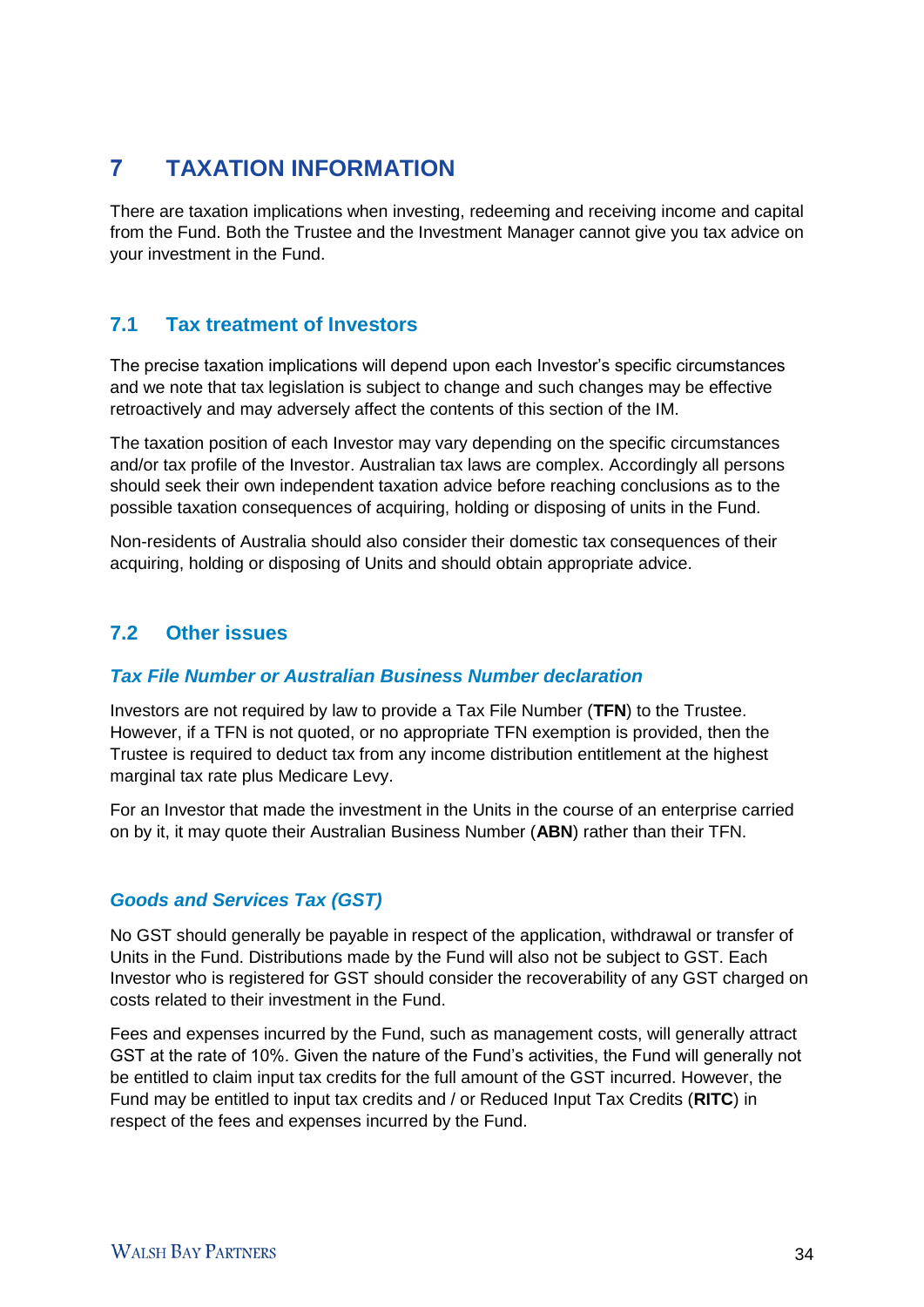# 7 **TAXATION INFORMATION**

There are taxation implications when investing, redeeming and receiving income and capital from the Fund. Both the Trustee and the Investment Manager cannot give you tax advice on your investment in the Fund.

# **7.1 Tax treatment of Investors**

The precise taxation implications will depend upon each Investor's specific circumstances and we note that tax legislation is subject to change and such changes may be effective retroactively and may adversely affect the contents of this section of the IM.

The taxation position of each Investor may vary depending on the specific circumstances and/or tax profile of the Investor. Australian tax laws are complex. Accordingly all persons should seek their own independent taxation advice before reaching conclusions as to the possible taxation consequences of acquiring, holding or disposing of units in the Fund.

Non-residents of Australia should also consider their domestic tax consequences of their acquiring, holding or disposing of Units and should obtain appropriate advice.

# **7.2 Other issues**

## *Tax File Number or Australian Business Number declaration*

Investors are not required by law to provide a Tax File Number (**TFN**) to the Trustee. However, if a TFN is not quoted, or no appropriate TFN exemption is provided, then the Trustee is required to deduct tax from any income distribution entitlement at the highest marginal tax rate plus Medicare Levy.

For an Investor that made the investment in the Units in the course of an enterprise carried on by it, it may quote their Australian Business Number (**ABN**) rather than their TFN.

## *Goods and Services Tax (GST)*

No GST should generally be payable in respect of the application, withdrawal or transfer of Units in the Fund. Distributions made by the Fund will also not be subject to GST. Each Investor who is registered for GST should consider the recoverability of any GST charged on costs related to their investment in the Fund.

Fees and expenses incurred by the Fund, such as management costs, will generally attract GST at the rate of 10%. Given the nature of the Fund's activities, the Fund will generally not be entitled to claim input tax credits for the full amount of the GST incurred. However, the Fund may be entitled to input tax credits and / or Reduced Input Tax Credits (**RITC**) in respect of the fees and expenses incurred by the Fund.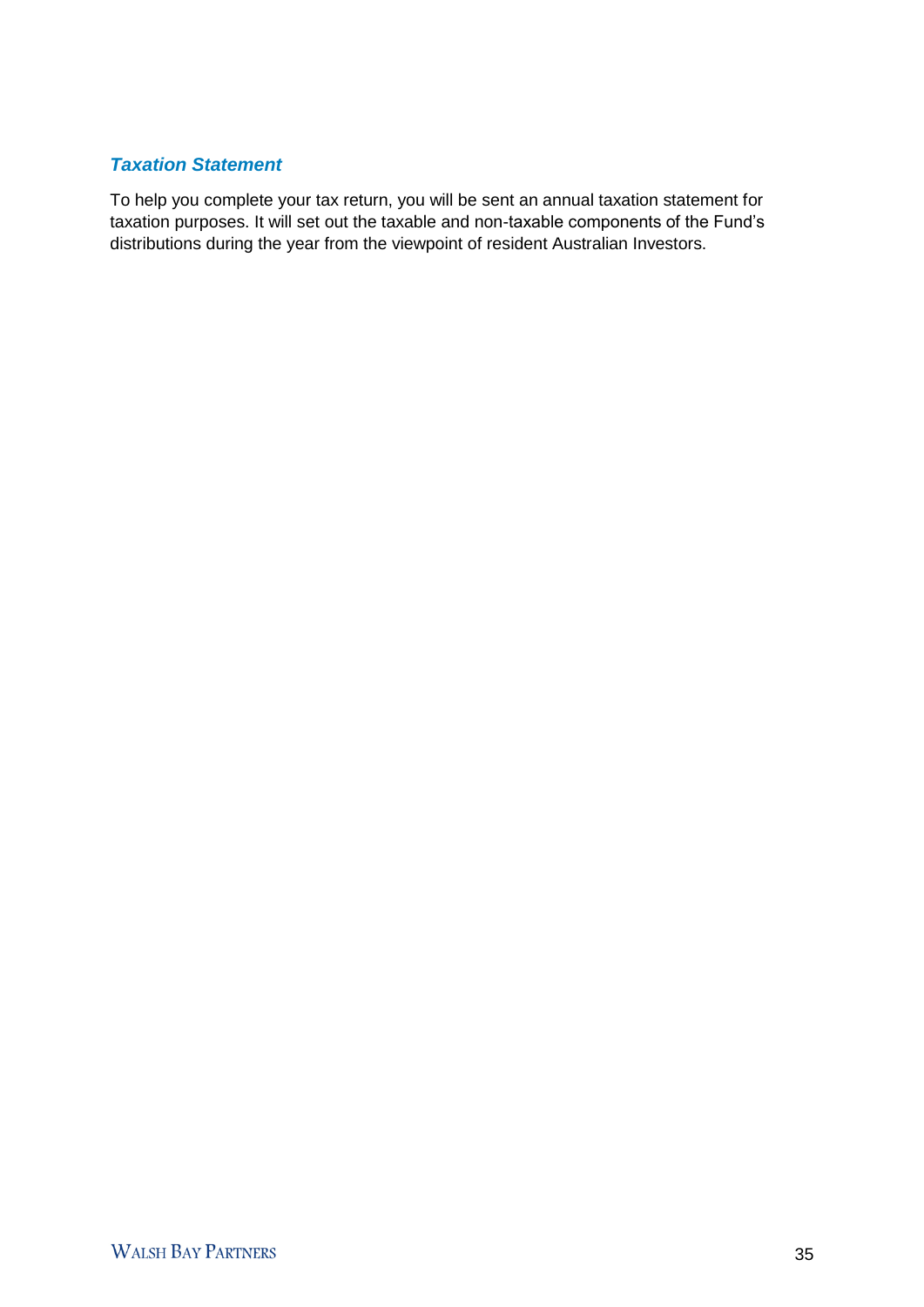## *Taxation Statement*

To help you complete your tax return, you will be sent an annual taxation statement for taxation purposes. It will set out the taxable and non-taxable components of the Fund's distributions during the year from the viewpoint of resident Australian Investors.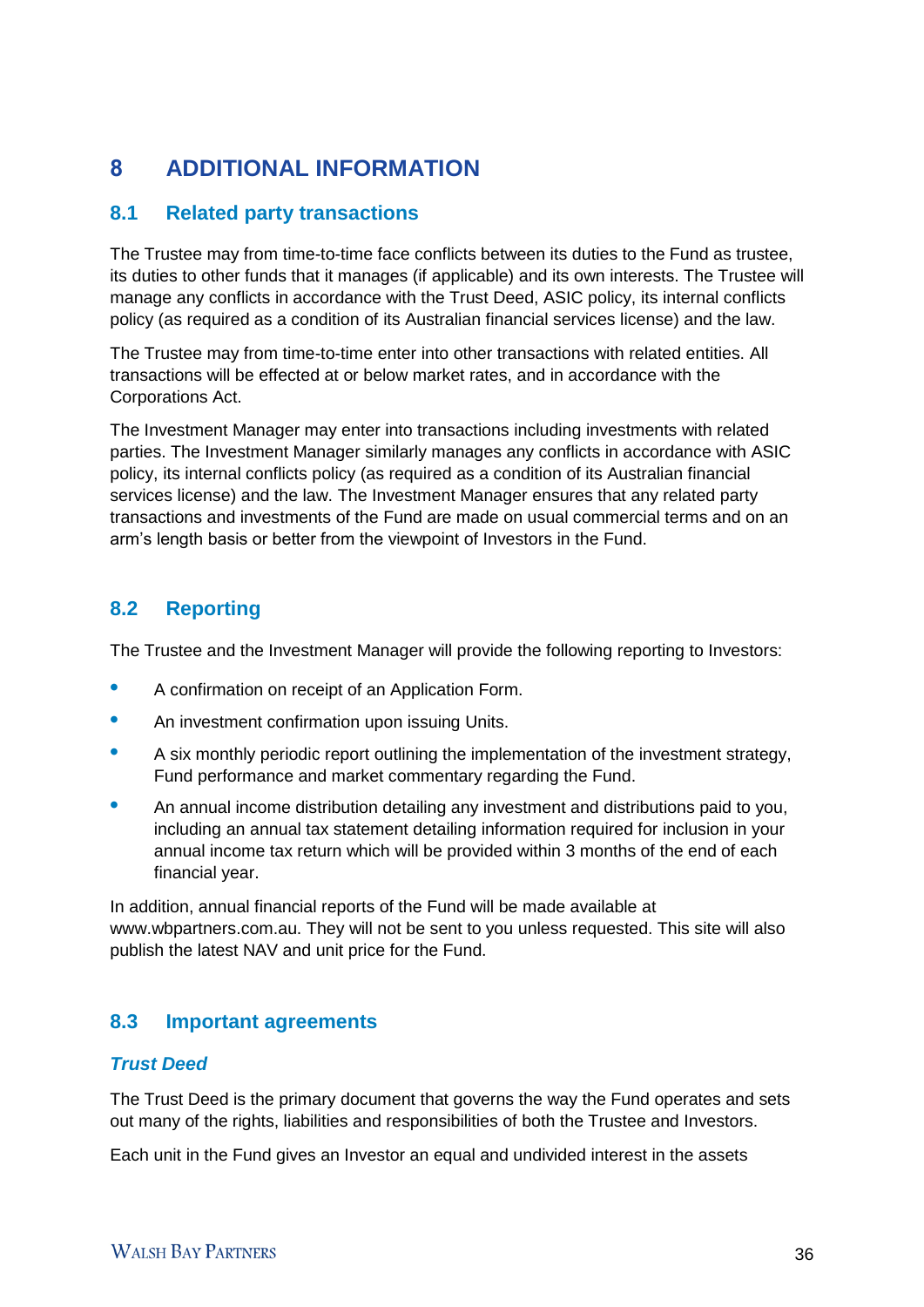# 8 **ADDITIONAL INFORMATION**

## **8.1 Related party transactions**

The Trustee may from time-to-time face conflicts between its duties to the Fund as trustee, its duties to other funds that it manages (if applicable) and its own interests. The Trustee will manage any conflicts in accordance with the Trust Deed, ASIC policy, its internal conflicts policy (as required as a condition of its Australian financial services license) and the law.

The Trustee may from time-to-time enter into other transactions with related entities. All transactions will be effected at or below market rates, and in accordance with the Corporations Act.

The Investment Manager may enter into transactions including investments with related parties. The Investment Manager similarly manages any conflicts in accordance with ASIC policy, its internal conflicts policy (as required as a condition of its Australian financial services license) and the law. The Investment Manager ensures that any related party transactions and investments of the Fund are made on usual commercial terms and on an arm's length basis or better from the viewpoint of Investors in the Fund.

# **8.2 Reporting**

The Trustee and the Investment Manager will provide the following reporting to Investors:

- **•** A confirmation on receipt of an Application Form.
- **•** An investment confirmation upon issuing Units.
- **•** A six monthly periodic report outlining the implementation of the investment strategy, Fund performance and market commentary regarding the Fund.
- An annual income distribution detailing any investment and distributions paid to you, including an annual tax statement detailing information required for inclusion in your annual income tax return which will be provided within 3 months of the end of each financial year.

In addition, annual financial reports of the Fund will be made available at www.wbpartners.com.au. They will not be sent to you unless requested. This site will also publish the latest NAV and unit price for the Fund.

# **8.3 Important agreements**

## *Trust Deed*

The Trust Deed is the primary document that governs the way the Fund operates and sets out many of the rights, liabilities and responsibilities of both the Trustee and Investors.

Each unit in the Fund gives an Investor an equal and undivided interest in the assets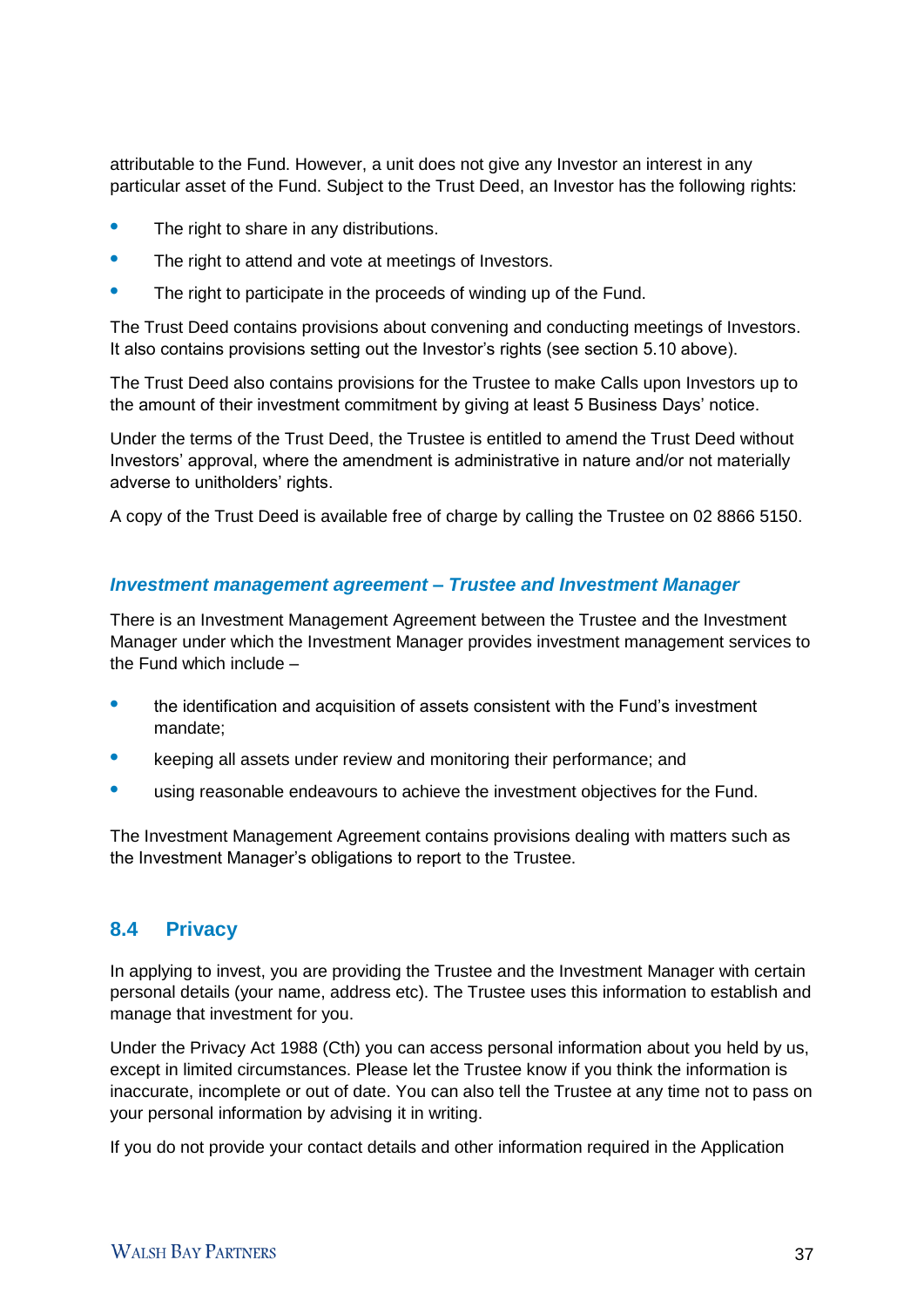attributable to the Fund. However, a unit does not give any Investor an interest in any particular asset of the Fund. Subject to the Trust Deed, an Investor has the following rights:

- **•** The right to share in any distributions.
- **•** The right to attend and vote at meetings of Investors.
- **•** The right to participate in the proceeds of winding up of the Fund.

The Trust Deed contains provisions about convening and conducting meetings of Investors. It also contains provisions setting out the Investor's rights (see section 5.10 above).

The Trust Deed also contains provisions for the Trustee to make Calls upon Investors up to the amount of their investment commitment by giving at least 5 Business Days' notice.

Under the terms of the Trust Deed, the Trustee is entitled to amend the Trust Deed without Investors' approval, where the amendment is administrative in nature and/or not materially adverse to unitholders' rights.

A copy of the Trust Deed is available free of charge by calling the Trustee on 02 8866 5150.

### *Investment management agreement – Trustee and Investment Manager*

There is an Investment Management Agreement between the Trustee and the Investment Manager under which the Investment Manager provides investment management services to the Fund which include –

- **•** the identification and acquisition of assets consistent with the Fund's investment mandate;
- **•** keeping all assets under review and monitoring their performance; and
- **•** using reasonable endeavours to achieve the investment objectives for the Fund.

The Investment Management Agreement contains provisions dealing with matters such as the Investment Manager's obligations to report to the Trustee.

## **8.4 Privacy**

In applying to invest, you are providing the Trustee and the Investment Manager with certain personal details (your name, address etc). The Trustee uses this information to establish and manage that investment for you.

Under the Privacy Act 1988 (Cth) you can access personal information about you held by us, except in limited circumstances. Please let the Trustee know if you think the information is inaccurate, incomplete or out of date. You can also tell the Trustee at any time not to pass on your personal information by advising it in writing.

If you do not provide your contact details and other information required in the Application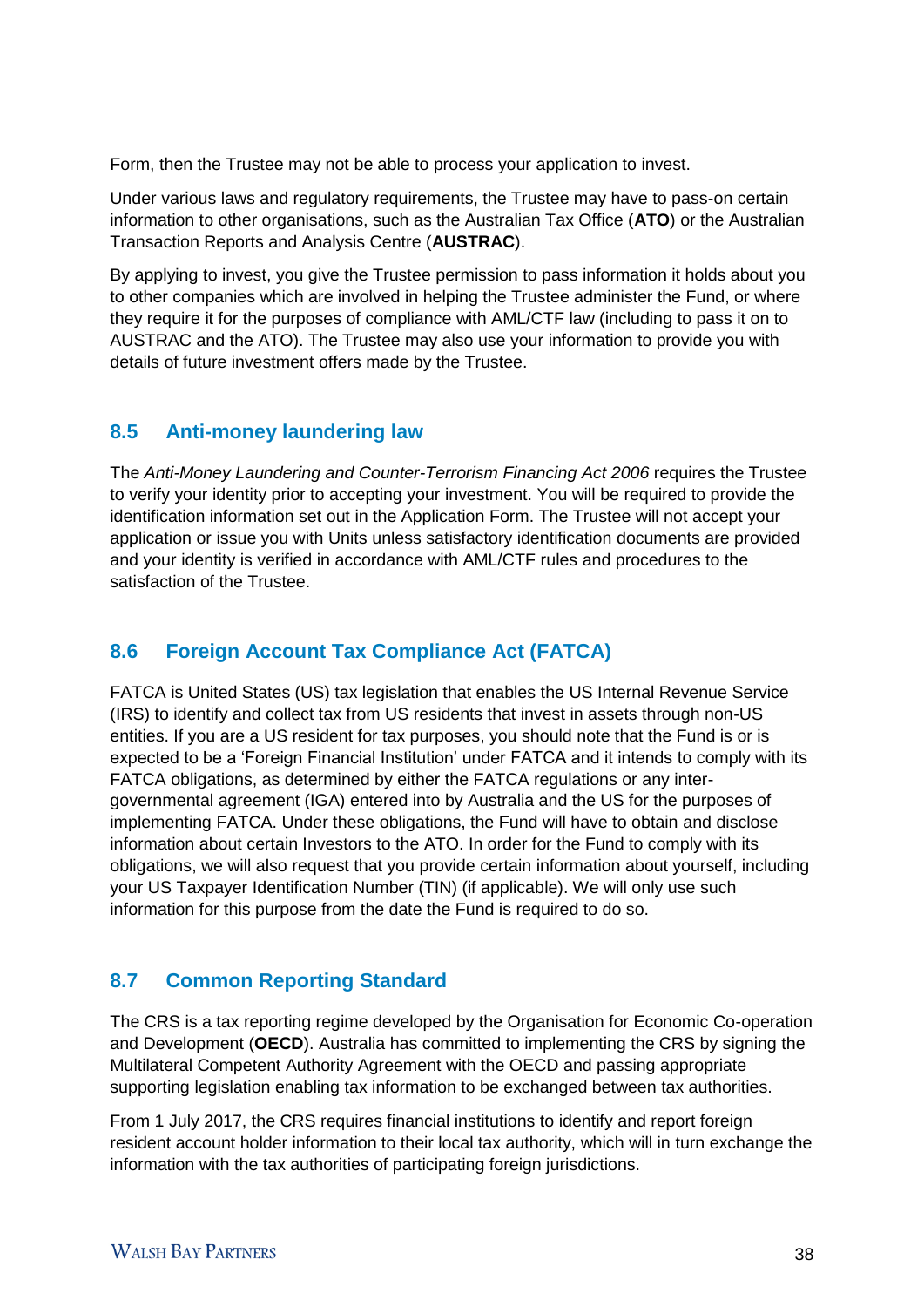Form, then the Trustee may not be able to process your application to invest.

Under various laws and regulatory requirements, the Trustee may have to pass-on certain information to other organisations, such as the Australian Tax Office (**ATO**) or the Australian Transaction Reports and Analysis Centre (**AUSTRAC**).

By applying to invest, you give the Trustee permission to pass information it holds about you to other companies which are involved in helping the Trustee administer the Fund, or where they require it for the purposes of compliance with AML/CTF law (including to pass it on to AUSTRAC and the ATO). The Trustee may also use your information to provide you with details of future investment offers made by the Trustee.

## **8.5 Anti-money laundering law**

The *Anti-Money Laundering and Counter-Terrorism Financing Act 2006* requires the Trustee to verify your identity prior to accepting your investment. You will be required to provide the identification information set out in the Application Form. The Trustee will not accept your application or issue you with Units unless satisfactory identification documents are provided and your identity is verified in accordance with AML/CTF rules and procedures to the satisfaction of the Trustee.

# **8.6 Foreign Account Tax Compliance Act (FATCA)**

FATCA is United States (US) tax legislation that enables the US Internal Revenue Service (IRS) to identify and collect tax from US residents that invest in assets through non-US entities. If you are a US resident for tax purposes, you should note that the Fund is or is expected to be a 'Foreign Financial Institution' under FATCA and it intends to comply with its FATCA obligations, as determined by either the FATCA regulations or any intergovernmental agreement (IGA) entered into by Australia and the US for the purposes of implementing FATCA. Under these obligations, the Fund will have to obtain and disclose information about certain Investors to the ATO. In order for the Fund to comply with its obligations, we will also request that you provide certain information about yourself, including your US Taxpayer Identification Number (TIN) (if applicable). We will only use such information for this purpose from the date the Fund is required to do so.

# **8.7 Common Reporting Standard**

The CRS is a tax reporting regime developed by the Organisation for Economic Co-operation and Development (**OECD**). Australia has committed to implementing the CRS by signing the Multilateral Competent Authority Agreement with the OECD and passing appropriate supporting legislation enabling tax information to be exchanged between tax authorities.

From 1 July 2017, the CRS requires financial institutions to identify and report foreign resident account holder information to their local tax authority, which will in turn exchange the information with the tax authorities of participating foreign jurisdictions.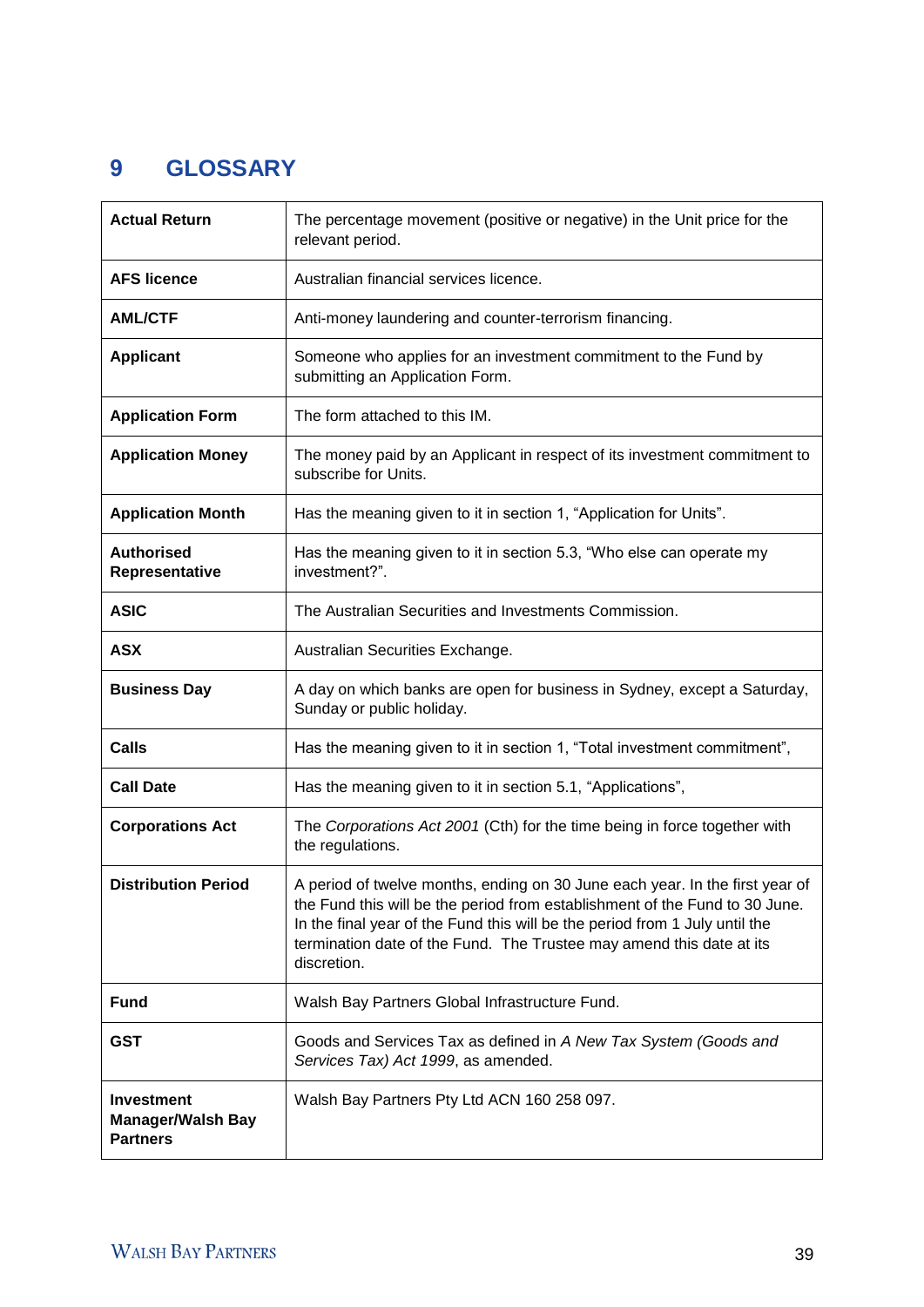# 9 **GLOSSARY**

| <b>Actual Return</b>                                                                     | The percentage movement (positive or negative) in the Unit price for the<br>relevant period.                                                                                                                                                                                                                                      |  |
|------------------------------------------------------------------------------------------|-----------------------------------------------------------------------------------------------------------------------------------------------------------------------------------------------------------------------------------------------------------------------------------------------------------------------------------|--|
| <b>AFS licence</b>                                                                       | Australian financial services licence.                                                                                                                                                                                                                                                                                            |  |
| <b>AML/CTF</b>                                                                           | Anti-money laundering and counter-terrorism financing.                                                                                                                                                                                                                                                                            |  |
| <b>Applicant</b>                                                                         | Someone who applies for an investment commitment to the Fund by<br>submitting an Application Form.                                                                                                                                                                                                                                |  |
| <b>Application Form</b>                                                                  | The form attached to this IM.                                                                                                                                                                                                                                                                                                     |  |
| <b>Application Money</b>                                                                 | The money paid by an Applicant in respect of its investment commitment to<br>subscribe for Units.                                                                                                                                                                                                                                 |  |
| <b>Application Month</b>                                                                 | Has the meaning given to it in section 1, "Application for Units".                                                                                                                                                                                                                                                                |  |
| <b>Authorised</b><br>Representative                                                      | Has the meaning given to it in section 5.3, "Who else can operate my<br>investment?".                                                                                                                                                                                                                                             |  |
| <b>ASIC</b>                                                                              | The Australian Securities and Investments Commission.                                                                                                                                                                                                                                                                             |  |
| <b>ASX</b>                                                                               | Australian Securities Exchange.                                                                                                                                                                                                                                                                                                   |  |
| <b>Business Day</b>                                                                      | A day on which banks are open for business in Sydney, except a Saturday,<br>Sunday or public holiday.                                                                                                                                                                                                                             |  |
| <b>Calls</b><br>Has the meaning given to it in section 1, "Total investment commitment", |                                                                                                                                                                                                                                                                                                                                   |  |
| <b>Call Date</b>                                                                         | Has the meaning given to it in section 5.1, "Applications",                                                                                                                                                                                                                                                                       |  |
| <b>Corporations Act</b>                                                                  | The Corporations Act 2001 (Cth) for the time being in force together with<br>the regulations.                                                                                                                                                                                                                                     |  |
| <b>Distribution Period</b>                                                               | A period of twelve months, ending on 30 June each year. In the first year of<br>the Fund this will be the period from establishment of the Fund to 30 June.<br>In the final year of the Fund this will be the period from 1 July until the<br>termination date of the Fund. The Trustee may amend this date at its<br>discretion. |  |
| <b>Fund</b>                                                                              | Walsh Bay Partners Global Infrastructure Fund.                                                                                                                                                                                                                                                                                    |  |
| <b>GST</b>                                                                               | Goods and Services Tax as defined in A New Tax System (Goods and<br>Services Tax) Act 1999, as amended.                                                                                                                                                                                                                           |  |
| <b>Investment</b><br><b>Manager/Walsh Bay</b><br><b>Partners</b>                         | Walsh Bay Partners Pty Ltd ACN 160 258 097.                                                                                                                                                                                                                                                                                       |  |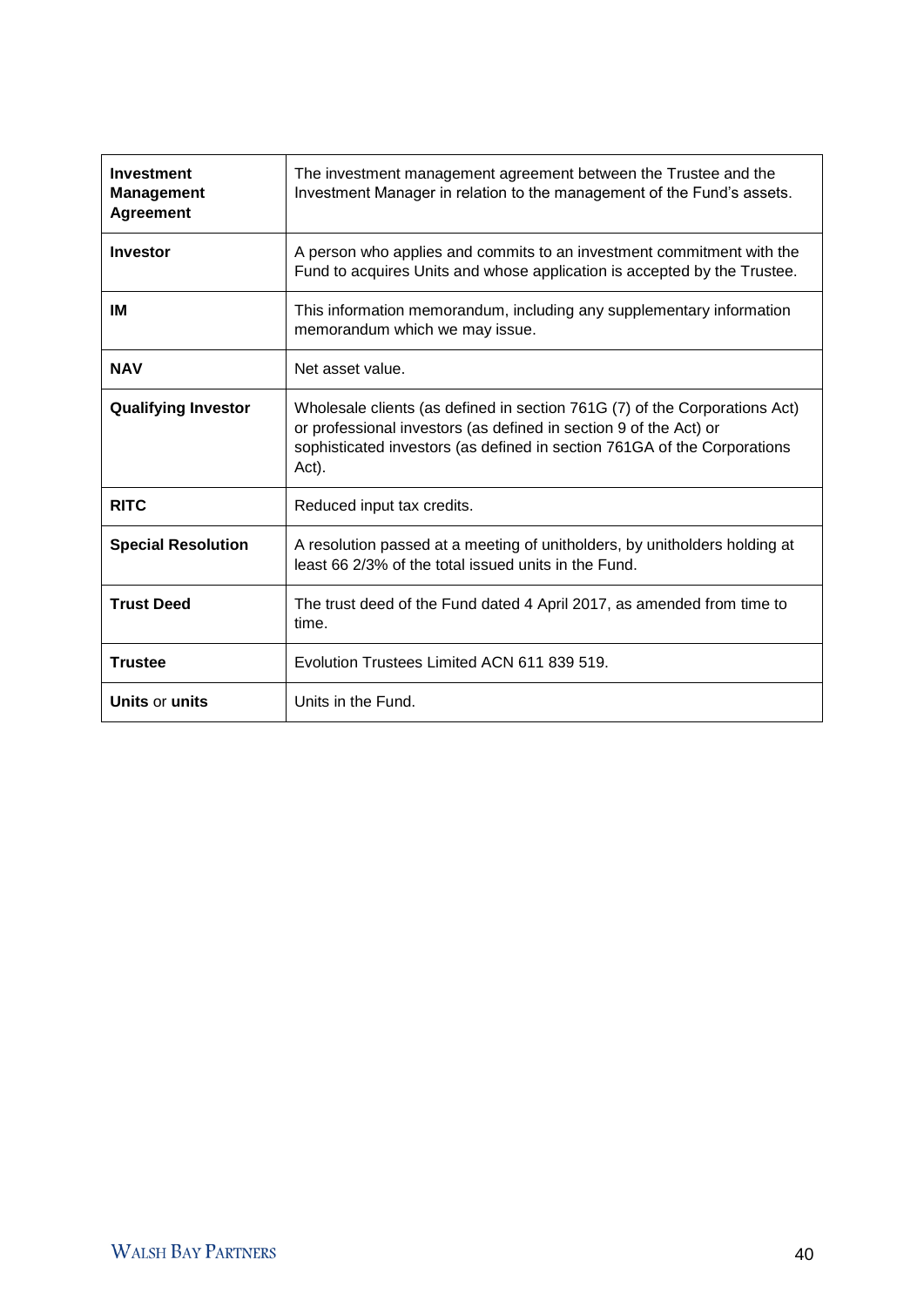| Investment<br><b>Management</b><br><b>Agreement</b>                                                                                                             | The investment management agreement between the Trustee and the<br>Investment Manager in relation to the management of the Fund's assets.                                                                                            |  |
|-----------------------------------------------------------------------------------------------------------------------------------------------------------------|--------------------------------------------------------------------------------------------------------------------------------------------------------------------------------------------------------------------------------------|--|
| <b>Investor</b>                                                                                                                                                 | A person who applies and commits to an investment commitment with the<br>Fund to acquires Units and whose application is accepted by the Trustee.                                                                                    |  |
| IM                                                                                                                                                              | This information memorandum, including any supplementary information<br>memorandum which we may issue.                                                                                                                               |  |
| <b>NAV</b><br>Net asset value.                                                                                                                                  |                                                                                                                                                                                                                                      |  |
| <b>Qualifying Investor</b>                                                                                                                                      | Wholesale clients (as defined in section 761G (7) of the Corporations Act)<br>or professional investors (as defined in section 9 of the Act) or<br>sophisticated investors (as defined in section 761GA of the Corporations<br>Act). |  |
| <b>RITC</b>                                                                                                                                                     | Reduced input tax credits.                                                                                                                                                                                                           |  |
| A resolution passed at a meeting of unitholders, by unitholders holding at<br><b>Special Resolution</b><br>least 66 2/3% of the total issued units in the Fund. |                                                                                                                                                                                                                                      |  |
| <b>Trust Deed</b>                                                                                                                                               | The trust deed of the Fund dated 4 April 2017, as amended from time to<br>time.                                                                                                                                                      |  |
| <b>Trustee</b>                                                                                                                                                  | Evolution Trustees Limited ACN 611 839 519.                                                                                                                                                                                          |  |
| Units or units                                                                                                                                                  | Units in the Fund.                                                                                                                                                                                                                   |  |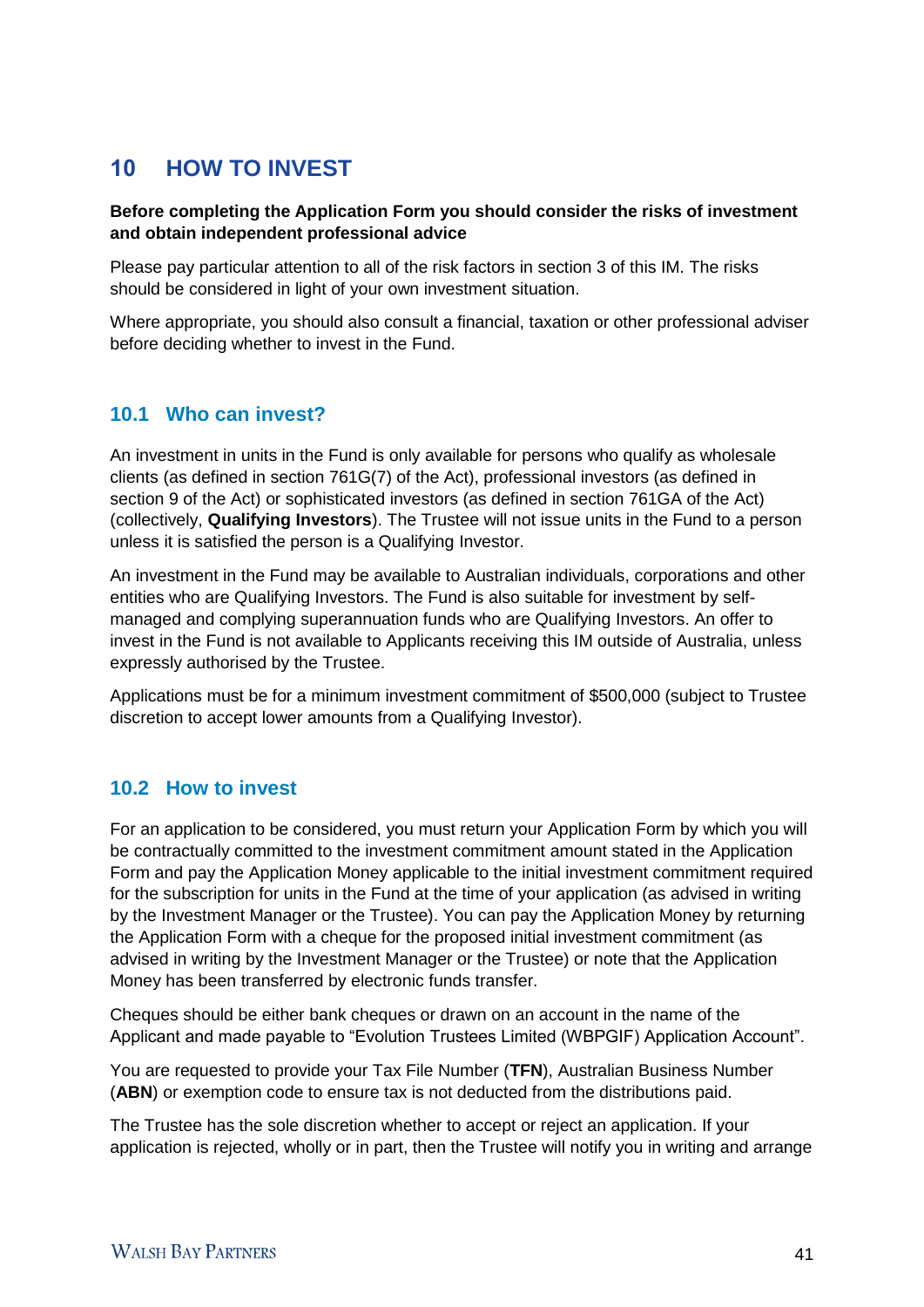# 10 **HOW TO INVEST**

#### **Before completing the Application Form you should consider the risks of investment and obtain independent professional advice**

Please pay particular attention to all of the risk factors in section 3 of this IM. The risks should be considered in light of your own investment situation.

Where appropriate, you should also consult a financial, taxation or other professional adviser before deciding whether to invest in the Fund.

## **10.1 Who can invest?**

An investment in units in the Fund is only available for persons who qualify as wholesale clients (as defined in section 761G(7) of the Act), professional investors (as defined in section 9 of the Act) or sophisticated investors (as defined in section 761GA of the Act) (collectively, **Qualifying Investors**). The Trustee will not issue units in the Fund to a person unless it is satisfied the person is a Qualifying Investor.

An investment in the Fund may be available to Australian individuals, corporations and other entities who are Qualifying Investors. The Fund is also suitable for investment by selfmanaged and complying superannuation funds who are Qualifying Investors. An offer to invest in the Fund is not available to Applicants receiving this IM outside of Australia, unless expressly authorised by the Trustee.

Applications must be for a minimum investment commitment of \$500,000 (subject to Trustee discretion to accept lower amounts from a Qualifying Investor).

## **10.2 How to invest**

For an application to be considered, you must return your Application Form by which you will be contractually committed to the investment commitment amount stated in the Application Form and pay the Application Money applicable to the initial investment commitment required for the subscription for units in the Fund at the time of your application (as advised in writing by the Investment Manager or the Trustee). You can pay the Application Money by returning the Application Form with a cheque for the proposed initial investment commitment (as advised in writing by the Investment Manager or the Trustee) or note that the Application Money has been transferred by electronic funds transfer.

Cheques should be either bank cheques or drawn on an account in the name of the Applicant and made payable to "Evolution Trustees Limited (WBPGIF) Application Account".

You are requested to provide your Tax File Number (**TFN**), Australian Business Number (**ABN**) or exemption code to ensure tax is not deducted from the distributions paid.

The Trustee has the sole discretion whether to accept or reject an application. If your application is rejected, wholly or in part, then the Trustee will notify you in writing and arrange